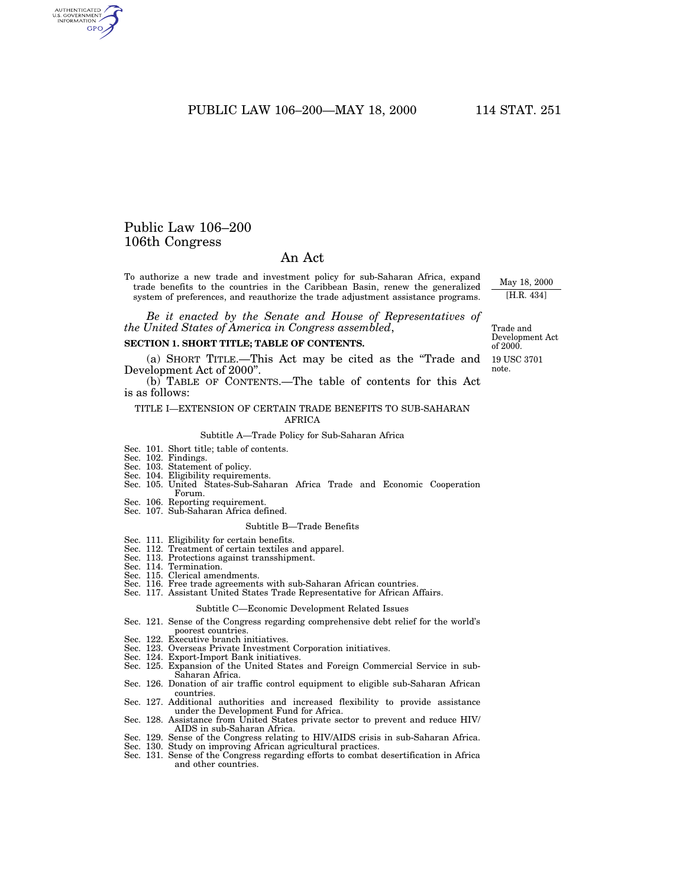PUBLIC LAW 106–200—MAY 18, 2000 114 STAT. 251

## Public Law 106–200 106th Congress

## An Act

To authorize a new trade and investment policy for sub-Saharan Africa, expand trade benefits to the countries in the Caribbean Basin, renew the generalized system of preferences, and reauthorize the trade adjustment assistance programs.

*Be it enacted by the Senate and House of Representatives of the United States of America in Congress assembled*,

#### **SECTION 1. SHORT TITLE; TABLE OF CONTENTS.**

(a) SHORT TITLE.—This Act may be cited as the ''Trade and Development Act of 2000''.

(b) TABLE OF CONTENTS.—The table of contents for this Act is as follows:

TITLE I—EXTENSION OF CERTAIN TRADE BENEFITS TO SUB-SAHARAN AFRICA

Subtitle A—Trade Policy for Sub-Saharan Africa

- Sec. 101. Short title; table of contents.
- Sec. 102. Findings.
- Sec. 103. Statement of policy.
- 
- Sec. 104. Eligibility requirements. Sec. 105. United States-Sub-Saharan Africa Trade and Economic Cooperation Forum.
- Sec. 106. Reporting requirement.
- Sec. 107. Sub-Saharan Africa defined.

#### Subtitle B—Trade Benefits

- Sec. 111. Eligibility for certain benefits.
- Sec. 112. Treatment of certain textiles and apparel.
- Sec. 113. Protections against transshipment.
- Sec. 114. Termination.
- Sec. 115. Clerical amendments.
- Sec. 116. Free trade agreements with sub-Saharan African countries.
- Sec. 117. Assistant United States Trade Representative for African Affairs.

#### Subtitle C—Economic Development Related Issues

- Sec. 121. Sense of the Congress regarding comprehensive debt relief for the world's
- poorest countries. Sec. 122. Executive branch initiatives.
- Sec. 123. Overseas Private Investment Corporation initiatives.
- Sec. 124. Export-Import Bank initiatives.
- Sec. 125. Expansion of the United States and Foreign Commercial Service in sub-Saharan Africa.
- Sec. 126. Donation of air traffic control equipment to eligible sub-Saharan African
- countries. Sec. 127. Additional authorities and increased flexibility to provide assistance under the Development Fund for Africa. Sec. 128. Assistance from United States private sector to prevent and reduce HIV/
- AIDS in sub-Saharan Africa.
- Sec. 129. Sense of the Congress relating to HIV/AIDS crisis in sub-Saharan Africa. Sec. 130. Study on improving African agricultural practices.
- Sec. 131. Sense of the Congress regarding efforts to combat desertification in Africa
- and other countries.

19 USC 3701 Trade and Development Act of 2000.

note.

May 18, 2000 [H.R. 434]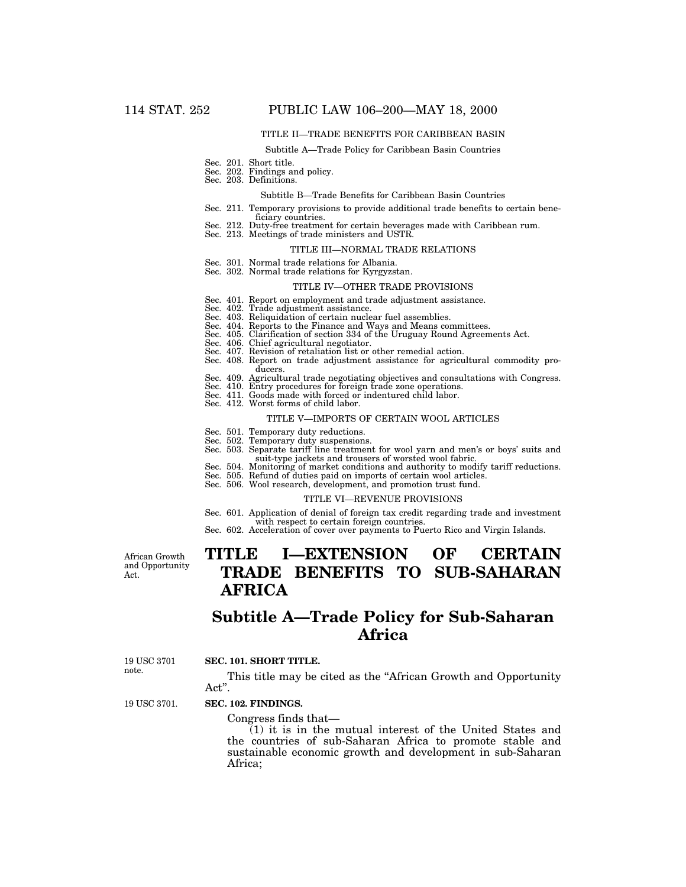## TITLE II—TRADE BENEFITS FOR CARIBBEAN BASIN

#### Subtitle A—Trade Policy for Caribbean Basin Countries

- Sec. 201. Short title.
- Sec. 202. Findings and policy. Sec. 203. Definitions.
- 

### Subtitle B—Trade Benefits for Caribbean Basin Countries

- Sec. 211. Temporary provisions to provide additional trade benefits to certain beneficiary countries.
- Sec. 212. Duty-free treatment for certain beverages made with Caribbean rum.
- Sec. 213. Meetings of trade ministers and USTR.

#### TITLE III—NORMAL TRADE RELATIONS

- Sec. 301. Normal trade relations for Albania.
- Sec. 302. Normal trade relations for Kyrgyzstan.

#### TITLE IV—OTHER TRADE PROVISIONS

- Sec. 401. Report on employment and trade adjustment assistance.
- 
- Sec. 402. Trade adjustment assistance. Sec. 403. Reliquidation of certain nuclear fuel assemblies.
- Sec. 404. Reports to the Finance and Ways and Means committees.
- Sec. 405. Clarification of section 334 of the Uruguay Round Agreements Act.
- Sec. 406. Chief agricultural negotiator.
- Sec. 407. Revision of retaliation list or other remedial action.
- Sec. 408. Report on trade adjustment assistance for agricultural commodity producers.
- Sec. 409. Agricultural trade negotiating objectives and consultations with Congress.
- Sec. 410. Entry procedures for foreign trade zone operations.
- Sec. 411. Goods made with forced or indentured child labor. Sec. 412. Worst forms of child labor.
- 

#### TITLE V—IMPORTS OF CERTAIN WOOL ARTICLES

- Sec. 501. Temporary duty reductions. Sec. 502. Temporary duty suspensions.
- 
- Sec. 503. Separate tariff line treatment for wool yarn and men's or boys' suits and suit-type jackets and trousers of worsted wool fabric.
- Sec. 504. Monitoring of market conditions and authority to modify tariff reductions.
- Sec. 505. Refund of duties paid on imports of certain wool articles. Sec. 506. Wool research, development, and promotion trust fund.
	-

### TITLE VI—REVENUE PROVISIONS

Sec. 601. Application of denial of foreign tax credit regarding trade and investment with respect to certain foreign countries.

Sec. 602. Acceleration of cover over payments to Puerto Rico and Virgin Islands.

African Growth and Opportunity Act.

# **TITLE I—EXTENSION OF CERTAIN TRADE BENEFITS TO SUB-SAHARAN AFRICA**

# **Subtitle A—Trade Policy for Sub-Saharan Africa**

19 USC 3701 note.

#### **SEC. 101. SHORT TITLE.**

This title may be cited as the "African Growth and Opportunity" Act''.

19 USC 3701.

## **SEC. 102. FINDINGS.**

Congress finds that—

(1) it is in the mutual interest of the United States and the countries of sub-Saharan Africa to promote stable and sustainable economic growth and development in sub-Saharan Africa;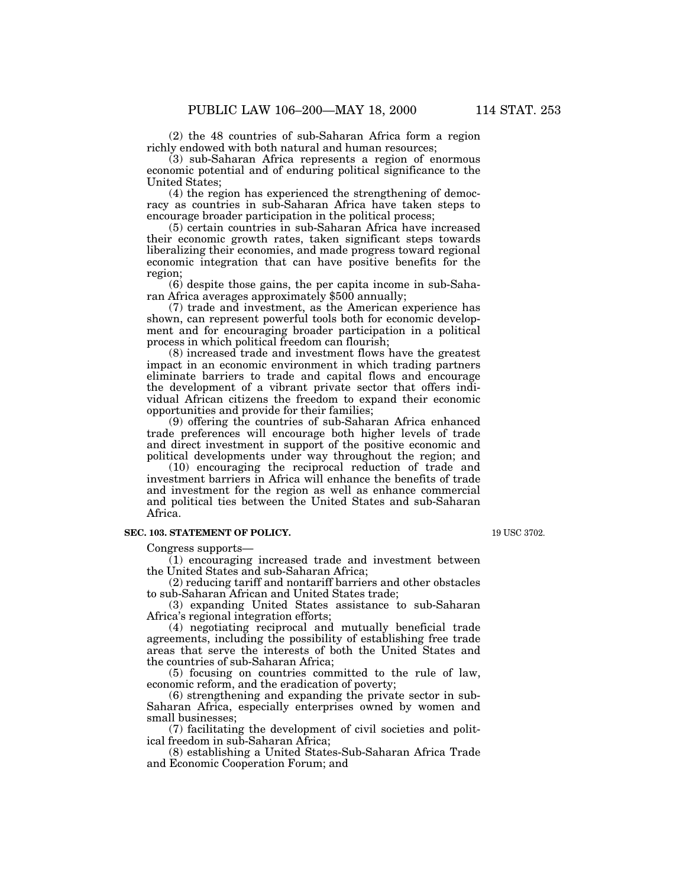(2) the 48 countries of sub-Saharan Africa form a region richly endowed with both natural and human resources;

(3) sub-Saharan Africa represents a region of enormous economic potential and of enduring political significance to the United States;

(4) the region has experienced the strengthening of democracy as countries in sub-Saharan Africa have taken steps to encourage broader participation in the political process;

(5) certain countries in sub-Saharan Africa have increased their economic growth rates, taken significant steps towards liberalizing their economies, and made progress toward regional economic integration that can have positive benefits for the region;

(6) despite those gains, the per capita income in sub-Saharan Africa averages approximately \$500 annually;

(7) trade and investment, as the American experience has shown, can represent powerful tools both for economic development and for encouraging broader participation in a political process in which political freedom can flourish;

(8) increased trade and investment flows have the greatest impact in an economic environment in which trading partners eliminate barriers to trade and capital flows and encourage the development of a vibrant private sector that offers individual African citizens the freedom to expand their economic opportunities and provide for their families;

(9) offering the countries of sub-Saharan Africa enhanced trade preferences will encourage both higher levels of trade and direct investment in support of the positive economic and political developments under way throughout the region; and

(10) encouraging the reciprocal reduction of trade and investment barriers in Africa will enhance the benefits of trade and investment for the region as well as enhance commercial and political ties between the United States and sub-Saharan Africa.

## **SEC. 103. STATEMENT OF POLICY.**

19 USC 3702.

Congress supports—

(1) encouraging increased trade and investment between the United States and sub-Saharan Africa;

(2) reducing tariff and nontariff barriers and other obstacles to sub-Saharan African and United States trade;

(3) expanding United States assistance to sub-Saharan Africa's regional integration efforts;

(4) negotiating reciprocal and mutually beneficial trade agreements, including the possibility of establishing free trade areas that serve the interests of both the United States and the countries of sub-Saharan Africa;

(5) focusing on countries committed to the rule of law, economic reform, and the eradication of poverty;

(6) strengthening and expanding the private sector in sub-Saharan Africa, especially enterprises owned by women and small businesses;

(7) facilitating the development of civil societies and political freedom in sub-Saharan Africa;

(8) establishing a United States-Sub-Saharan Africa Trade and Economic Cooperation Forum; and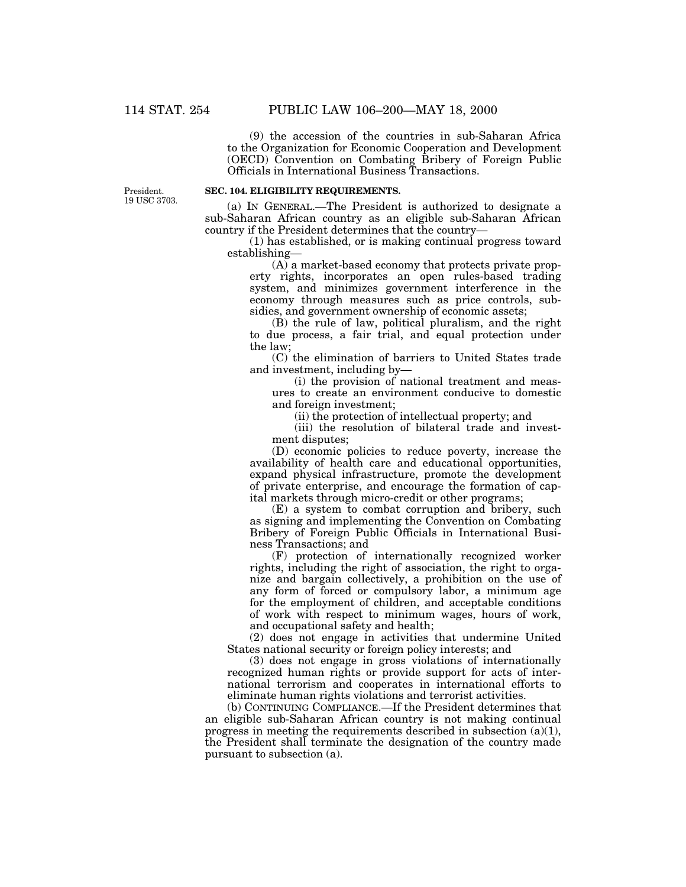(9) the accession of the countries in sub-Saharan Africa to the Organization for Economic Cooperation and Development (OECD) Convention on Combating Bribery of Foreign Public Officials in International Business Transactions.

President. 19 USC 3703.

## **SEC. 104. ELIGIBILITY REQUIREMENTS.**

(a) IN GENERAL.—The President is authorized to designate a sub-Saharan African country as an eligible sub-Saharan African country if the President determines that the country—

(1) has established, or is making continual progress toward establishing—

(A) a market-based economy that protects private property rights, incorporates an open rules-based trading system, and minimizes government interference in the economy through measures such as price controls, subsidies, and government ownership of economic assets;

(B) the rule of law, political pluralism, and the right to due process, a fair trial, and equal protection under the law;

(C) the elimination of barriers to United States trade and investment, including by—

(i) the provision of national treatment and measures to create an environment conducive to domestic and foreign investment;

(ii) the protection of intellectual property; and

(iii) the resolution of bilateral trade and investment disputes;

(D) economic policies to reduce poverty, increase the availability of health care and educational opportunities, expand physical infrastructure, promote the development of private enterprise, and encourage the formation of capital markets through micro-credit or other programs;

(E) a system to combat corruption and bribery, such as signing and implementing the Convention on Combating Bribery of Foreign Public Officials in International Business Transactions; and

(F) protection of internationally recognized worker rights, including the right of association, the right to organize and bargain collectively, a prohibition on the use of any form of forced or compulsory labor, a minimum age for the employment of children, and acceptable conditions of work with respect to minimum wages, hours of work, and occupational safety and health;

(2) does not engage in activities that undermine United States national security or foreign policy interests; and

(3) does not engage in gross violations of internationally recognized human rights or provide support for acts of international terrorism and cooperates in international efforts to eliminate human rights violations and terrorist activities.

(b) CONTINUING COMPLIANCE.—If the President determines that an eligible sub-Saharan African country is not making continual progress in meeting the requirements described in subsection  $(a)(1)$ , the President shall terminate the designation of the country made pursuant to subsection (a).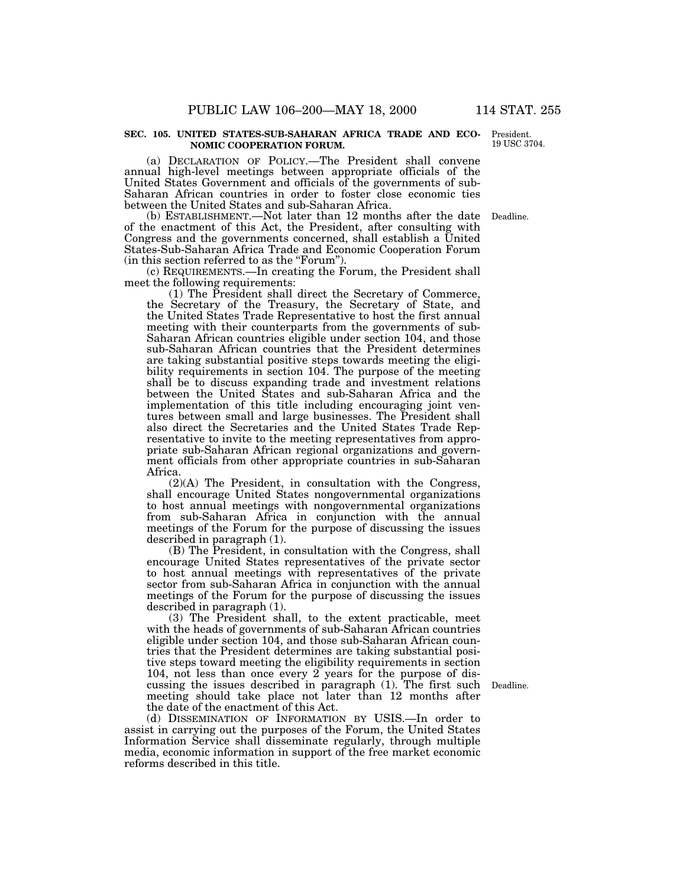#### **SEC. 105. UNITED STATES-SUB-SAHARAN AFRICA TRADE AND ECO-**President. **NOMIC COOPERATION FORUM.**

(a) DECLARATION OF POLICY.—The President shall convene annual high-level meetings between appropriate officials of the United States Government and officials of the governments of sub-Saharan African countries in order to foster close economic ties between the United States and sub-Saharan Africa.

(b) ESTABLISHMENT.—Not later than 12 months after the date Deadline. of the enactment of this Act, the President, after consulting with Congress and the governments concerned, shall establish a United States-Sub-Saharan Africa Trade and Economic Cooperation Forum (in this section referred to as the ''Forum'').

(c) REQUIREMENTS.—In creating the Forum, the President shall meet the following requirements:

(1) The President shall direct the Secretary of Commerce, the Secretary of the Treasury, the Secretary of State, and the United States Trade Representative to host the first annual meeting with their counterparts from the governments of sub-Saharan African countries eligible under section 104, and those sub-Saharan African countries that the President determines are taking substantial positive steps towards meeting the eligibility requirements in section 104. The purpose of the meeting shall be to discuss expanding trade and investment relations between the United States and sub-Saharan Africa and the implementation of this title including encouraging joint ventures between small and large businesses. The President shall also direct the Secretaries and the United States Trade Representative to invite to the meeting representatives from appropriate sub-Saharan African regional organizations and government officials from other appropriate countries in sub-Saharan Africa.

(2)(A) The President, in consultation with the Congress, shall encourage United States nongovernmental organizations to host annual meetings with nongovernmental organizations from sub-Saharan Africa in conjunction with the annual meetings of the Forum for the purpose of discussing the issues described in paragraph (1).

(B) The President, in consultation with the Congress, shall encourage United States representatives of the private sector to host annual meetings with representatives of the private sector from sub-Saharan Africa in conjunction with the annual meetings of the Forum for the purpose of discussing the issues described in paragraph (1).

(3) The President shall, to the extent practicable, meet with the heads of governments of sub-Saharan African countries eligible under section 104, and those sub-Saharan African countries that the President determines are taking substantial positive steps toward meeting the eligibility requirements in section 104, not less than once every 2 years for the purpose of discussing the issues described in paragraph (1). The first such meeting should take place not later than 12 months after the date of the enactment of this Act.

(d) DISSEMINATION OF INFORMATION BY USIS.—In order to assist in carrying out the purposes of the Forum, the United States Information Service shall disseminate regularly, through multiple media, economic information in support of the free market economic reforms described in this title.

Deadline.

19 USC 3704.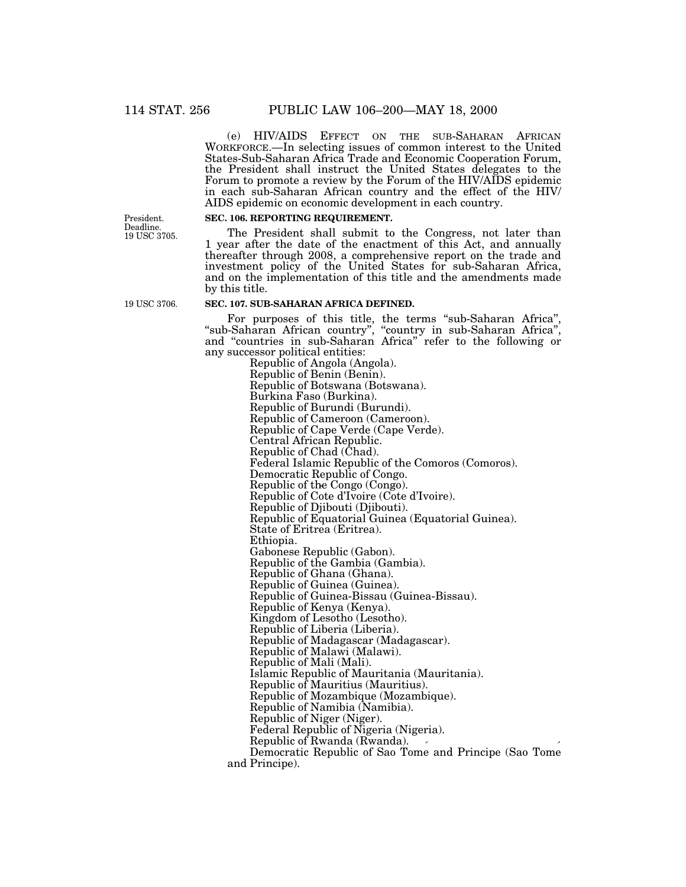(e) HIV/AIDS EFFECT ON THE SUB-SAHARAN AFRICAN WORKFORCE.—In selecting issues of common interest to the United States-Sub-Saharan Africa Trade and Economic Cooperation Forum, the President shall instruct the United States delegates to the Forum to promote a review by the Forum of the HIV/AIDS epidemic in each sub-Saharan African country and the effect of the HIV/ AIDS epidemic on economic development in each country.

### **SEC. 106. REPORTING REQUIREMENT.**

The President shall submit to the Congress, not later than 1 year after the date of the enactment of this Act, and annually thereafter through 2008, a comprehensive report on the trade and investment policy of the United States for sub-Saharan Africa, and on the implementation of this title and the amendments made by this title.

#### **SEC. 107. SUB-SAHARAN AFRICA DEFINED.**

For purposes of this title, the terms ''sub-Saharan Africa'', ''sub-Saharan African country'', ''country in sub-Saharan Africa'', and ''countries in sub-Saharan Africa'' refer to the following or any successor political entities:

Republic of Angola (Angola). Republic of Benin (Benin). Republic of Botswana (Botswana). Burkina Faso (Burkina). Republic of Burundi (Burundi). Republic of Cameroon (Cameroon). Republic of Cape Verde (Cape Verde). Central African Republic. Republic of Chad (Chad). Federal Islamic Republic of the Comoros (Comoros). Democratic Republic of Congo. Republic of the Congo (Congo). Republic of the Congo (Congo).<br>Republic of Cote d'Ivoire (Cote d'Ivoire). Republic of Djibouti (Djibouti). Republic of Equatorial Guinea (Equatorial Guinea). State of Eritrea (Eritrea). Ethiopia. Gabonese Republic (Gabon). Republic of the Gambia (Gambia). Republic of Ghana (Ghana). Republic of Guinea (Guinea). Republic of Guinea-Bissau (Guinea-Bissau). Republic of Kenya (Kenya). Kingdom of Lesotho (Lesotho). Republic of Liberia (Liberia). Republic of Madagascar (Madagascar). Republic of Malawi (Malawi). Republic of Mali (Mali). Islamic Republic of Mauritania (Mauritania). Republic of Mauritius (Mauritius). Republic of Mozambique (Mozambique). Republic of Namibia (Namibia). Republic of Niger (Niger). Federal Republic of Nigeria (Nigeria). Republic of Rwanda (Rwanda). Democratic Republic of Sao Tome and Principe (Sao Tome

19 USC 3706.

President. Deadline. 19 USC 3705.

and Principe).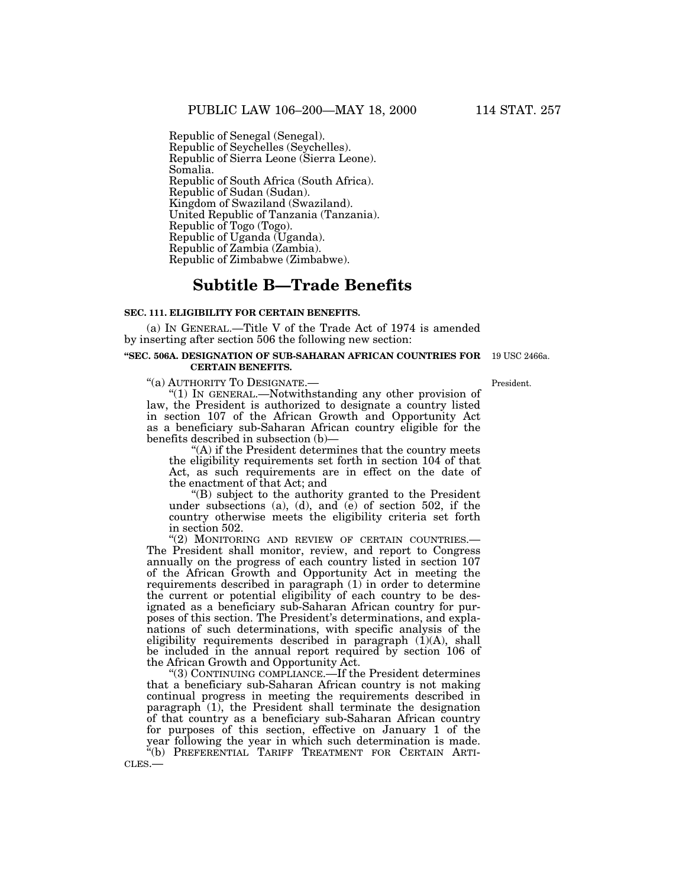Republic of Senegal (Senegal). Republic of Seychelles (Seychelles). Republic of Sierra Leone (Sierra Leone). Somalia. Republic of South Africa (South Africa). Republic of Sudan (Sudan). Kingdom of Swaziland (Swaziland). United Republic of Tanzania (Tanzania). Republic of Togo (Togo). Republic of Uganda (Uganda). Republic of Zambia (Zambia). Republic of Zimbabwe (Zimbabwe).

## **Subtitle B—Trade Benefits**

#### **SEC. 111. ELIGIBILITY FOR CERTAIN BENEFITS.**

(a) IN GENERAL.—Title V of the Trade Act of 1974 is amended by inserting after section 506 the following new section:

#### **''SEC. 506A. DESIGNATION OF SUB-SAHARAN AFRICAN COUNTRIES FOR** 19 USC 2466a. **CERTAIN BENEFITS.**

''(a) AUTHORITY TO DESIGNATE.—

''(1) IN GENERAL.—Notwithstanding any other provision of law, the President is authorized to designate a country listed in section 107 of the African Growth and Opportunity Act as a beneficiary sub-Saharan African country eligible for the benefits described in subsection (b)—

''(A) if the President determines that the country meets the eligibility requirements set forth in section 104 of that Act, as such requirements are in effect on the date of the enactment of that Act; and

''(B) subject to the authority granted to the President under subsections (a), (d), and  $(e)$  of section 502, if the country otherwise meets the eligibility criteria set forth in section 502.

"(2) MONITORING AND REVIEW OF CERTAIN COUNTRIES.-The President shall monitor, review, and report to Congress annually on the progress of each country listed in section 107 of the African Growth and Opportunity Act in meeting the requirements described in paragraph (1) in order to determine the current or potential eligibility of each country to be designated as a beneficiary sub-Saharan African country for purposes of this section. The President's determinations, and explanations of such determinations, with specific analysis of the eligibility requirements described in paragraph  $(1)(A)$ , shall be included in the annual report required by section 106 of the African Growth and Opportunity Act.

''(3) CONTINUING COMPLIANCE.—If the President determines that a beneficiary sub-Saharan African country is not making continual progress in meeting the requirements described in paragraph (1), the President shall terminate the designation of that country as a beneficiary sub-Saharan African country for purposes of this section, effective on January 1 of the year following the year in which such determination is made.<br>"(b) PREEDENT III THE SUCH  $\sum_{i=1}^{N}$ 

(b) PREFERENTIAL TARIFF TREATMENT FOR CERTAIN ARTI-CLES.—

President.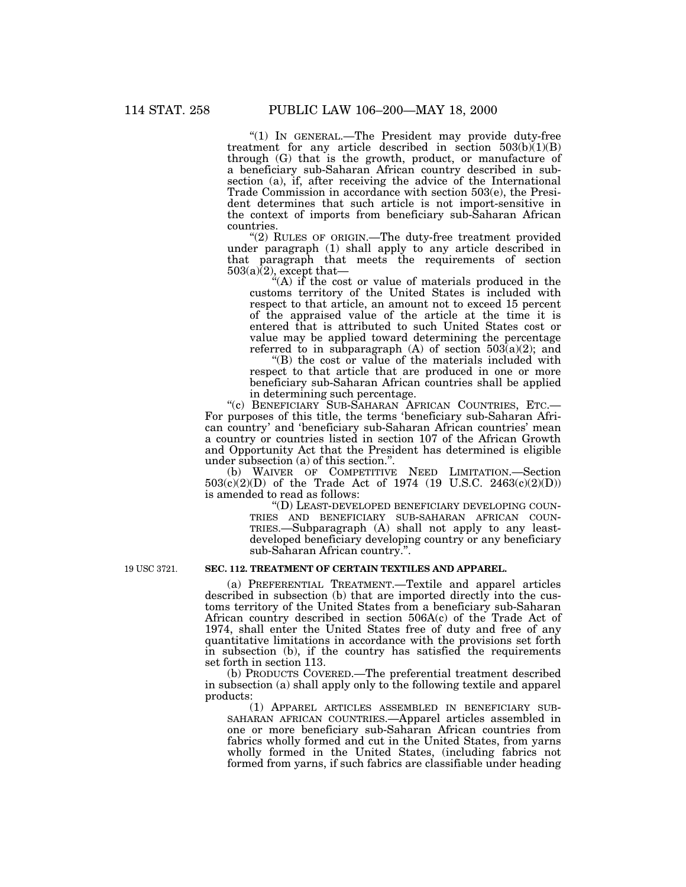"(1) In GENERAL.—The President may provide duty-free treatment for any article described in section 503(b)(1)(B) through (G) that is the growth, product, or manufacture of a beneficiary sub-Saharan African country described in subsection (a), if, after receiving the advice of the International Trade Commission in accordance with section 503(e), the President determines that such article is not import-sensitive in the context of imports from beneficiary sub-Saharan African countries.

"(2) RULES OF ORIGIN.—The duty-free treatment provided under paragraph (1) shall apply to any article described in that paragraph that meets the requirements of section  $503(a)$  $(2)$ , except that—

"(A) if the cost or value of materials produced in the customs territory of the United States is included with respect to that article, an amount not to exceed 15 percent of the appraised value of the article at the time it is entered that is attributed to such United States cost or value may be applied toward determining the percentage referred to in subparagraph  $(A)$  of section  $503(a)(2)$ ; and

''(B) the cost or value of the materials included with respect to that article that are produced in one or more beneficiary sub-Saharan African countries shall be applied in determining such percentage.

''(c) BENEFICIARY SUB-SAHARAN AFRICAN COUNTRIES, ETC.— For purposes of this title, the terms 'beneficiary sub-Saharan African country' and 'beneficiary sub-Saharan African countries' mean a country or countries listed in section 107 of the African Growth and Opportunity Act that the President has determined is eligible under subsection (a) of this section.''.

(b) WAIVER OF COMPETITIVE NEED LIMITATION.—Section 503(c)(2)(D) of the Trade Act of 1974 (19 U.S.C. 2463(c)(2)(D)) is amended to read as follows:

''(D) LEAST-DEVELOPED BENEFICIARY DEVELOPING COUN-TRIES AND BENEFICIARY SUB-SAHARAN AFRICAN COUN-TRIES.—Subparagraph (A) shall not apply to any leastdeveloped beneficiary developing country or any beneficiary sub-Saharan African country.''.

19 USC 3721.

## **SEC. 112. TREATMENT OF CERTAIN TEXTILES AND APPAREL.**

(a) PREFERENTIAL TREATMENT.—Textile and apparel articles described in subsection (b) that are imported directly into the customs territory of the United States from a beneficiary sub-Saharan African country described in section 506A(c) of the Trade Act of 1974, shall enter the United States free of duty and free of any quantitative limitations in accordance with the provisions set forth in subsection (b), if the country has satisfied the requirements set forth in section 113.

(b) PRODUCTS COVERED.—The preferential treatment described in subsection (a) shall apply only to the following textile and apparel products:

(1) APPAREL ARTICLES ASSEMBLED IN BENEFICIARY SUB-SAHARAN AFRICAN COUNTRIES.—Apparel articles assembled in one or more beneficiary sub-Saharan African countries from fabrics wholly formed and cut in the United States, from yarns wholly formed in the United States, (including fabrics not formed from yarns, if such fabrics are classifiable under heading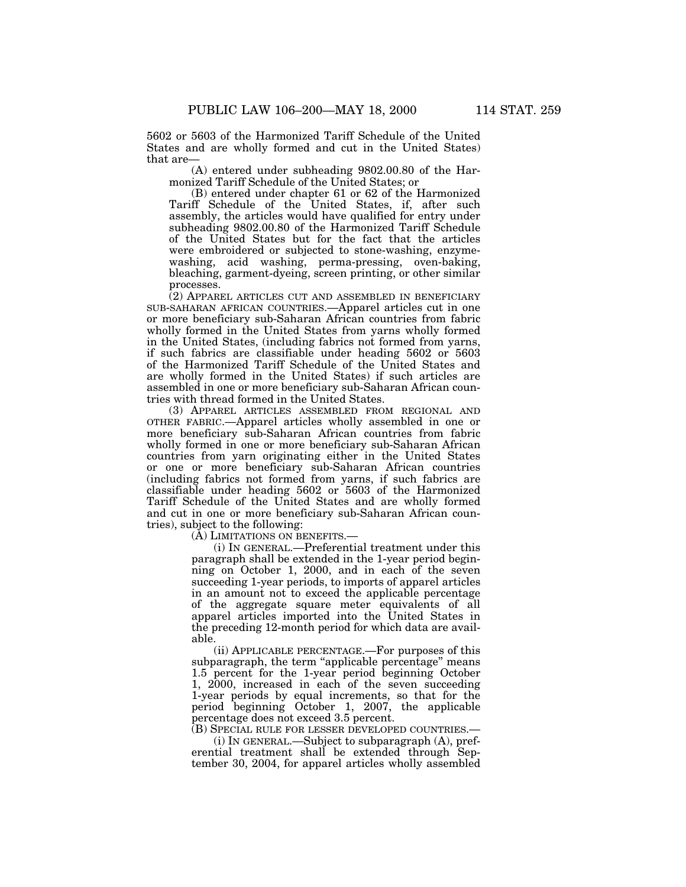5602 or 5603 of the Harmonized Tariff Schedule of the United States and are wholly formed and cut in the United States) that are—

(A) entered under subheading 9802.00.80 of the Harmonized Tariff Schedule of the United States; or

(B) entered under chapter 61 or 62 of the Harmonized Tariff Schedule of the United States, if, after such assembly, the articles would have qualified for entry under subheading 9802.00.80 of the Harmonized Tariff Schedule of the United States but for the fact that the articles were embroidered or subjected to stone-washing, enzymewashing, acid washing, perma-pressing, oven-baking, bleaching, garment-dyeing, screen printing, or other similar processes.

(2) APPAREL ARTICLES CUT AND ASSEMBLED IN BENEFICIARY SUB-SAHARAN AFRICAN COUNTRIES.—Apparel articles cut in one or more beneficiary sub-Saharan African countries from fabric wholly formed in the United States from yarns wholly formed in the United States, (including fabrics not formed from yarns, if such fabrics are classifiable under heading 5602 or 5603 of the Harmonized Tariff Schedule of the United States and are wholly formed in the United States) if such articles are assembled in one or more beneficiary sub-Saharan African countries with thread formed in the United States.

(3) APPAREL ARTICLES ASSEMBLED FROM REGIONAL AND OTHER FABRIC.—Apparel articles wholly assembled in one or more beneficiary sub-Saharan African countries from fabric wholly formed in one or more beneficiary sub-Saharan African countries from yarn originating either in the United States or one or more beneficiary sub-Saharan African countries (including fabrics not formed from yarns, if such fabrics are classifiable under heading 5602 or 5603 of the Harmonized Tariff Schedule of the United States and are wholly formed and cut in one or more beneficiary sub-Saharan African countries), subject to the following:

(A) LIMITATIONS ON BENEFITS.—

(i) IN GENERAL.—Preferential treatment under this paragraph shall be extended in the 1-year period beginning on October 1, 2000, and in each of the seven succeeding 1-year periods, to imports of apparel articles in an amount not to exceed the applicable percentage of the aggregate square meter equivalents of all apparel articles imported into the United States in the preceding 12-month period for which data are available.

(ii) APPLICABLE PERCENTAGE.—For purposes of this subparagraph, the term "applicable percentage" means 1.5 percent for the 1-year period beginning October 1, 2000, increased in each of the seven succeeding 1-year periods by equal increments, so that for the period beginning October 1, 2007, the applicable percentage does not exceed 3.5 percent.

(B) SPECIAL RULE FOR LESSER DEVELOPED COUNTRIES.—

(i) IN GENERAL.—Subject to subparagraph (A), preferential treatment shall be extended through September 30, 2004, for apparel articles wholly assembled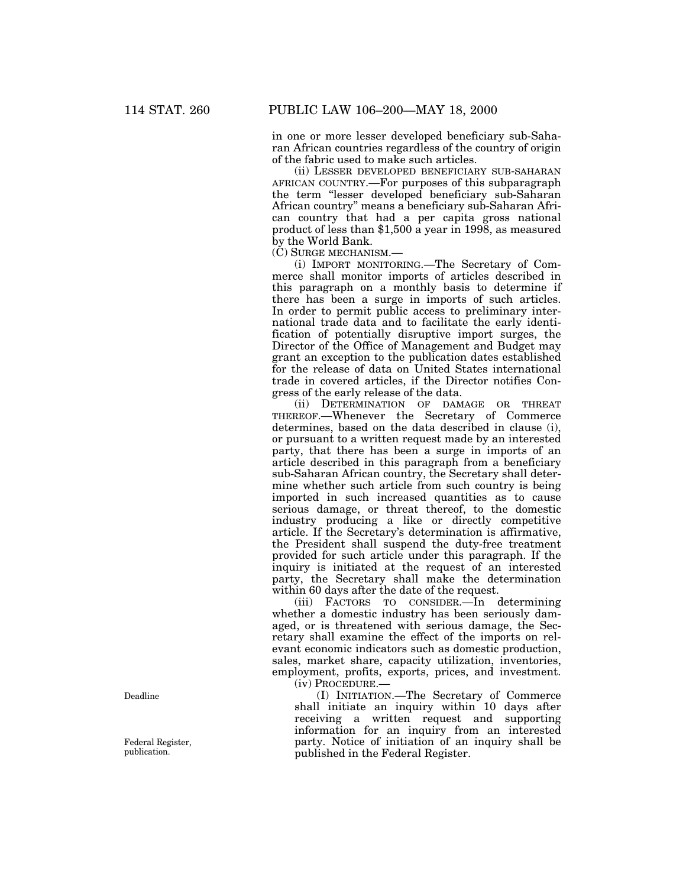in one or more lesser developed beneficiary sub-Saharan African countries regardless of the country of origin of the fabric used to make such articles.

(ii) LESSER DEVELOPED BENEFICIARY SUB-SAHARAN AFRICAN COUNTRY.—For purposes of this subparagraph the term ''lesser developed beneficiary sub-Saharan African country'' means a beneficiary sub-Saharan African country that had a per capita gross national product of less than \$1,500 a year in 1998, as measured by the World Bank.

(C) SURGE MECHANISM.—

(i) IMPORT MONITORING.—The Secretary of Commerce shall monitor imports of articles described in this paragraph on a monthly basis to determine if there has been a surge in imports of such articles. In order to permit public access to preliminary international trade data and to facilitate the early identification of potentially disruptive import surges, the Director of the Office of Management and Budget may grant an exception to the publication dates established for the release of data on United States international trade in covered articles, if the Director notifies Congress of the early release of the data.

(ii) DETERMINATION OF DAMAGE OR THREAT THEREOF.—Whenever the Secretary of Commerce determines, based on the data described in clause (i), or pursuant to a written request made by an interested party, that there has been a surge in imports of an article described in this paragraph from a beneficiary sub-Saharan African country, the Secretary shall determine whether such article from such country is being imported in such increased quantities as to cause serious damage, or threat thereof, to the domestic industry producing a like or directly competitive article. If the Secretary's determination is affirmative, the President shall suspend the duty-free treatment provided for such article under this paragraph. If the inquiry is initiated at the request of an interested party, the Secretary shall make the determination within 60 days after the date of the request.

(iii) FACTORS TO CONSIDER.—In determining whether a domestic industry has been seriously damaged, or is threatened with serious damage, the Secretary shall examine the effect of the imports on relevant economic indicators such as domestic production, sales, market share, capacity utilization, inventories, employment, profits, exports, prices, and investment. (iv) PROCEDURE.

(I) INITIATION.—The Secretary of Commerce shall initiate an inquiry within 10 days after receiving a written request and supporting information for an inquiry from an interested party. Notice of initiation of an inquiry shall be published in the Federal Register.

Deadline

Federal Register, publication.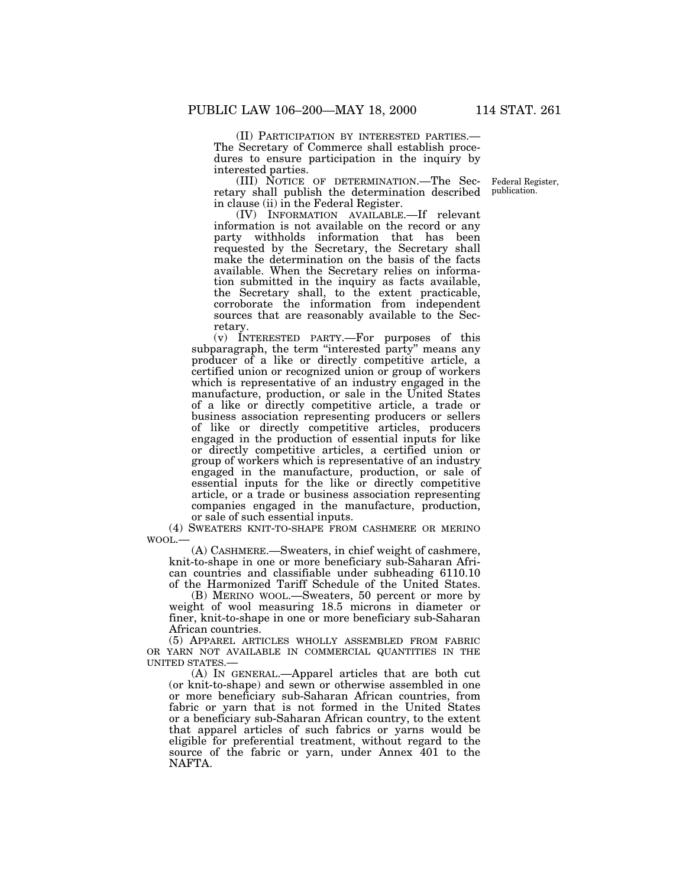(II) PARTICIPATION BY INTERESTED PARTIES.— The Secretary of Commerce shall establish procedures to ensure participation in the inquiry by interested parties.

(III) NOTICE OF DETERMINATION.—The Sec-Federal Register, retary shall publish the determination described in clause (ii) in the Federal Register.

publication.

(IV) INFORMATION AVAILABLE.—If relevant information is not available on the record or any party withholds information that has been requested by the Secretary, the Secretary shall make the determination on the basis of the facts available. When the Secretary relies on information submitted in the inquiry as facts available, the Secretary shall, to the extent practicable, corroborate the information from independent sources that are reasonably available to the Secretary.

(v) INTERESTED PARTY.—For purposes of this subparagraph, the term ''interested party'' means any producer of a like or directly competitive article, a certified union or recognized union or group of workers which is representative of an industry engaged in the manufacture, production, or sale in the United States of a like or directly competitive article, a trade or business association representing producers or sellers of like or directly competitive articles, producers engaged in the production of essential inputs for like or directly competitive articles, a certified union or group of workers which is representative of an industry engaged in the manufacture, production, or sale of essential inputs for the like or directly competitive article, or a trade or business association representing companies engaged in the manufacture, production, or sale of such essential inputs.

(4) SWEATERS KNIT-TO-SHAPE FROM CASHMERE OR MERINO WOOL.

(A) CASHMERE.—Sweaters, in chief weight of cashmere, knit-to-shape in one or more beneficiary sub-Saharan African countries and classifiable under subheading 6110.10 of the Harmonized Tariff Schedule of the United States.

(B) MERINO WOOL.—Sweaters, 50 percent or more by weight of wool measuring 18.5 microns in diameter or finer, knit-to-shape in one or more beneficiary sub-Saharan African countries.

(5) APPAREL ARTICLES WHOLLY ASSEMBLED FROM FABRIC OR YARN NOT AVAILABLE IN COMMERCIAL QUANTITIES IN THE UNITED STATES.—

(A) IN GENERAL.—Apparel articles that are both cut (or knit-to-shape) and sewn or otherwise assembled in one or more beneficiary sub-Saharan African countries, from fabric or yarn that is not formed in the United States or a beneficiary sub-Saharan African country, to the extent that apparel articles of such fabrics or yarns would be eligible for preferential treatment, without regard to the source of the fabric or yarn, under Annex 401 to the NAFTA.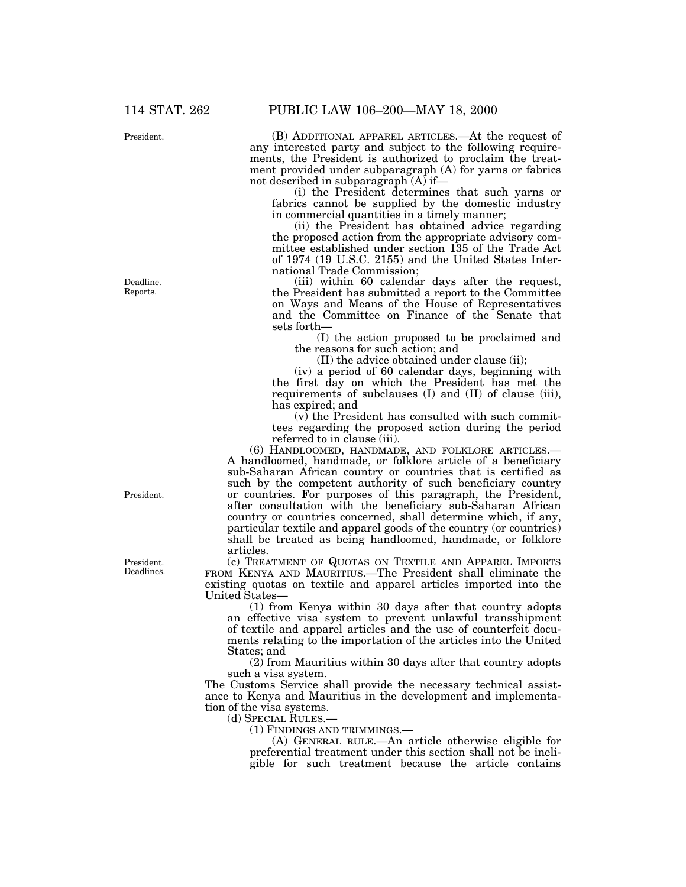President.

Deadline. Reports.

President.

President. Deadlines.

(B) ADDITIONAL APPAREL ARTICLES.—At the request of any interested party and subject to the following requirements, the President is authorized to proclaim the treatment provided under subparagraph (A) for yarns or fabrics not described in subparagraph (A) if—

(i) the President determines that such yarns or fabrics cannot be supplied by the domestic industry in commercial quantities in a timely manner;

(ii) the President has obtained advice regarding the proposed action from the appropriate advisory committee established under section 135 of the Trade Act of 1974 (19 U.S.C. 2155) and the United States International Trade Commission;

(iii) within 60 calendar days after the request, the President has submitted a report to the Committee on Ways and Means of the House of Representatives and the Committee on Finance of the Senate that sets forth—

(I) the action proposed to be proclaimed and the reasons for such action; and

(II) the advice obtained under clause (ii);

(iv) a period of 60 calendar days, beginning with the first day on which the President has met the requirements of subclauses (I) and (II) of clause (iii), has expired; and

(v) the President has consulted with such committees regarding the proposed action during the period referred to in clause (iii).

(6) HANDLOOMED, HANDMADE, AND FOLKLORE ARTICLES.— A handloomed, handmade, or folklore article of a beneficiary sub-Saharan African country or countries that is certified as such by the competent authority of such beneficiary country or countries. For purposes of this paragraph, the President, after consultation with the beneficiary sub-Saharan African country or countries concerned, shall determine which, if any, particular textile and apparel goods of the country (or countries) shall be treated as being handloomed, handmade, or folklore articles.

(c) TREATMENT OF QUOTAS ON TEXTILE AND APPAREL IMPORTS FROM KENYA AND MAURITIUS.—The President shall eliminate the existing quotas on textile and apparel articles imported into the United States—

(1) from Kenya within 30 days after that country adopts an effective visa system to prevent unlawful transshipment of textile and apparel articles and the use of counterfeit documents relating to the importation of the articles into the United States; and

(2) from Mauritius within 30 days after that country adopts such a visa system.

The Customs Service shall provide the necessary technical assistance to Kenya and Mauritius in the development and implementation of the visa systems.

(d) SPECIAL RULES.—

(1) FINDINGS AND TRIMMINGS.—

(A) GENERAL RULE.—An article otherwise eligible for preferential treatment under this section shall not be ineligible for such treatment because the article contains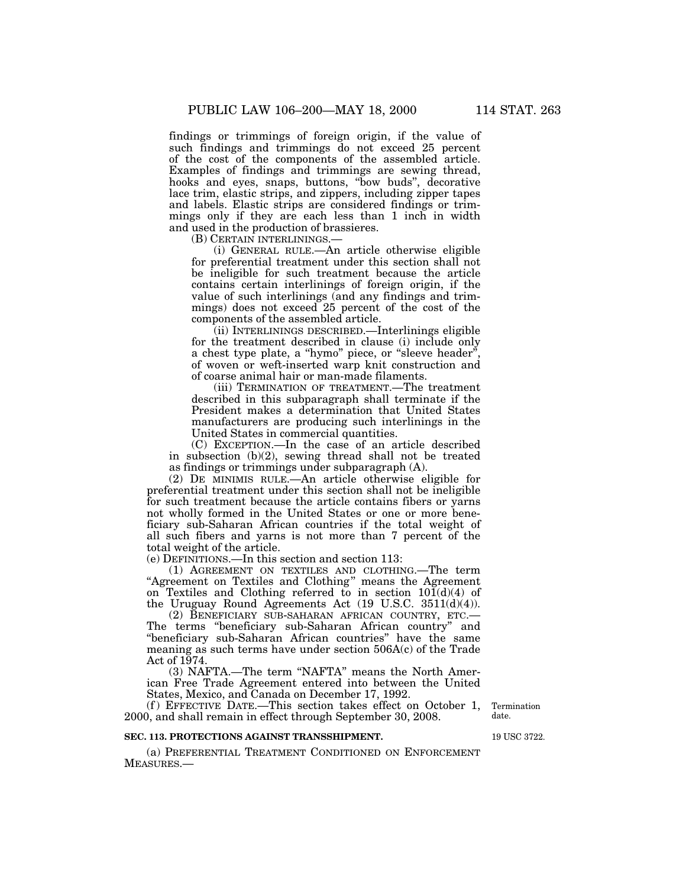findings or trimmings of foreign origin, if the value of such findings and trimmings do not exceed 25 percent of the cost of the components of the assembled article. Examples of findings and trimmings are sewing thread, hooks and eyes, snaps, buttons, "bow buds", decorative lace trim, elastic strips, and zippers, including zipper tapes and labels. Elastic strips are considered findings or trimmings only if they are each less than 1 inch in width and used in the production of brassieres.

(B) CERTAIN INTERLININGS.—

(i) GENERAL RULE.—An article otherwise eligible for preferential treatment under this section shall not be ineligible for such treatment because the article contains certain interlinings of foreign origin, if the value of such interlinings (and any findings and trimmings) does not exceed 25 percent of the cost of the components of the assembled article.

(ii) INTERLININGS DESCRIBED.—Interlinings eligible for the treatment described in clause (i) include only a chest type plate, a "hymo" piece, or "sleeve header" of woven or weft-inserted warp knit construction and of coarse animal hair or man-made filaments.

(iii) TERMINATION OF TREATMENT.—The treatment described in this subparagraph shall terminate if the President makes a determination that United States manufacturers are producing such interlinings in the United States in commercial quantities.

(C) EXCEPTION.—In the case of an article described in subsection (b)(2), sewing thread shall not be treated as findings or trimmings under subparagraph (A).

(2) DE MINIMIS RULE.—An article otherwise eligible for preferential treatment under this section shall not be ineligible for such treatment because the article contains fibers or yarns not wholly formed in the United States or one or more beneficiary sub-Saharan African countries if the total weight of all such fibers and yarns is not more than 7 percent of the total weight of the article.

(e) DEFINITIONS.—In this section and section 113:

(1) AGREEMENT ON TEXTILES AND CLOTHING.—The term "Agreement on Textiles and Clothing" means the Agreement on Textiles and Clothing referred to in section  $10I(d)(4)$  of the Uruguay Round Agreements Act (19 U.S.C. 3511(d)(4)).

(2) BENEFICIARY SUB-SAHARAN AFRICAN COUNTRY, ETC.— The terms ''beneficiary sub-Saharan African country'' and ''beneficiary sub-Saharan African countries'' have the same meaning as such terms have under section 506A(c) of the Trade Act of 1974.

(3) NAFTA.—The term ''NAFTA'' means the North American Free Trade Agreement entered into between the United States, Mexico, and Canada on December 17, 1992.

(f ) EFFECTIVE DATE.—This section takes effect on October 1, 2000, and shall remain in effect through September 30, 2008.

#### **SEC. 113. PROTECTIONS AGAINST TRANSSHIPMENT.**

(a) PREFERENTIAL TREATMENT CONDITIONED ON ENFORCEMENT MEASURES.—

19 USC 3722.

Termination date.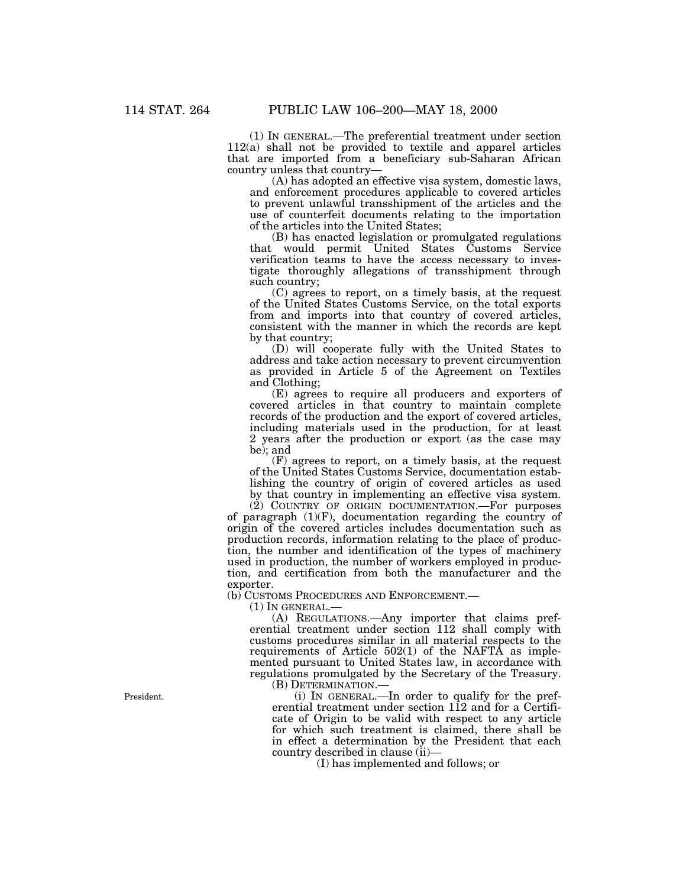(1) IN GENERAL.—The preferential treatment under section 112(a) shall not be provided to textile and apparel articles that are imported from a beneficiary sub-Saharan African country unless that country—

(A) has adopted an effective visa system, domestic laws, and enforcement procedures applicable to covered articles to prevent unlawful transshipment of the articles and the use of counterfeit documents relating to the importation of the articles into the United States;

(B) has enacted legislation or promulgated regulations that would permit United States Customs Service verification teams to have the access necessary to investigate thoroughly allegations of transshipment through such country;

(C) agrees to report, on a timely basis, at the request of the United States Customs Service, on the total exports from and imports into that country of covered articles, consistent with the manner in which the records are kept by that country;

(D) will cooperate fully with the United States to address and take action necessary to prevent circumvention as provided in Article 5 of the Agreement on Textiles and Clothing;

(E) agrees to require all producers and exporters of covered articles in that country to maintain complete records of the production and the export of covered articles, including materials used in the production, for at least 2 years after the production or export (as the case may be); and

(F) agrees to report, on a timely basis, at the request of the United States Customs Service, documentation establishing the country of origin of covered articles as used by that country in implementing an effective visa system.

(2) COUNTRY OF ORIGIN DOCUMENTATION.—For purposes of paragraph  $(1)(F)$ , documentation regarding the country of origin of the covered articles includes documentation such as production records, information relating to the place of production, the number and identification of the types of machinery used in production, the number of workers employed in production, and certification from both the manufacturer and the exporter.

(b) CUSTOMS PROCEDURES AND ENFORCEMENT.—

 $(1)$  In GENERAL. $-$ 

(A) REGULATIONS.—Any importer that claims preferential treatment under section 112 shall comply with customs procedures similar in all material respects to the requirements of Article 502(1) of the NAFTA as implemented pursuant to United States law, in accordance with regulations promulgated by the Secretary of the Treasury. (B) DETERMINATION.—

(i) IN GENERAL.—In order to qualify for the preferential treatment under section 112 and for a Certificate of Origin to be valid with respect to any article for which such treatment is claimed, there shall be in effect a determination by the President that each country described in clause (ii)—

(I) has implemented and follows; or

President.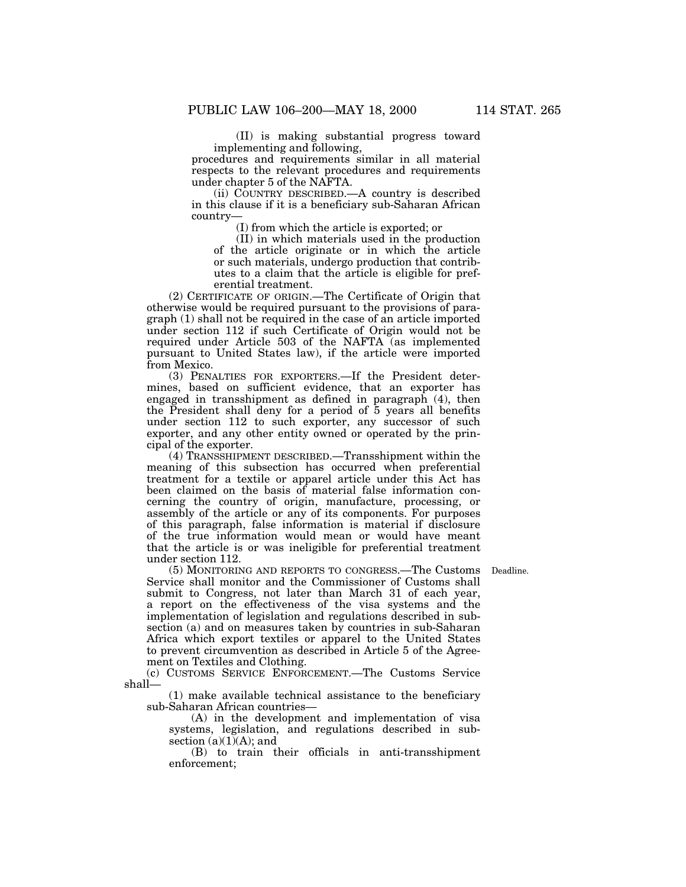(II) is making substantial progress toward implementing and following,

procedures and requirements similar in all material respects to the relevant procedures and requirements under chapter 5 of the NAFTA.

(ii) COUNTRY DESCRIBED.—A country is described in this clause if it is a beneficiary sub-Saharan African country—

(I) from which the article is exported; or

(II) in which materials used in the production of the article originate or in which the article or such materials, undergo production that contributes to a claim that the article is eligible for preferential treatment.

(2) CERTIFICATE OF ORIGIN.—The Certificate of Origin that otherwise would be required pursuant to the provisions of paragraph (1) shall not be required in the case of an article imported under section 112 if such Certificate of Origin would not be required under Article 503 of the NAFTA (as implemented pursuant to United States law), if the article were imported from Mexico.

(3) PENALTIES FOR EXPORTERS.—If the President determines, based on sufficient evidence, that an exporter has engaged in transshipment as defined in paragraph (4), then the President shall deny for a period of 5 years all benefits under section 112 to such exporter, any successor of such exporter, and any other entity owned or operated by the principal of the exporter.

(4) TRANSSHIPMENT DESCRIBED.—Transshipment within the meaning of this subsection has occurred when preferential treatment for a textile or apparel article under this Act has been claimed on the basis of material false information concerning the country of origin, manufacture, processing, or assembly of the article or any of its components. For purposes of this paragraph, false information is material if disclosure of the true information would mean or would have meant that the article is or was ineligible for preferential treatment under section 112.

(5) MONITORING AND REPORTS TO CONGRESS.—The Customs Deadline. Service shall monitor and the Commissioner of Customs shall submit to Congress, not later than March 31 of each year, a report on the effectiveness of the visa systems and the implementation of legislation and regulations described in subsection (a) and on measures taken by countries in sub-Saharan Africa which export textiles or apparel to the United States to prevent circumvention as described in Article 5 of the Agreement on Textiles and Clothing.

(c) CUSTOMS SERVICE ENFORCEMENT.—The Customs Service shall—

(1) make available technical assistance to the beneficiary sub-Saharan African countries—

(A) in the development and implementation of visa systems, legislation, and regulations described in subsection  $(a)(1)(A)$ ; and

(B) to train their officials in anti-transshipment enforcement;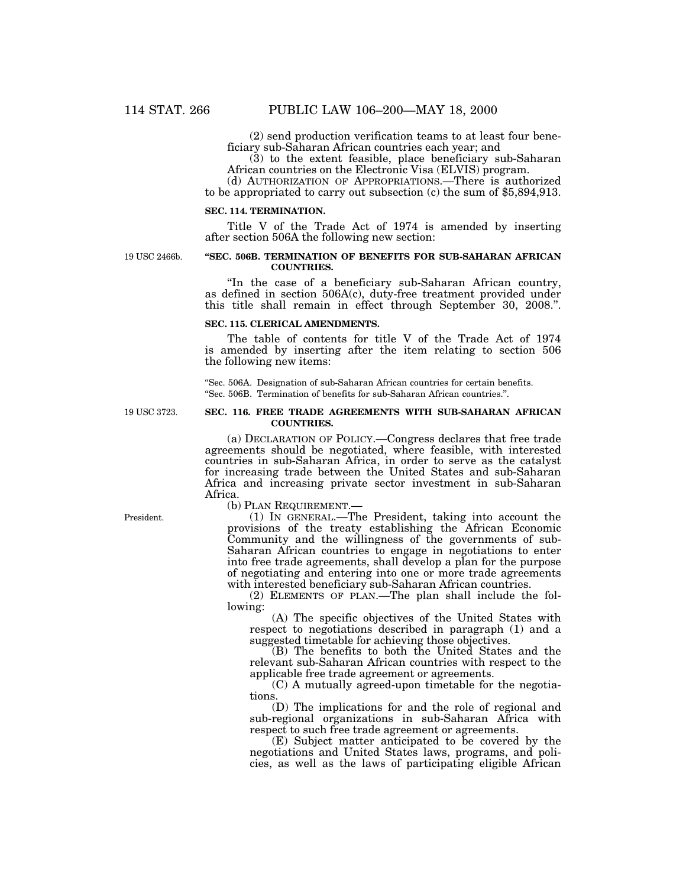(2) send production verification teams to at least four beneficiary sub-Saharan African countries each year; and

(3) to the extent feasible, place beneficiary sub-Saharan African countries on the Electronic Visa (ELVIS) program.

(d) AUTHORIZATION OF APPROPRIATIONS.—There is authorized to be appropriated to carry out subsection (c) the sum of \$5,894,913.

#### **SEC. 114. TERMINATION.**

Title V of the Trade Act of 1974 is amended by inserting after section 506A the following new section:

19 USC 2466b.

#### **''SEC. 506B. TERMINATION OF BENEFITS FOR SUB-SAHARAN AFRICAN COUNTRIES.**

''In the case of a beneficiary sub-Saharan African country, as defined in section 506A(c), duty-free treatment provided under this title shall remain in effect through September 30, 2008.''.

#### **SEC. 115. CLERICAL AMENDMENTS.**

The table of contents for title V of the Trade Act of 1974 is amended by inserting after the item relating to section 506 the following new items:

''Sec. 506A. Designation of sub-Saharan African countries for certain benefits. ''Sec. 506B. Termination of benefits for sub-Saharan African countries.''.

19 USC 3723.

#### **SEC. 116. FREE TRADE AGREEMENTS WITH SUB-SAHARAN AFRICAN COUNTRIES.**

(a) DECLARATION OF POLICY.—Congress declares that free trade agreements should be negotiated, where feasible, with interested countries in sub-Saharan Africa, in order to serve as the catalyst for increasing trade between the United States and sub-Saharan Africa and increasing private sector investment in sub-Saharan Africa.

(b) PLAN REQUIREMENT.—

(1) IN GENERAL.—The President, taking into account the provisions of the treaty establishing the African Economic Community and the willingness of the governments of sub-Saharan African countries to engage in negotiations to enter into free trade agreements, shall develop a plan for the purpose of negotiating and entering into one or more trade agreements with interested beneficiary sub-Saharan African countries.

(2) ELEMENTS OF PLAN.—The plan shall include the following:

(A) The specific objectives of the United States with respect to negotiations described in paragraph (1) and a suggested timetable for achieving those objectives.

(B) The benefits to both the United States and the relevant sub-Saharan African countries with respect to the applicable free trade agreement or agreements.

(C) A mutually agreed-upon timetable for the negotiations.

(D) The implications for and the role of regional and sub-regional organizations in sub-Saharan Africa with respect to such free trade agreement or agreements.

(E) Subject matter anticipated to be covered by the negotiations and United States laws, programs, and policies, as well as the laws of participating eligible African

President.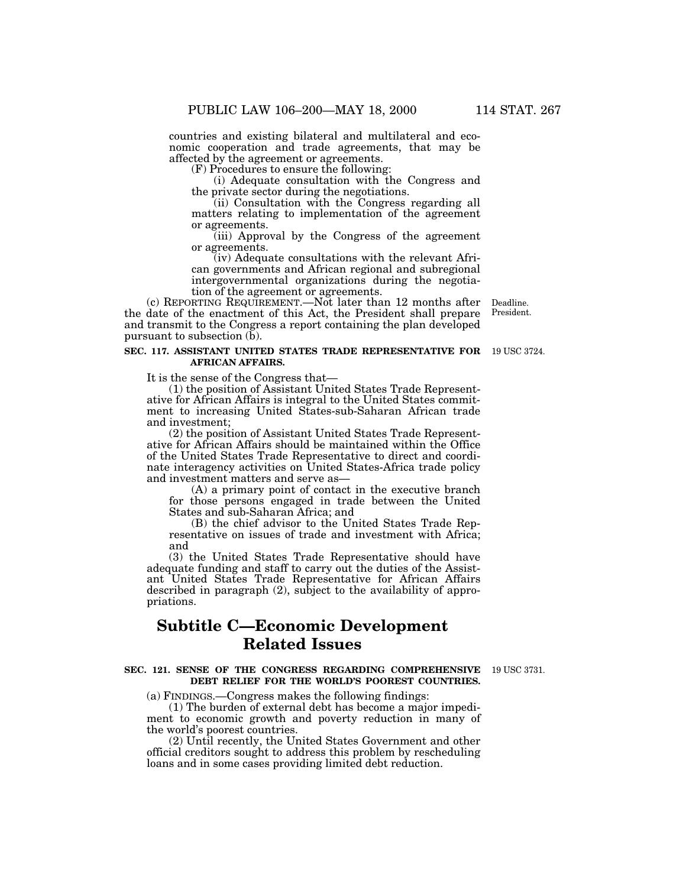countries and existing bilateral and multilateral and economic cooperation and trade agreements, that may be affected by the agreement or agreements.

(F) Procedures to ensure the following:

(i) Adequate consultation with the Congress and the private sector during the negotiations.

(ii) Consultation with the Congress regarding all matters relating to implementation of the agreement or agreements.

(iii) Approval by the Congress of the agreement or agreements.

(iv) Adequate consultations with the relevant African governments and African regional and subregional intergovernmental organizations during the negotiation of the agreement or agreements.

(c) REPORTING REQUIREMENT.—Not later than 12 months after the date of the enactment of this Act, the President shall prepare and transmit to the Congress a report containing the plan developed pursuant to subsection (b).

#### **SEC. 117. ASSISTANT UNITED STATES TRADE REPRESENTATIVE FOR** 19 USC 3724. **AFRICAN AFFAIRS.**

It is the sense of the Congress that—

(1) the position of Assistant United States Trade Representative for African Affairs is integral to the United States commitment to increasing United States-sub-Saharan African trade and investment;

(2) the position of Assistant United States Trade Representative for African Affairs should be maintained within the Office of the United States Trade Representative to direct and coordinate interagency activities on United States-Africa trade policy and investment matters and serve as—

(A) a primary point of contact in the executive branch for those persons engaged in trade between the United States and sub-Saharan Africa; and

(B) the chief advisor to the United States Trade Representative on issues of trade and investment with Africa; and

(3) the United States Trade Representative should have adequate funding and staff to carry out the duties of the Assistant United States Trade Representative for African Affairs described in paragraph (2), subject to the availability of appropriations.

# **Subtitle C—Economic Development Related Issues**

#### **SEC. 121. SENSE OF THE CONGRESS REGARDING COMPREHENSIVE** 19 USC 3731. **DEBT RELIEF FOR THE WORLD'S POOREST COUNTRIES.**

(a) FINDINGS.—Congress makes the following findings:

(1) The burden of external debt has become a major impediment to economic growth and poverty reduction in many of the world's poorest countries.

(2) Until recently, the United States Government and other official creditors sought to address this problem by rescheduling loans and in some cases providing limited debt reduction.

Deadline. President.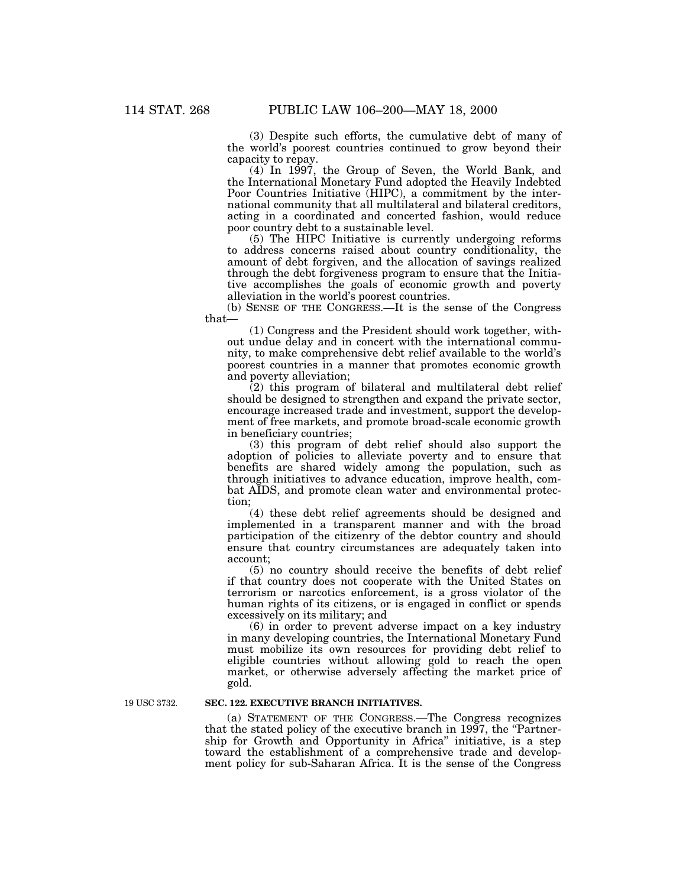(3) Despite such efforts, the cumulative debt of many of the world's poorest countries continued to grow beyond their capacity to repay.

(4) In 1997, the Group of Seven, the World Bank, and the International Monetary Fund adopted the Heavily Indebted Poor Countries Initiative (HIPC), a commitment by the international community that all multilateral and bilateral creditors, acting in a coordinated and concerted fashion, would reduce poor country debt to a sustainable level.

(5) The HIPC Initiative is currently undergoing reforms to address concerns raised about country conditionality, the amount of debt forgiven, and the allocation of savings realized through the debt forgiveness program to ensure that the Initiative accomplishes the goals of economic growth and poverty alleviation in the world's poorest countries.

(b) SENSE OF THE CONGRESS.—It is the sense of the Congress that—

(1) Congress and the President should work together, without undue delay and in concert with the international community, to make comprehensive debt relief available to the world's poorest countries in a manner that promotes economic growth and poverty alleviation;

 $(2)$  this program of bilateral and multilateral debt relief should be designed to strengthen and expand the private sector, encourage increased trade and investment, support the development of free markets, and promote broad-scale economic growth in beneficiary countries;

(3) this program of debt relief should also support the adoption of policies to alleviate poverty and to ensure that benefits are shared widely among the population, such as through initiatives to advance education, improve health, combat AIDS, and promote clean water and environmental protection;

(4) these debt relief agreements should be designed and implemented in a transparent manner and with the broad participation of the citizenry of the debtor country and should ensure that country circumstances are adequately taken into account;

(5) no country should receive the benefits of debt relief if that country does not cooperate with the United States on terrorism or narcotics enforcement, is a gross violator of the human rights of its citizens, or is engaged in conflict or spends excessively on its military; and

(6) in order to prevent adverse impact on a key industry in many developing countries, the International Monetary Fund must mobilize its own resources for providing debt relief to eligible countries without allowing gold to reach the open market, or otherwise adversely affecting the market price of gold.

19 USC 3732.

## **SEC. 122. EXECUTIVE BRANCH INITIATIVES.**

(a) STATEMENT OF THE CONGRESS.—The Congress recognizes that the stated policy of the executive branch in 1997, the ''Partnership for Growth and Opportunity in Africa'' initiative, is a step toward the establishment of a comprehensive trade and development policy for sub-Saharan Africa. It is the sense of the Congress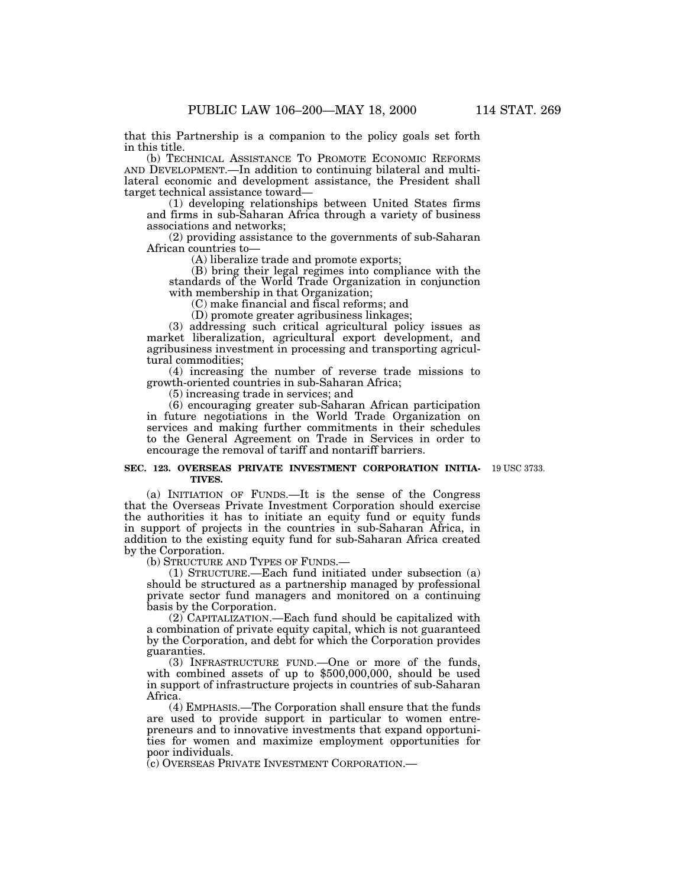that this Partnership is a companion to the policy goals set forth in this title.

(b) TECHNICAL ASSISTANCE TO PROMOTE ECONOMIC REFORMS AND DEVELOPMENT.—In addition to continuing bilateral and multilateral economic and development assistance, the President shall target technical assistance toward—

(1) developing relationships between United States firms and firms in sub-Saharan Africa through a variety of business associations and networks;

(2) providing assistance to the governments of sub-Saharan African countries to—

(A) liberalize trade and promote exports;

(B) bring their legal regimes into compliance with the standards of the World Trade Organization in conjunction with membership in that Organization;

(C) make financial and fiscal reforms; and

(D) promote greater agribusiness linkages;

(3) addressing such critical agricultural policy issues as market liberalization, agricultural export development, and agribusiness investment in processing and transporting agricultural commodities;

(4) increasing the number of reverse trade missions to growth-oriented countries in sub-Saharan Africa;

(5) increasing trade in services; and

(6) encouraging greater sub-Saharan African participation in future negotiations in the World Trade Organization on services and making further commitments in their schedules to the General Agreement on Trade in Services in order to encourage the removal of tariff and nontariff barriers.

#### **SEC. 123. OVERSEAS PRIVATE INVESTMENT CORPORATION INITIA-**19 USC 3733. **TIVES.**

(a) INITIATION OF FUNDS.—It is the sense of the Congress that the Overseas Private Investment Corporation should exercise the authorities it has to initiate an equity fund or equity funds in support of projects in the countries in sub-Saharan Africa, in addition to the existing equity fund for sub-Saharan Africa created by the Corporation.

(b) STRUCTURE AND TYPES OF FUNDS.—

(1) STRUCTURE.—Each fund initiated under subsection (a) should be structured as a partnership managed by professional private sector fund managers and monitored on a continuing basis by the Corporation.

(2) CAPITALIZATION.—Each fund should be capitalized with a combination of private equity capital, which is not guaranteed by the Corporation, and debt for which the Corporation provides guaranties.

(3) INFRASTRUCTURE FUND.—One or more of the funds, with combined assets of up to \$500,000,000, should be used in support of infrastructure projects in countries of sub-Saharan Africa.

(4) EMPHASIS.—The Corporation shall ensure that the funds are used to provide support in particular to women entrepreneurs and to innovative investments that expand opportunities for women and maximize employment opportunities for poor individuals.

(c) OVERSEAS PRIVATE INVESTMENT CORPORATION.—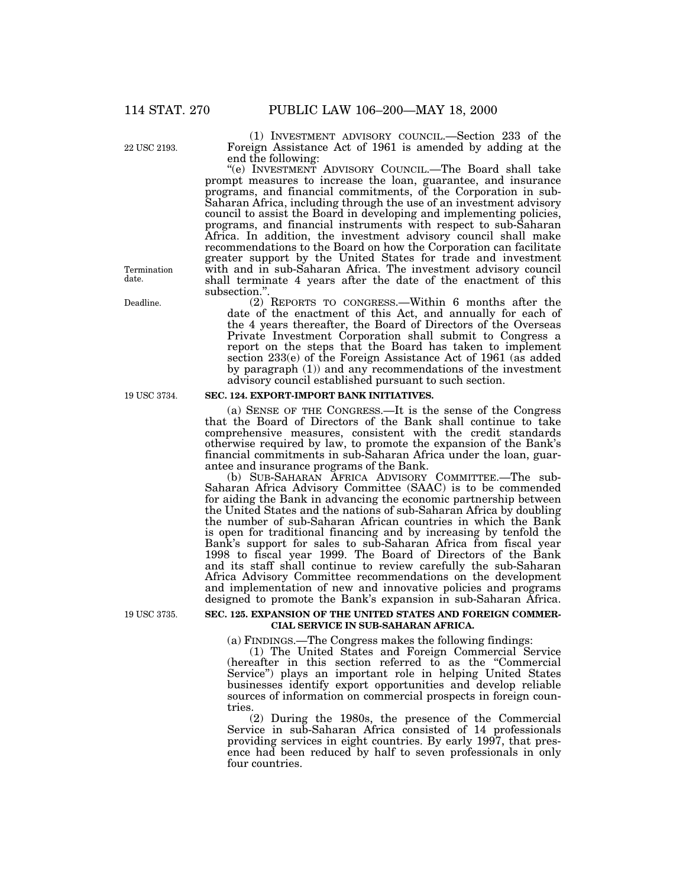22 USC 2193.

(1) INVESTMENT ADVISORY COUNCIL.—Section 233 of the Foreign Assistance Act of 1961 is amended by adding at the end the following:

"(e) INVESTMENT ADVISORY COUNCIL.—The Board shall take prompt measures to increase the loan, guarantee, and insurance programs, and financial commitments, of the Corporation in sub-Saharan Africa, including through the use of an investment advisory council to assist the Board in developing and implementing policies, programs, and financial instruments with respect to sub-Saharan Africa. In addition, the investment advisory council shall make recommendations to the Board on how the Corporation can facilitate greater support by the United States for trade and investment with and in sub-Saharan Africa. The investment advisory council shall terminate 4 years after the date of the enactment of this subsection.''.

(2) REPORTS TO CONGRESS.—Within 6 months after the date of the enactment of this Act, and annually for each of the 4 years thereafter, the Board of Directors of the Overseas Private Investment Corporation shall submit to Congress a report on the steps that the Board has taken to implement section 233(e) of the Foreign Assistance Act of 1961 (as added by paragraph (1)) and any recommendations of the investment advisory council established pursuant to such section.

#### **SEC. 124. EXPORT-IMPORT BANK INITIATIVES.**

(a) SENSE OF THE CONGRESS.—It is the sense of the Congress that the Board of Directors of the Bank shall continue to take comprehensive measures, consistent with the credit standards otherwise required by law, to promote the expansion of the Bank's financial commitments in sub-Saharan Africa under the loan, guarantee and insurance programs of the Bank.

(b) SUB-SAHARAN AFRICA ADVISORY COMMITTEE.—The sub-Saharan Africa Advisory Committee (SAAC) is to be commended for aiding the Bank in advancing the economic partnership between the United States and the nations of sub-Saharan Africa by doubling the number of sub-Saharan African countries in which the Bank is open for traditional financing and by increasing by tenfold the Bank's support for sales to sub-Saharan Africa from fiscal year 1998 to fiscal year 1999. The Board of Directors of the Bank and its staff shall continue to review carefully the sub-Saharan Africa Advisory Committee recommendations on the development and implementation of new and innovative policies and programs designed to promote the Bank's expansion in sub-Saharan Africa. **SEC. 125. EXPANSION OF THE UNITED STATES AND FOREIGN COMMER-**

## 19 USC 3735.

# **CIAL SERVICE IN SUB-SAHARAN AFRICA.**

(a) FINDINGS.—The Congress makes the following findings:

(1) The United States and Foreign Commercial Service (hereafter in this section referred to as the ''Commercial Service'') plays an important role in helping United States businesses identify export opportunities and develop reliable sources of information on commercial prospects in foreign countries.

(2) During the 1980s, the presence of the Commercial Service in sub-Saharan Africa consisted of 14 professionals providing services in eight countries. By early 1997, that presence had been reduced by half to seven professionals in only four countries.

Termination date.

Deadline.

19 USC 3734.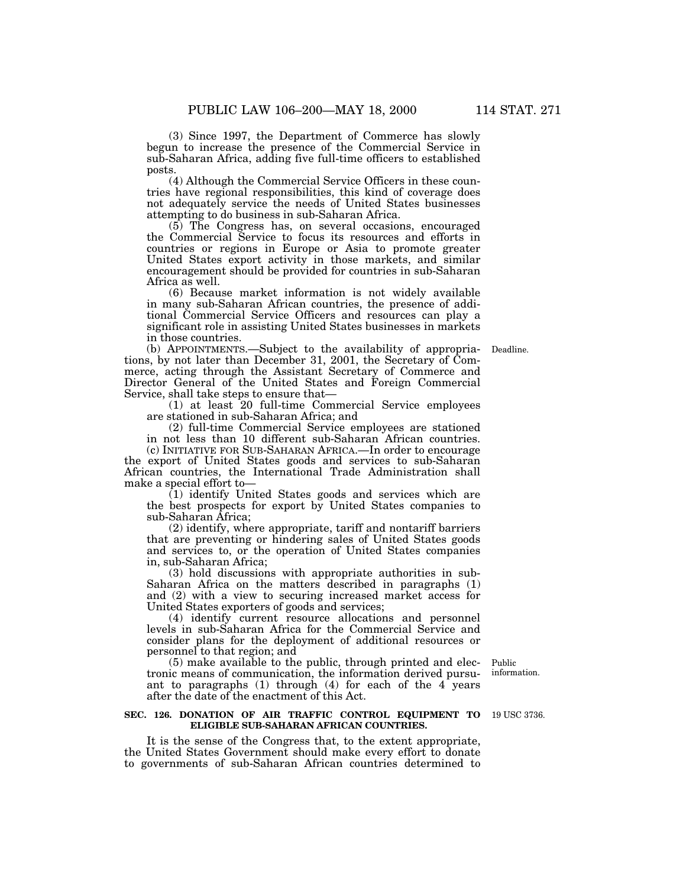(3) Since 1997, the Department of Commerce has slowly begun to increase the presence of the Commercial Service in sub-Saharan Africa, adding five full-time officers to established posts.

(4) Although the Commercial Service Officers in these countries have regional responsibilities, this kind of coverage does not adequately service the needs of United States businesses attempting to do business in sub-Saharan Africa.

(5) The Congress has, on several occasions, encouraged the Commercial Service to focus its resources and efforts in countries or regions in Europe or Asia to promote greater United States export activity in those markets, and similar encouragement should be provided for countries in sub-Saharan Africa as well.

(6) Because market information is not widely available in many sub-Saharan African countries, the presence of additional Commercial Service Officers and resources can play a significant role in assisting United States businesses in markets in those countries.

(b) APPOINTMENTS.—Subject to the availability of appropria-Deadline. tions, by not later than December 31, 2001, the Secretary of Commerce, acting through the Assistant Secretary of Commerce and Director General of the United States and Foreign Commercial Service, shall take steps to ensure that—

(1) at least 20 full-time Commercial Service employees are stationed in sub-Saharan Africa; and

(2) full-time Commercial Service employees are stationed in not less than 10 different sub-Saharan African countries.

(c) INITIATIVE FOR SUB-SAHARAN AFRICA.—In order to encourage the export of United States goods and services to sub-Saharan African countries, the International Trade Administration shall make a special effort to—

(1) identify United States goods and services which are the best prospects for export by United States companies to sub-Saharan Africa;

(2) identify, where appropriate, tariff and nontariff barriers that are preventing or hindering sales of United States goods and services to, or the operation of United States companies in, sub-Saharan Africa;

(3) hold discussions with appropriate authorities in sub-Saharan Africa on the matters described in paragraphs (1) and (2) with a view to securing increased market access for United States exporters of goods and services;

(4) identify current resource allocations and personnel levels in sub-Saharan Africa for the Commercial Service and consider plans for the deployment of additional resources or personnel to that region; and

(5) make available to the public, through printed and electronic means of communication, the information derived pursuant to paragraphs  $(1)$  through  $(4)$  for each of the  $4$  years after the date of the enactment of this Act.

#### **SEC. 126. DONATION OF AIR TRAFFIC CONTROL EQUIPMENT TO** 19 USC 3736. **ELIGIBLE SUB-SAHARAN AFRICAN COUNTRIES.**

It is the sense of the Congress that, to the extent appropriate, the United States Government should make every effort to donate to governments of sub-Saharan African countries determined to

Public information.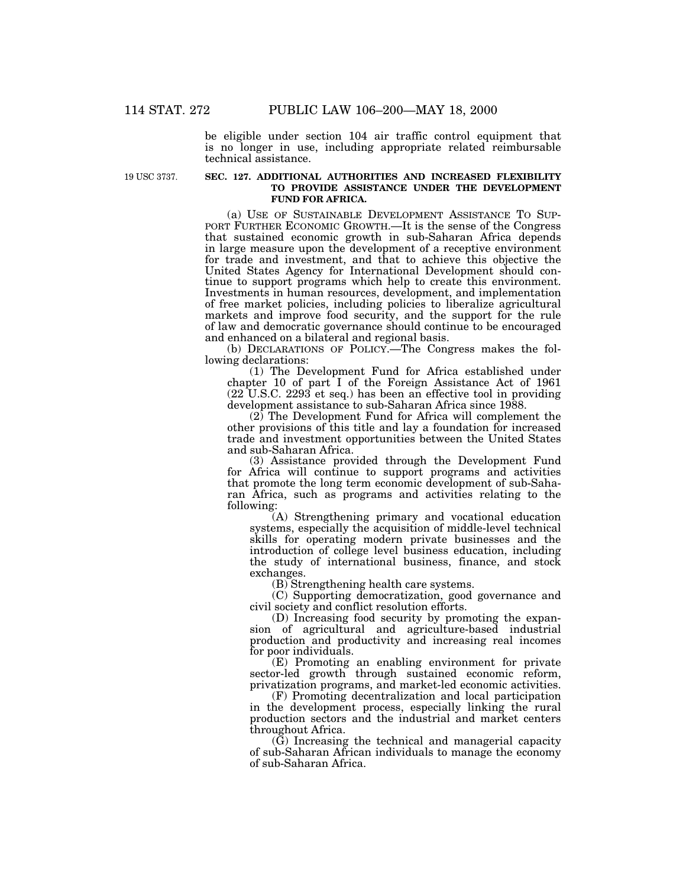be eligible under section 104 air traffic control equipment that is no longer in use, including appropriate related reimbursable technical assistance.

19 USC 3737.

#### **SEC. 127. ADDITIONAL AUTHORITIES AND INCREASED FLEXIBILITY TO PROVIDE ASSISTANCE UNDER THE DEVELOPMENT FUND FOR AFRICA.**

(a) USE OF SUSTAINABLE DEVELOPMENT ASSISTANCE TO SUP-PORT FURTHER ECONOMIC GROWTH.—It is the sense of the Congress that sustained economic growth in sub-Saharan Africa depends in large measure upon the development of a receptive environment for trade and investment, and that to achieve this objective the United States Agency for International Development should continue to support programs which help to create this environment. Investments in human resources, development, and implementation of free market policies, including policies to liberalize agricultural markets and improve food security, and the support for the rule of law and democratic governance should continue to be encouraged and enhanced on a bilateral and regional basis.

(b) DECLARATIONS OF POLICY.—The Congress makes the following declarations:

(1) The Development Fund for Africa established under chapter 10 of part I of the Foreign Assistance Act of 1961 (22 U.S.C. 2293 et seq.) has been an effective tool in providing development assistance to sub-Saharan Africa since 1988.

(2) The Development Fund for Africa will complement the other provisions of this title and lay a foundation for increased trade and investment opportunities between the United States and sub-Saharan Africa.

(3) Assistance provided through the Development Fund for Africa will continue to support programs and activities that promote the long term economic development of sub-Saharan Africa, such as programs and activities relating to the following:

(A) Strengthening primary and vocational education systems, especially the acquisition of middle-level technical skills for operating modern private businesses and the introduction of college level business education, including the study of international business, finance, and stock exchanges.

(B) Strengthening health care systems.

(C) Supporting democratization, good governance and civil society and conflict resolution efforts.

(D) Increasing food security by promoting the expansion of agricultural and agriculture-based industrial production and productivity and increasing real incomes for poor individuals.

(E) Promoting an enabling environment for private sector-led growth through sustained economic reform, privatization programs, and market-led economic activities.

(F) Promoting decentralization and local participation in the development process, especially linking the rural production sectors and the industrial and market centers throughout Africa.

(G) Increasing the technical and managerial capacity of sub-Saharan African individuals to manage the economy of sub-Saharan Africa.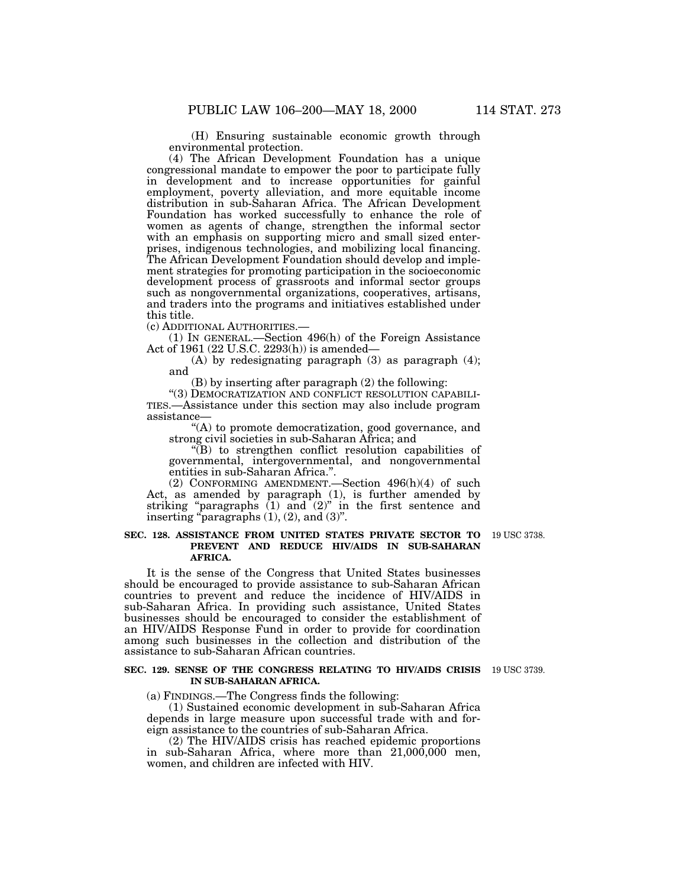(H) Ensuring sustainable economic growth through environmental protection.

(4) The African Development Foundation has a unique congressional mandate to empower the poor to participate fully in development and to increase opportunities for gainful employment, poverty alleviation, and more equitable income distribution in sub-Saharan Africa. The African Development Foundation has worked successfully to enhance the role of women as agents of change, strengthen the informal sector with an emphasis on supporting micro and small sized enterprises, indigenous technologies, and mobilizing local financing. The African Development Foundation should develop and implement strategies for promoting participation in the socioeconomic development process of grassroots and informal sector groups such as nongovernmental organizations, cooperatives, artisans, and traders into the programs and initiatives established under this title.

(c) ADDITIONAL AUTHORITIES.—

(1) IN GENERAL.—Section 496(h) of the Foreign Assistance Act of 1961 (22 U.S.C. 2293(h)) is amended—

(A) by redesignating paragraph (3) as paragraph (4); and

(B) by inserting after paragraph (2) the following:

''(3) DEMOCRATIZATION AND CONFLICT RESOLUTION CAPABILI-TIES.—Assistance under this section may also include program assistance—

''(A) to promote democratization, good governance, and strong civil societies in sub-Saharan Africa; and

 $\sqrt{\text{B}}$  to strengthen conflict resolution capabilities of governmental, intergovernmental, and nongovernmental entities in sub-Saharan Africa.''.

(2) CONFORMING AMENDMENT.—Section 496(h)(4) of such Act, as amended by paragraph (1), is further amended by striking "paragraphs  $(1)$  and  $(2)$ " in the first sentence and inserting "paragraphs  $(1)$ ,  $(2)$ , and  $(3)$ ".

### **SEC. 128. ASSISTANCE FROM UNITED STATES PRIVATE SECTOR TO PREVENT AND REDUCE HIV/AIDS IN SUB-SAHARAN AFRICA.**

It is the sense of the Congress that United States businesses should be encouraged to provide assistance to sub-Saharan African countries to prevent and reduce the incidence of HIV/AIDS in sub-Saharan Africa. In providing such assistance, United States businesses should be encouraged to consider the establishment of an HIV/AIDS Response Fund in order to provide for coordination among such businesses in the collection and distribution of the assistance to sub-Saharan African countries.

#### **SEC. 129. SENSE OF THE CONGRESS RELATING TO HIV/AIDS CRISIS** 19 USC 3739. **IN SUB-SAHARAN AFRICA.**

(a) FINDINGS.—The Congress finds the following:

(1) Sustained economic development in sub-Saharan Africa depends in large measure upon successful trade with and foreign assistance to the countries of sub-Saharan Africa.

(2) The HIV/AIDS crisis has reached epidemic proportions in sub-Saharan Africa, where more than 21,000,000 men, women, and children are infected with HIV.

19 USC 3738.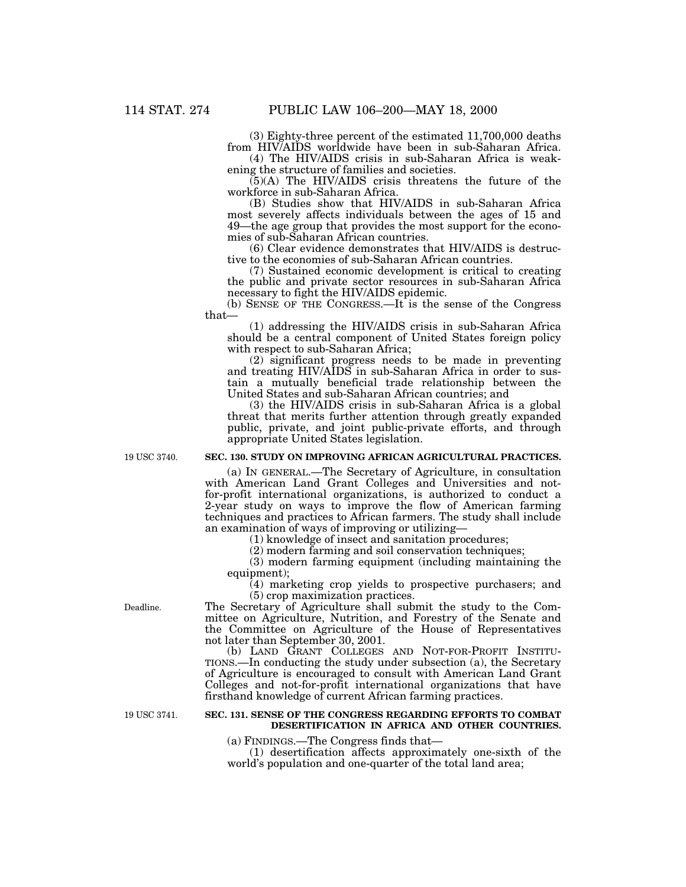(3) Eighty-three percent of the estimated 11,700,000 deaths from HIV/AIDS worldwide have been in sub-Saharan Africa.

(4) The HIV/AIDS crisis in sub-Saharan Africa is weakening the structure of families and societies.

 $(5)(A)$  The HIV/AIDS crisis threatens the future of the workforce in sub-Saharan Africa.

(B) Studies show that HIV/AIDS in sub-Saharan Africa most severely affects individuals between the ages of 15 and 49—the age group that provides the most support for the economies of sub-Saharan African countries.

(6) Clear evidence demonstrates that HIV/AIDS is destructive to the economies of sub-Saharan African countries.

(7) Sustained economic development is critical to creating the public and private sector resources in sub-Saharan Africa necessary to fight the HIV/AIDS epidemic.

(b) SENSE OF THE CONGRESS.—It is the sense of the Congress that—

(1) addressing the HIV/AIDS crisis in sub-Saharan Africa should be a central component of United States foreign policy with respect to sub-Saharan Africa;

(2) significant progress needs to be made in preventing and treating HIV/AIDS in sub-Saharan Africa in order to sustain a mutually beneficial trade relationship between the United States and sub-Saharan African countries; and

(3) the HIV/AIDS crisis in sub-Saharan Africa is a global threat that merits further attention through greatly expanded public, private, and joint public-private efforts, and through appropriate United States legislation.

19 USC 3740.

## **SEC. 130. STUDY ON IMPROVING AFRICAN AGRICULTURAL PRACTICES.**

(a) IN GENERAL.—The Secretary of Agriculture, in consultation with American Land Grant Colleges and Universities and notfor-profit international organizations, is authorized to conduct a 2-year study on ways to improve the flow of American farming techniques and practices to African farmers. The study shall include an examination of ways of improving or utilizing—

(1) knowledge of insect and sanitation procedures;

(2) modern farming and soil conservation techniques;

(3) modern farming equipment (including maintaining the equipment);

(4) marketing crop yields to prospective purchasers; and (5) crop maximization practices.

The Secretary of Agriculture shall submit the study to the Committee on Agriculture, Nutrition, and Forestry of the Senate and the Committee on Agriculture of the House of Representatives not later than September 30, 2001.

(b) LAND GRANT COLLEGES AND NOT-FOR-PROFIT INSTITU-TIONS.—In conducting the study under subsection (a), the Secretary of Agriculture is encouraged to consult with American Land Grant Colleges and not-for-profit international organizations that have firsthand knowledge of current African farming practices.

19 USC 3741.

#### **SEC. 131. SENSE OF THE CONGRESS REGARDING EFFORTS TO COMBAT DESERTIFICATION IN AFRICA AND OTHER COUNTRIES.**

(a) FINDINGS.—The Congress finds that—

(1) desertification affects approximately one-sixth of the world's population and one-quarter of the total land area;

Deadline.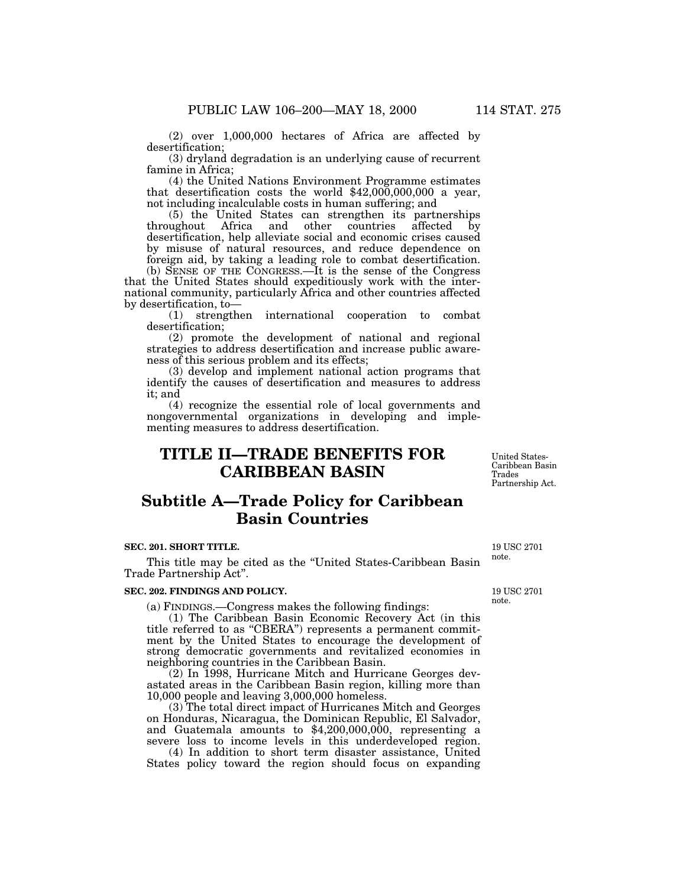(2) over 1,000,000 hectares of Africa are affected by desertification;

(3) dryland degradation is an underlying cause of recurrent famine in Africa;

(4) the United Nations Environment Programme estimates that desertification costs the world \$42,000,000,000 a year, not including incalculable costs in human suffering; and

(5) the United States can strengthen its partnerships throughout Africa and other countries affected by desertification, help alleviate social and economic crises caused by misuse of natural resources, and reduce dependence on foreign aid, by taking a leading role to combat desertification.

(b) SENSE OF THE CONGRESS.—It is the sense of the Congress that the United States should expeditiously work with the international community, particularly Africa and other countries affected by desertification, to—

(1) strengthen international cooperation to combat desertification;

(2) promote the development of national and regional strategies to address desertification and increase public awareness of this serious problem and its effects;

(3) develop and implement national action programs that identify the causes of desertification and measures to address it; and

(4) recognize the essential role of local governments and nongovernmental organizations in developing and implementing measures to address desertification.

# **TITLE II—TRADE BENEFITS FOR CARIBBEAN BASIN**

United States-Caribbean Basin Trades Partnership Act.

# **Subtitle A—Trade Policy for Caribbean Basin Countries**

## **SEC. 201. SHORT TITLE.**

This title may be cited as the ''United States-Caribbean Basin Trade Partnership Act''.

## **SEC. 202. FINDINGS AND POLICY.**

(a) FINDINGS.—Congress makes the following findings:

(1) The Caribbean Basin Economic Recovery Act (in this title referred to as "CBERA") represents a permanent commitment by the United States to encourage the development of strong democratic governments and revitalized economies in neighboring countries in the Caribbean Basin.

(2) In 1998, Hurricane Mitch and Hurricane Georges devastated areas in the Caribbean Basin region, killing more than 10,000 people and leaving 3,000,000 homeless.

(3) The total direct impact of Hurricanes Mitch and Georges on Honduras, Nicaragua, the Dominican Republic, El Salvador, and Guatemala amounts to \$4,200,000,000, representing a severe loss to income levels in this underdeveloped region.

(4) In addition to short term disaster assistance, United States policy toward the region should focus on expanding

19 USC 2701 note.

19 USC 2701 note.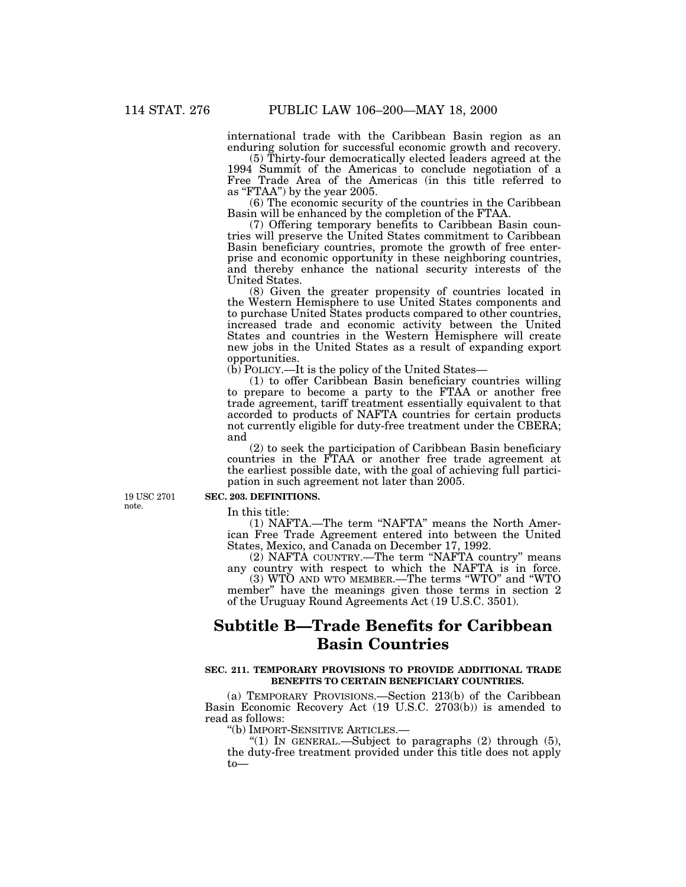international trade with the Caribbean Basin region as an enduring solution for successful economic growth and recovery.

(5) Thirty-four democratically elected leaders agreed at the 1994 Summit of the Americas to conclude negotiation of a Free Trade Area of the Americas (in this title referred to as "FTAA") by the year 2005.

(6) The economic security of the countries in the Caribbean Basin will be enhanced by the completion of the FTAA.

(7) Offering temporary benefits to Caribbean Basin countries will preserve the United States commitment to Caribbean Basin beneficiary countries, promote the growth of free enterprise and economic opportunity in these neighboring countries, and thereby enhance the national security interests of the United States.

(8) Given the greater propensity of countries located in the Western Hemisphere to use United States components and to purchase United States products compared to other countries, increased trade and economic activity between the United States and countries in the Western Hemisphere will create new jobs in the United States as a result of expanding export opportunities.

(b) POLICY.—It is the policy of the United States—

(1) to offer Caribbean Basin beneficiary countries willing to prepare to become a party to the FTAA or another free trade agreement, tariff treatment essentially equivalent to that accorded to products of NAFTA countries for certain products not currently eligible for duty-free treatment under the CBERA; and

(2) to seek the participation of Caribbean Basin beneficiary countries in the FTAA or another free trade agreement at the earliest possible date, with the goal of achieving full participation in such agreement not later than 2005.

19 USC 2701 note.

### **SEC. 203. DEFINITIONS.**

In this title:

(1) NAFTA.—The term ''NAFTA'' means the North American Free Trade Agreement entered into between the United States, Mexico, and Canada on December 17, 1992.

(2) NAFTA COUNTRY.—The term ''NAFTA country'' means any country with respect to which the NAFTA is in force.

(3) WTO AND WTO MEMBER.—The terms ''WTO'' and ''WTO member'' have the meanings given those terms in section 2 of the Uruguay Round Agreements Act (19 U.S.C. 3501).

# **Subtitle B—Trade Benefits for Caribbean Basin Countries**

### **SEC. 211. TEMPORARY PROVISIONS TO PROVIDE ADDITIONAL TRADE BENEFITS TO CERTAIN BENEFICIARY COUNTRIES.**

(a) TEMPORARY PROVISIONS.—Section 213(b) of the Caribbean Basin Economic Recovery Act (19 U.S.C. 2703(b)) is amended to read as follows:

''(b) IMPORT-SENSITIVE ARTICLES.—

"(1) In GENERAL.—Subject to paragraphs  $(2)$  through  $(5)$ , the duty-free treatment provided under this title does not apply to—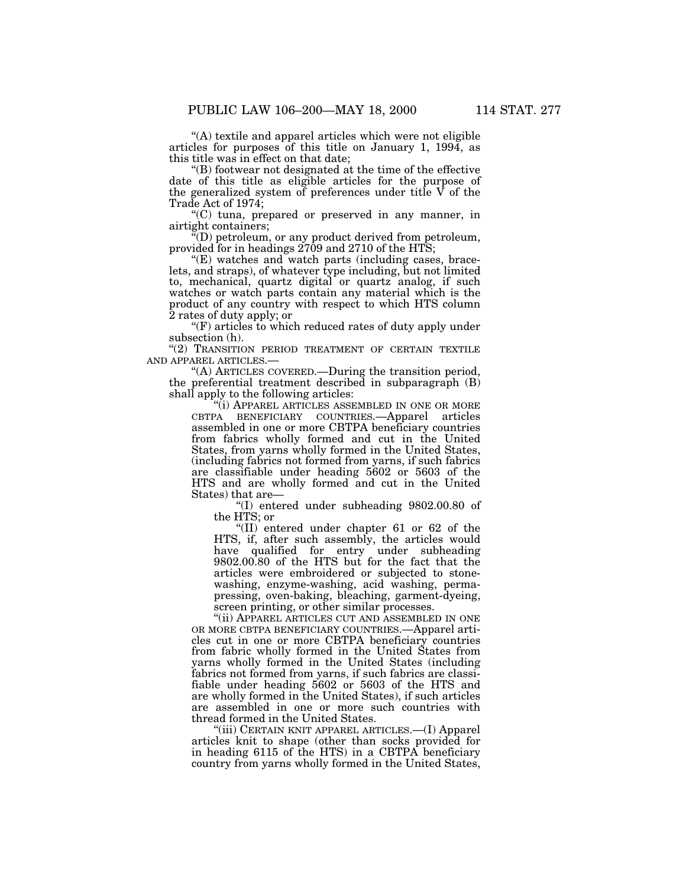''(A) textile and apparel articles which were not eligible articles for purposes of this title on January 1, 1994, as this title was in effect on that date;

''(B) footwear not designated at the time of the effective date of this title as eligible articles for the purpose of the generalized system of preferences under title  $\overline{V}$  of the Trade Act of 1974;

 $C$ ) tuna, prepared or preserved in any manner, in airtight containers;

''(D) petroleum, or any product derived from petroleum, provided for in headings 2709 and 2710 of the HTS;

 $E$ ) watches and watch parts (including cases, bracelets, and straps), of whatever type including, but not limited to, mechanical, quartz digital or quartz analog, if such watches or watch parts contain any material which is the product of any country with respect to which HTS column 2 rates of duty apply; or

''(F) articles to which reduced rates of duty apply under subsection (h).

"(2) TRANSITION PERIOD TREATMENT OF CERTAIN TEXTILE AND APPAREL ARTICLES.—

''(A) ARTICLES COVERED.—During the transition period, the preferential treatment described in subparagraph (B) shall apply to the following articles:

''(i) APPAREL ARTICLES ASSEMBLED IN ONE OR MORE CBTPA BENEFICIARY COUNTRIES.—Apparel articles assembled in one or more CBTPA beneficiary countries from fabrics wholly formed and cut in the United States, from yarns wholly formed in the United States, (including fabrics not formed from yarns, if such fabrics are classifiable under heading 5602 or 5603 of the HTS and are wholly formed and cut in the United States) that are—

''(I) entered under subheading 9802.00.80 of the HTS; or

''(II) entered under chapter 61 or 62 of the HTS, if, after such assembly, the articles would have qualified for entry under subheading 9802.00.80 of the HTS but for the fact that the articles were embroidered or subjected to stonewashing, enzyme-washing, acid washing, permapressing, oven-baking, bleaching, garment-dyeing, screen printing, or other similar processes.

''(ii) APPAREL ARTICLES CUT AND ASSEMBLED IN ONE OR MORE CBTPA BENEFICIARY COUNTRIES.—Apparel articles cut in one or more CBTPA beneficiary countries from fabric wholly formed in the United States from yarns wholly formed in the United States (including fabrics not formed from yarns, if such fabrics are classifiable under heading 5602 or 5603 of the HTS and are wholly formed in the United States), if such articles are assembled in one or more such countries with thread formed in the United States.

''(iii) CERTAIN KNIT APPAREL ARTICLES.—(I) Apparel articles knit to shape (other than socks provided for in heading 6115 of the HTS) in a CBTPA beneficiary country from yarns wholly formed in the United States,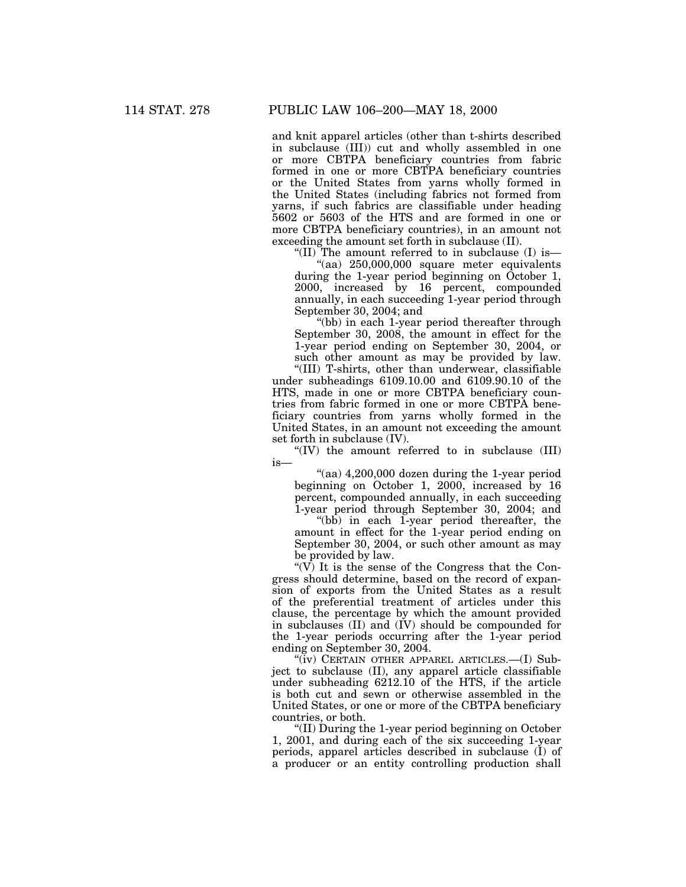and knit apparel articles (other than t-shirts described in subclause (III)) cut and wholly assembled in one or more CBTPA beneficiary countries from fabric formed in one or more CBTPA beneficiary countries or the United States from yarns wholly formed in the United States (including fabrics not formed from yarns, if such fabrics are classifiable under heading 5602 or 5603 of the HTS and are formed in one or more CBTPA beneficiary countries), in an amount not exceeding the amount set forth in subclause (II).

"(II) The amount referred to in subclause  $(I)$  is—

''(aa) 250,000,000 square meter equivalents during the 1-year period beginning on October 1, 2000, increased by 16 percent, compounded annually, in each succeeding 1-year period through September 30, 2004; and

''(bb) in each 1-year period thereafter through September 30, 2008, the amount in effect for the 1-year period ending on September 30, 2004, or such other amount as may be provided by law. ''(III) T-shirts, other than underwear, classifiable

under subheadings 6109.10.00 and 6109.90.10 of the HTS, made in one or more CBTPA beneficiary countries from fabric formed in one or more CBTPA beneficiary countries from yarns wholly formed in the United States, in an amount not exceeding the amount set forth in subclause (IV).

" $(IV)$  the amount referred to in subclause  $(III)$ is—

''(aa) 4,200,000 dozen during the 1-year period beginning on October 1, 2000, increased by 16 percent, compounded annually, in each succeeding 1-year period through September 30, 2004; and

" $(b\bar{b})$  in each 1-year period thereafter, the amount in effect for the 1-year period ending on September 30, 2004, or such other amount as may be provided by law.

"(V) It is the sense of the Congress that the Congress should determine, based on the record of expansion of exports from the United States as a result of the preferential treatment of articles under this clause, the percentage by which the amount provided in subclauses (II) and (IV) should be compounded for the 1-year periods occurring after the 1-year period ending on September 30, 2004.

''(iv) CERTAIN OTHER APPAREL ARTICLES.—(I) Subject to subclause (II), any apparel article classifiable under subheading 6212.10 of the HTS, if the article is both cut and sewn or otherwise assembled in the United States, or one or more of the CBTPA beneficiary countries, or both.

''(II) During the 1-year period beginning on October 1, 2001, and during each of the six succeeding 1-year periods, apparel articles described in subclause (I) of a producer or an entity controlling production shall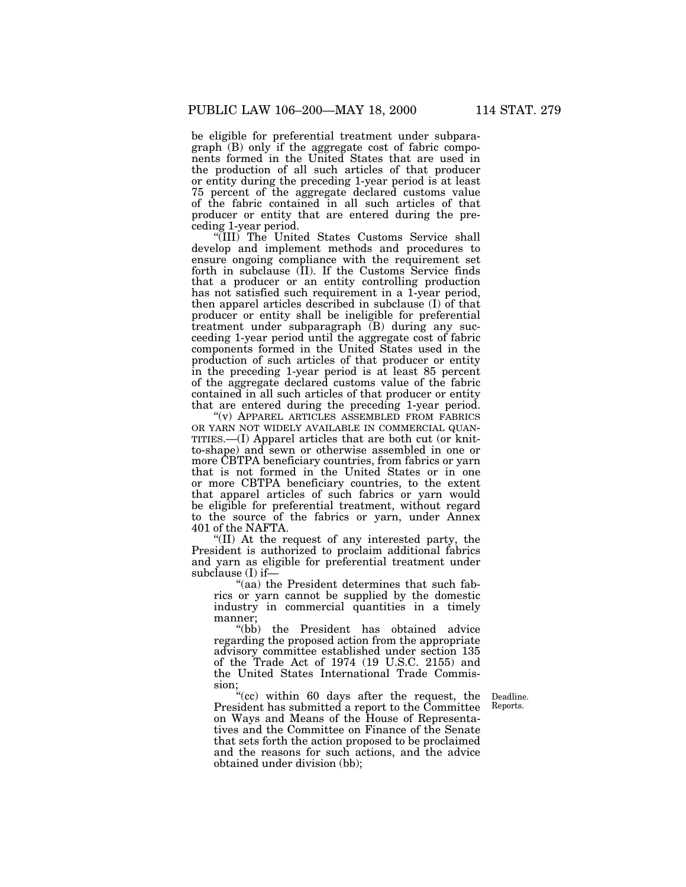be eligible for preferential treatment under subparagraph (B) only if the aggregate cost of fabric components formed in the United States that are used in the production of all such articles of that producer or entity during the preceding 1-year period is at least 75 percent of the aggregate declared customs value of the fabric contained in all such articles of that producer or entity that are entered during the preceding 1-year period.

''(III) The United States Customs Service shall develop and implement methods and procedures to ensure ongoing compliance with the requirement set forth in subclause (II). If the Customs Service finds that a producer or an entity controlling production has not satisfied such requirement in a 1-year period, then apparel articles described in subclause (I) of that producer or entity shall be ineligible for preferential treatment under subparagraph (B) during any succeeding 1-year period until the aggregate cost of fabric components formed in the United States used in the production of such articles of that producer or entity in the preceding 1-year period is at least 85 percent of the aggregate declared customs value of the fabric contained in all such articles of that producer or entity that are entered during the preceding 1-year period.

''(v) APPAREL ARTICLES ASSEMBLED FROM FABRICS OR YARN NOT WIDELY AVAILABLE IN COMMERCIAL QUAN-TITIES.—(I) Apparel articles that are both cut (or knitto-shape) and sewn or otherwise assembled in one or more CBTPA beneficiary countries, from fabrics or yarn that is not formed in the United States or in one or more CBTPA beneficiary countries, to the extent that apparel articles of such fabrics or yarn would be eligible for preferential treatment, without regard to the source of the fabrics or yarn, under Annex 401 of the NAFTA.

''(II) At the request of any interested party, the President is authorized to proclaim additional fabrics and yarn as eligible for preferential treatment under subclause (I) if—

''(aa) the President determines that such fabrics or yarn cannot be supplied by the domestic industry in commercial quantities in a timely manner;

''(bb) the President has obtained advice regarding the proposed action from the appropriate advisory committee established under section 135 of the Trade Act of 1974 (19 U.S.C. 2155) and the United States International Trade Commission;

"(cc) within 60 days after the request, the President has submitted a report to the Committee on Ways and Means of the House of Representatives and the Committee on Finance of the Senate that sets forth the action proposed to be proclaimed and the reasons for such actions, and the advice obtained under division (bb);

Deadline. Reports.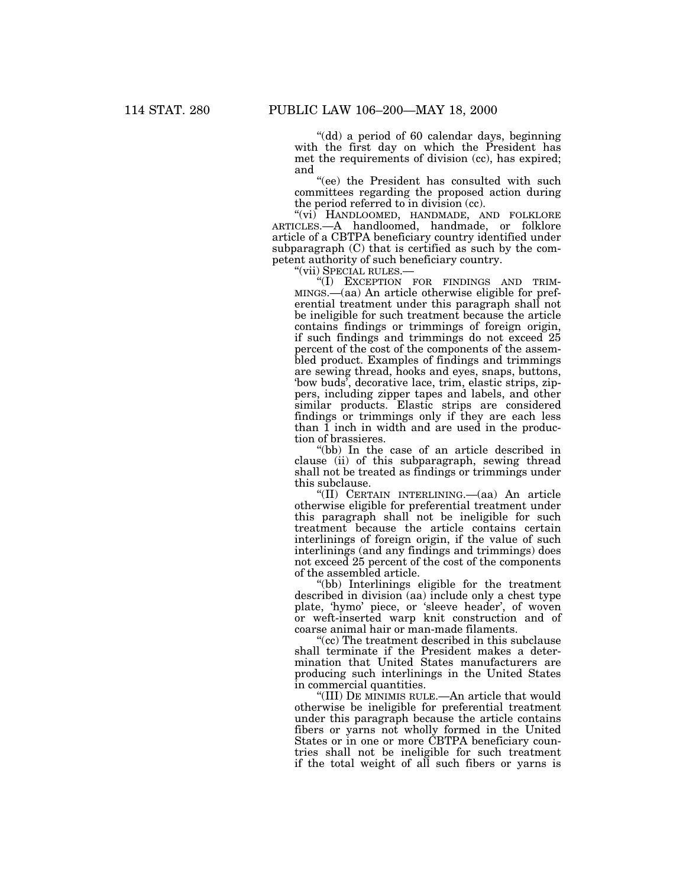''(dd) a period of 60 calendar days, beginning with the first day on which the President has met the requirements of division (cc), has expired; and

''(ee) the President has consulted with such committees regarding the proposed action during the period referred to in division (cc).

"(vi) HANDLOOMED, HANDMADE, AND FOLKLORE ARTICLES.—A handloomed, handmade, or folklore article of a CBTPA beneficiary country identified under subparagraph (C) that is certified as such by the competent authority of such beneficiary country.

''(vii) SPECIAL RULES.—

''(I) EXCEPTION FOR FINDINGS AND TRIM-MINGS.—(aa) An article otherwise eligible for preferential treatment under this paragraph shall not be ineligible for such treatment because the article contains findings or trimmings of foreign origin, if such findings and trimmings do not exceed 25 percent of the cost of the components of the assembled product. Examples of findings and trimmings are sewing thread, hooks and eyes, snaps, buttons, 'bow buds', decorative lace, trim, elastic strips, zippers, including zipper tapes and labels, and other similar products. Elastic strips are considered findings or trimmings only if they are each less than 1 inch in width and are used in the production of brassieres.

''(bb) In the case of an article described in clause (ii) of this subparagraph, sewing thread shall not be treated as findings or trimmings under this subclause.

''(II) CERTAIN INTERLINING.—(aa) An article otherwise eligible for preferential treatment under this paragraph shall not be ineligible for such treatment because the article contains certain interlinings of foreign origin, if the value of such interlinings (and any findings and trimmings) does not exceed 25 percent of the cost of the components of the assembled article.

''(bb) Interlinings eligible for the treatment described in division (aa) include only a chest type plate, 'hymo' piece, or 'sleeve header', of woven or weft-inserted warp knit construction and of coarse animal hair or man-made filaments.

"(cc) The treatment described in this subclause shall terminate if the President makes a determination that United States manufacturers are producing such interlinings in the United States in commercial quantities.

''(III) DE MINIMIS RULE.—An article that would otherwise be ineligible for preferential treatment under this paragraph because the article contains fibers or yarns not wholly formed in the United States or in one or more CBTPA beneficiary countries shall not be ineligible for such treatment if the total weight of all such fibers or yarns is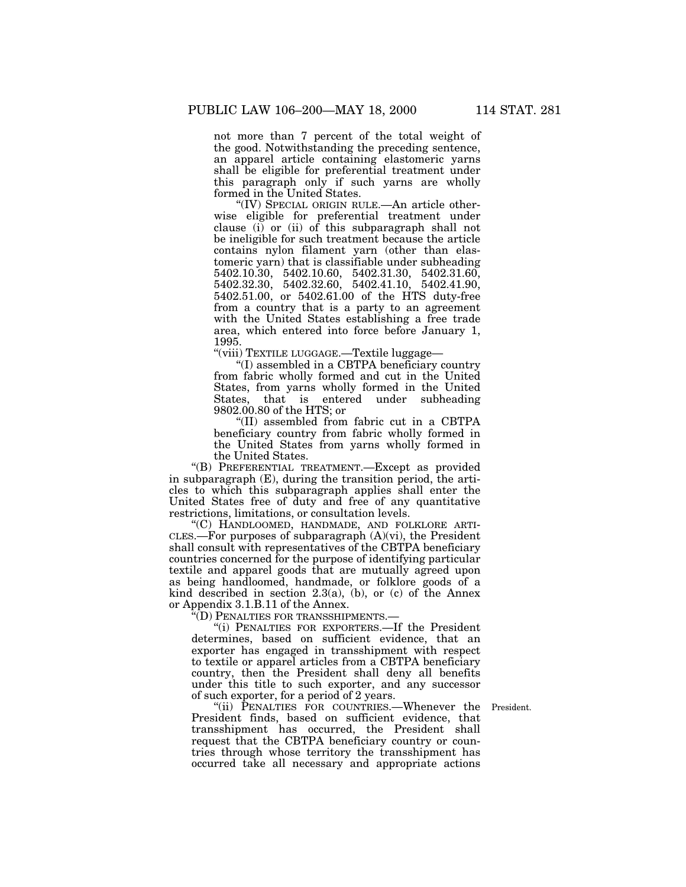not more than 7 percent of the total weight of the good. Notwithstanding the preceding sentence, an apparel article containing elastomeric yarns shall be eligible for preferential treatment under this paragraph only if such yarns are wholly formed in the United States.

''(IV) SPECIAL ORIGIN RULE.—An article otherwise eligible for preferential treatment under clause  $(i)$  or  $(ii)$  of this subparagraph shall not be ineligible for such treatment because the article contains nylon filament yarn (other than elastomeric yarn) that is classifiable under subheading 5402.10.30, 5402.10.60, 5402.31.30, 5402.31.60, 5402.32.30, 5402.32.60, 5402.41.10, 5402.41.90, 5402.51.00, or 5402.61.00 of the HTS duty-free from a country that is a party to an agreement with the United States establishing a free trade area, which entered into force before January 1, 1995.

''(viii) TEXTILE LUGGAGE.—Textile luggage—

''(I) assembled in a CBTPA beneficiary country from fabric wholly formed and cut in the United States, from yarns wholly formed in the United States, that is entered under subheading 9802.00.80 of the HTS; or

''(II) assembled from fabric cut in a CBTPA beneficiary country from fabric wholly formed in the United States from yarns wholly formed in the United States.

''(B) PREFERENTIAL TREATMENT.—Except as provided in subparagraph (E), during the transition period, the articles to which this subparagraph applies shall enter the United States free of duty and free of any quantitative restrictions, limitations, or consultation levels.

''(C) HANDLOOMED, HANDMADE, AND FOLKLORE ARTI- $CLES.$ -For purposes of subparagraph  $(A)(vi)$ , the President shall consult with representatives of the CBTPA beneficiary countries concerned for the purpose of identifying particular textile and apparel goods that are mutually agreed upon as being handloomed, handmade, or folklore goods of a kind described in section  $2.3(a)$ , (b), or (c) of the Annex or Appendix 3.1.B.11 of the Annex.

''(D) PENALTIES FOR TRANSSHIPMENTS.—

''(i) PENALTIES FOR EXPORTERS.—If the President determines, based on sufficient evidence, that an exporter has engaged in transshipment with respect to textile or apparel articles from a CBTPA beneficiary country, then the President shall deny all benefits under this title to such exporter, and any successor of such exporter, for a period of 2 years.

President.

''(ii) PENALTIES FOR COUNTRIES.—Whenever the President finds, based on sufficient evidence, that transshipment has occurred, the President shall request that the CBTPA beneficiary country or countries through whose territory the transshipment has occurred take all necessary and appropriate actions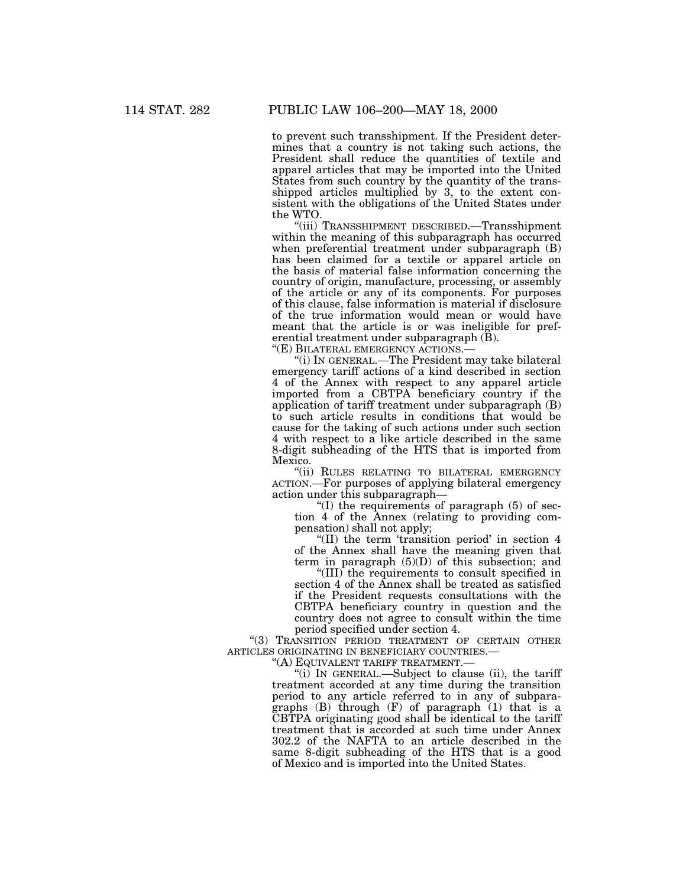to prevent such transshipment. If the President determines that a country is not taking such actions, the President shall reduce the quantities of textile and apparel articles that may be imported into the United States from such country by the quantity of the transshipped articles multiplied by 3, to the extent consistent with the obligations of the United States under the WTO.

''(iii) TRANSSHIPMENT DESCRIBED.—Transshipment within the meaning of this subparagraph has occurred when preferential treatment under subparagraph (B) has been claimed for a textile or apparel article on the basis of material false information concerning the country of origin, manufacture, processing, or assembly of the article or any of its components. For purposes of this clause, false information is material if disclosure of the true information would mean or would have meant that the article is or was ineligible for preferential treatment under subparagraph  $(\mathbf{\bar{B}})$ .

''(E) BILATERAL EMERGENCY ACTIONS.—

''(i) IN GENERAL.—The President may take bilateral emergency tariff actions of a kind described in section 4 of the Annex with respect to any apparel article imported from a CBTPA beneficiary country if the application of tariff treatment under subparagraph (B) to such article results in conditions that would be cause for the taking of such actions under such section 4 with respect to a like article described in the same 8-digit subheading of the HTS that is imported from Mexico.

"(ii) RULES RELATING TO BILATERAL EMERGENCY ACTION.—For purposes of applying bilateral emergency action under this subparagraph—

"(I) the requirements of paragraph  $(5)$  of section 4 of the Annex (relating to providing compensation) shall not apply;

''(II) the term 'transition period' in section 4 of the Annex shall have the meaning given that term in paragraph  $(5)(D)$  of this subsection; and

''(III) the requirements to consult specified in section 4 of the Annex shall be treated as satisfied if the President requests consultations with the CBTPA beneficiary country in question and the country does not agree to consult within the time period specified under section 4.

''(3) TRANSITION PERIOD TREATMENT OF CERTAIN OTHER ARTICLES ORIGINATING IN BENEFICIARY COUNTRIES.—

"(A) EQUIVALENT TARIFF TREATMENT.-

''(i) IN GENERAL.—Subject to clause (ii), the tariff treatment accorded at any time during the transition period to any article referred to in any of subparagraphs  $(B)$  through  $(F)$  of paragraph  $(1)$  that is a CBTPA originating good shall be identical to the tariff treatment that is accorded at such time under Annex 302.2 of the NAFTA to an article described in the same 8-digit subheading of the HTS that is a good of Mexico and is imported into the United States.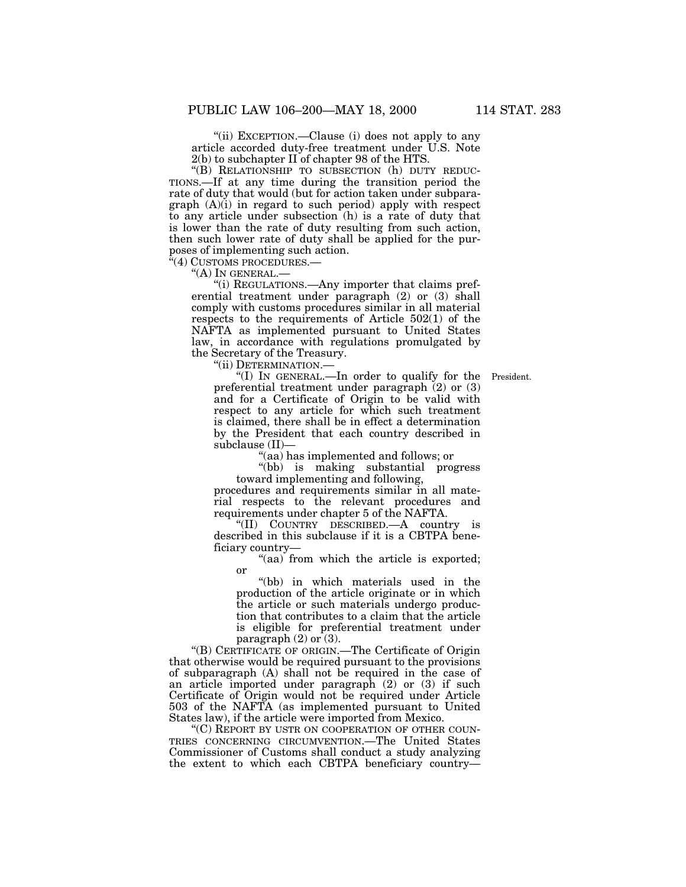''(ii) EXCEPTION.—Clause (i) does not apply to any article accorded duty-free treatment under U.S. Note 2(b) to subchapter II of chapter 98 of the HTS.

''(B) RELATIONSHIP TO SUBSECTION (h) DUTY REDUC-TIONS.—If at any time during the transition period the rate of duty that would (but for action taken under subparagraph  $(A)(i)$  in regard to such period) apply with respect to any article under subsection (h) is a rate of duty that is lower than the rate of duty resulting from such action, then such lower rate of duty shall be applied for the purposes of implementing such action.

''(4) CUSTOMS PROCEDURES.—

''(A) IN GENERAL.—

''(i) REGULATIONS.—Any importer that claims preferential treatment under paragraph (2) or (3) shall comply with customs procedures similar in all material respects to the requirements of Article 502(1) of the NAFTA as implemented pursuant to United States law, in accordance with regulations promulgated by the Secretary of the Treasury.

''(ii) DETERMINATION.—

President.

''(I) IN GENERAL.—In order to qualify for the preferential treatment under paragraph (2) or (3) and for a Certificate of Origin to be valid with respect to any article for which such treatment is claimed, there shall be in effect a determination by the President that each country described in subclause (II)—

''(aa) has implemented and follows; or

''(bb) is making substantial progress toward implementing and following,

procedures and requirements similar in all material respects to the relevant procedures and requirements under chapter 5 of the NAFTA.

''(II) COUNTRY DESCRIBED.—A country is described in this subclause if it is a CBTPA beneficiary country—

"(aa) from which the article is exported; or

"(bb) in which materials used in the production of the article originate or in which the article or such materials undergo production that contributes to a claim that the article is eligible for preferential treatment under paragraph  $(2)$  or  $(3)$ .

''(B) CERTIFICATE OF ORIGIN.—The Certificate of Origin that otherwise would be required pursuant to the provisions of subparagraph (A) shall not be required in the case of an article imported under paragraph (2) or (3) if such Certificate of Origin would not be required under Article 503 of the NAFTA (as implemented pursuant to United States law), if the article were imported from Mexico.

"(C) REPORT BY USTR ON COOPERATION OF OTHER COUN-TRIES CONCERNING CIRCUMVENTION.—The United States Commissioner of Customs shall conduct a study analyzing the extent to which each CBTPA beneficiary country—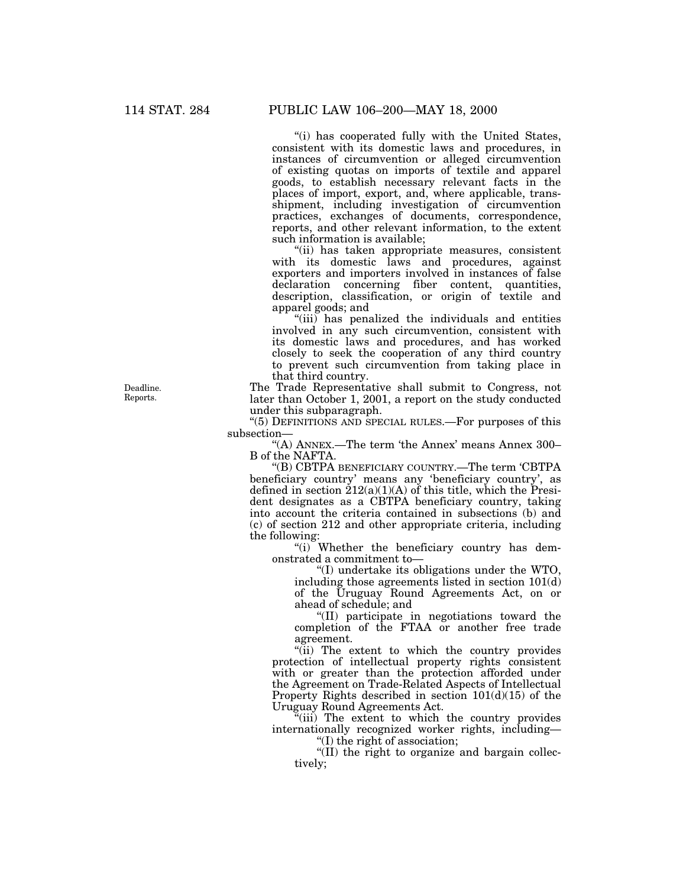''(i) has cooperated fully with the United States, consistent with its domestic laws and procedures, in instances of circumvention or alleged circumvention of existing quotas on imports of textile and apparel goods, to establish necessary relevant facts in the places of import, export, and, where applicable, transshipment, including investigation of circumvention practices, exchanges of documents, correspondence, reports, and other relevant information, to the extent such information is available;

''(ii) has taken appropriate measures, consistent with its domestic laws and procedures, against exporters and importers involved in instances of false declaration concerning fiber content, quantities, description, classification, or origin of textile and apparel goods; and

"(iii) has penalized the individuals and entities involved in any such circumvention, consistent with its domestic laws and procedures, and has worked closely to seek the cooperation of any third country to prevent such circumvention from taking place in that third country.

The Trade Representative shall submit to Congress, not later than October 1, 2001, a report on the study conducted under this subparagraph.

''(5) DEFINITIONS AND SPECIAL RULES.—For purposes of this subsection—

''(A) ANNEX.—The term 'the Annex' means Annex 300– B of the NAFTA.

''(B) CBTPA BENEFICIARY COUNTRY.—The term 'CBTPA beneficiary country' means any 'beneficiary country', as defined in section 212(a)(1)(A) of this title, which the President designates as a CBTPA beneficiary country, taking into account the criteria contained in subsections (b) and (c) of section 212 and other appropriate criteria, including the following:

"(i) Whether the beneficiary country has demonstrated a commitment to—

''(I) undertake its obligations under the WTO, including those agreements listed in section 101(d) of the Uruguay Round Agreements Act, on or ahead of schedule; and

''(II) participate in negotiations toward the completion of the FTAA or another free trade agreement.

''(ii) The extent to which the country provides protection of intellectual property rights consistent with or greater than the protection afforded under the Agreement on Trade-Related Aspects of Intellectual Property Rights described in section 101(d)(15) of the Uruguay Round Agreements Act.

 $\tilde{f}$ (iii) The extent to which the country provides internationally recognized worker rights, including—

''(I) the right of association;

''(II) the right to organize and bargain collectively;

Deadline. Reports.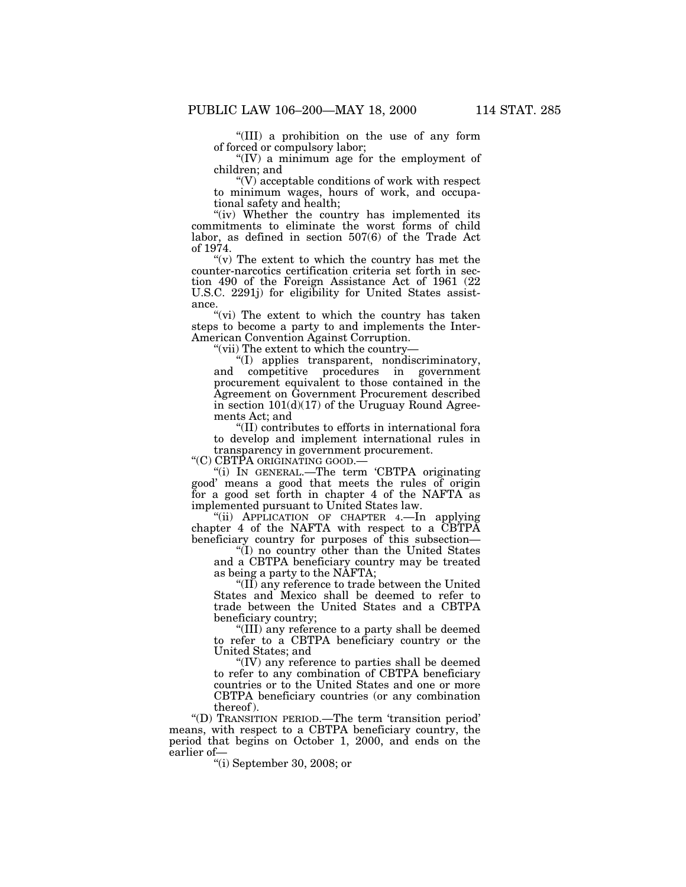''(III) a prohibition on the use of any form of forced or compulsory labor;

''(IV) a minimum age for the employment of children; and

"(V) acceptable conditions of work with respect to minimum wages, hours of work, and occupational safety and health;

"(iv) Whether the country has implemented its commitments to eliminate the worst forms of child labor, as defined in section 507(6) of the Trade Act of 1974.

''(v) The extent to which the country has met the counter-narcotics certification criteria set forth in section 490 of the Foreign Assistance Act of 1961 (22 U.S.C. 2291j) for eligibility for United States assistance.

"(vi) The extent to which the country has taken steps to become a party to and implements the Inter-American Convention Against Corruption.

''(vii) The extent to which the country—

''(I) applies transparent, nondiscriminatory, and competitive procedures in government procurement equivalent to those contained in the Agreement on Government Procurement described in section  $101(d)(17)$  of the Uruguay Round Agreements Act; and

''(II) contributes to efforts in international fora to develop and implement international rules in transparency in government procurement.

''(C) CBTPA ORIGINATING GOOD.—

''(i) IN GENERAL.—The term 'CBTPA originating good' means a good that meets the rules of origin for a good set forth in chapter 4 of the NAFTA as implemented pursuant to United States law.

"(ii) APPLICATION OF CHAPTER 4.—In applying chapter 4 of the NAFTA with respect to a CBTPA beneficiary country for purposes of this subsection—

''(I) no country other than the United States and a CBTPA beneficiary country may be treated as being a party to the NAFTA;

''(II) any reference to trade between the United States and Mexico shall be deemed to refer to trade between the United States and a CBTPA beneficiary country;

''(III) any reference to a party shall be deemed to refer to a CBTPA beneficiary country or the United States; and

''(IV) any reference to parties shall be deemed to refer to any combination of CBTPA beneficiary countries or to the United States and one or more CBTPA beneficiary countries (or any combination thereof ).

''(D) TRANSITION PERIOD.—The term 'transition period' means, with respect to a CBTPA beneficiary country, the period that begins on October 1, 2000, and ends on the earlier of—

''(i) September 30, 2008; or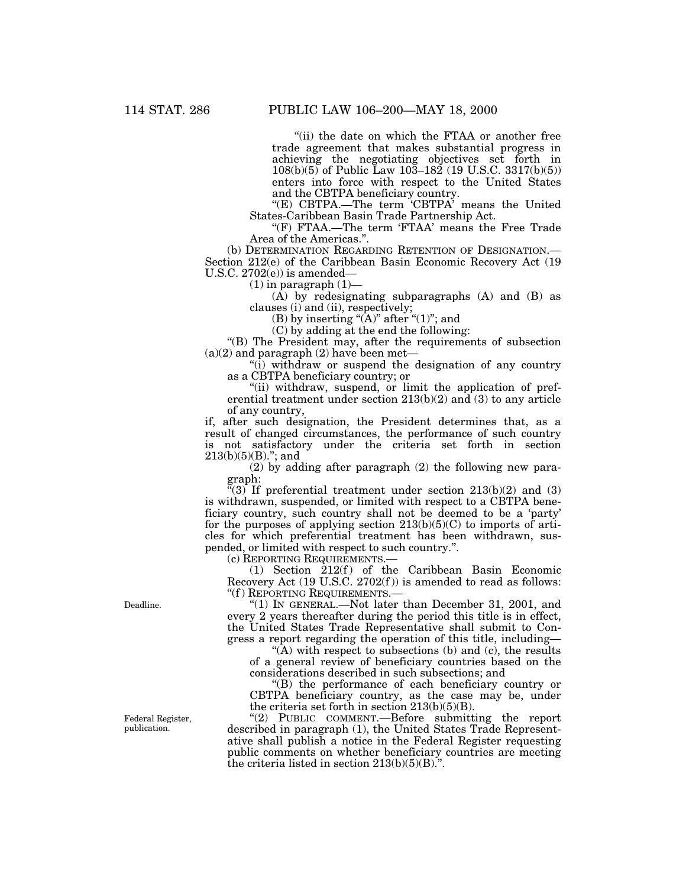"(ii) the date on which the FTAA or another free trade agreement that makes substantial progress in achieving the negotiating objectives set forth in 108(b)(5) of Public Law 103–182 (19 U.S.C. 3317(b)(5)) enters into force with respect to the United States and the CBTPA beneficiary country.

''(E) CBTPA.—The term 'CBTPA' means the United States-Caribbean Basin Trade Partnership Act.

''(F) FTAA.—The term 'FTAA' means the Free Trade Area of the Americas.''.

(b) DETERMINATION REGARDING RETENTION OF DESIGNATION.— Section 212(e) of the Caribbean Basin Economic Recovery Act (19 U.S.C.  $2702(e)$  is amended—

 $(1)$  in paragraph  $(1)$ —

(A) by redesignating subparagraphs (A) and (B) as clauses (i) and (ii), respectively;

(B) by inserting " $(A)$ " after " $(1)$ "; and

(C) by adding at the end the following:

''(B) The President may, after the requirements of subsection  $(a)(2)$  and paragraph  $(2)$  have been met-

''(i) withdraw or suspend the designation of any country as a CBTPA beneficiary country; or

"(ii) withdraw, suspend, or limit the application of preferential treatment under section  $213(b)(2)$  and  $(3)$  to any article of any country,

if, after such designation, the President determines that, as a result of changed circumstances, the performance of such country is not satisfactory under the criteria set forth in section  $213(b)(5)(B)$ ."; and

(2) by adding after paragraph (2) the following new paragraph:

"(3) If preferential treatment under section  $213(b)(2)$  and  $(3)$ is withdrawn, suspended, or limited with respect to a CBTPA beneficiary country, such country shall not be deemed to be a 'party' for the purposes of applying section  $213(b)(5)(C)$  to imports of articles for which preferential treatment has been withdrawn, suspended, or limited with respect to such country.''.

(c) REPORTING REQUIREMENTS.—

 $(1)$  Section 212(f) of the Caribbean Basin Economic Recovery Act (19 U.S.C. 2702(f )) is amended to read as follows: ''(f ) REPORTING REQUIREMENTS.—

''(1) IN GENERAL.—Not later than December 31, 2001, and every 2 years thereafter during the period this title is in effect, the United States Trade Representative shall submit to Congress a report regarding the operation of this title, including—

"(A) with respect to subsections (b) and (c), the results of a general review of beneficiary countries based on the considerations described in such subsections; and

''(B) the performance of each beneficiary country or CBTPA beneficiary country, as the case may be, under the criteria set forth in section  $213(b)(5)(B)$ .

''(2) PUBLIC COMMENT.—Before submitting the report described in paragraph (1), the United States Trade Representative shall publish a notice in the Federal Register requesting public comments on whether beneficiary countries are meeting the criteria listed in section  $213(b)(5)(B)$ .".

Deadline.

Federal Register, publication.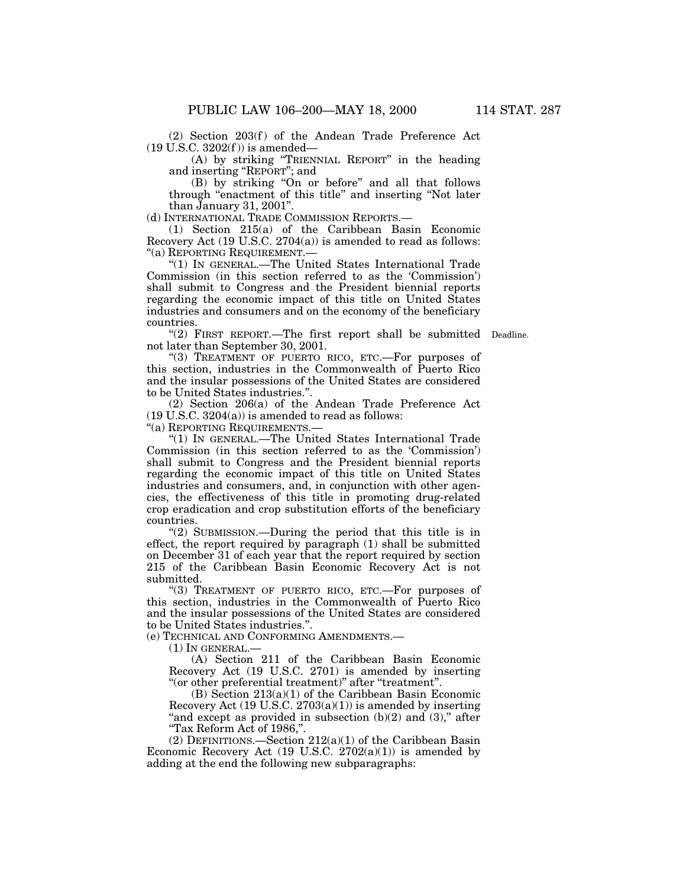(2) Section 203(f) of the Andean Trade Preference Act  $(19 \text{ U.S.C. } 3202(f))$  is amended—

(A) by striking ''TRIENNIAL REPORT'' in the heading and inserting ''REPORT''; and

(B) by striking ''On or before'' and all that follows through ''enactment of this title'' and inserting ''Not later than January 31, 2001''.

(d) INTERNATIONAL TRADE COMMISSION REPORTS.—

(1) Section 215(a) of the Caribbean Basin Economic Recovery Act (19 U.S.C. 2704(a)) is amended to read as follows: ''(a) REPORTING REQUIREMENT.—

''(1) IN GENERAL.—The United States International Trade Commission (in this section referred to as the 'Commission') shall submit to Congress and the President biennial reports regarding the economic impact of this title on United States industries and consumers and on the economy of the beneficiary countries.

"(2) FIRST REPORT.—The first report shall be submitted Deadline. not later than September 30, 2001.

''(3) TREATMENT OF PUERTO RICO, ETC.—For purposes of this section, industries in the Commonwealth of Puerto Rico and the insular possessions of the United States are considered to be United States industries.''.

(2) Section 206(a) of the Andean Trade Preference Act  $(19$  U.S.C.  $3204(a)$  is amended to read as follows:

''(a) REPORTING REQUIREMENTS.—

''(1) IN GENERAL.—The United States International Trade Commission (in this section referred to as the 'Commission') shall submit to Congress and the President biennial reports regarding the economic impact of this title on United States industries and consumers, and, in conjunction with other agencies, the effectiveness of this title in promoting drug-related crop eradication and crop substitution efforts of the beneficiary countries.

"(2) SUBMISSION.—During the period that this title is in effect, the report required by paragraph (1) shall be submitted on December 31 of each year that the report required by section 215 of the Caribbean Basin Economic Recovery Act is not submitted.

"(3) TREATMENT OF PUERTO RICO, ETC.—For purposes of this section, industries in the Commonwealth of Puerto Rico and the insular possessions of the United States are considered to be United States industries.''.

(e) TECHNICAL AND CONFORMING AMENDMENTS.—

(1) IN GENERAL.—

(A) Section 211 of the Caribbean Basin Economic Recovery Act (19 U.S.C. 2701) is amended by inserting ''(or other preferential treatment)'' after ''treatment''.

(B) Section 213(a)(1) of the Caribbean Basin Economic Recovery Act  $(19 \text{ U.S.C. } 2703(a)(1))$  is amended by inserting "and except as provided in subsection  $(b)(2)$  and  $(3)$ ," after ''Tax Reform Act of 1986,''.

(2) DEFINITIONS.—Section  $212(a)(1)$  of the Caribbean Basin Economic Recovery Act  $(19 \text{ U.S.C. } 2702(a)(1))$  is amended by adding at the end the following new subparagraphs: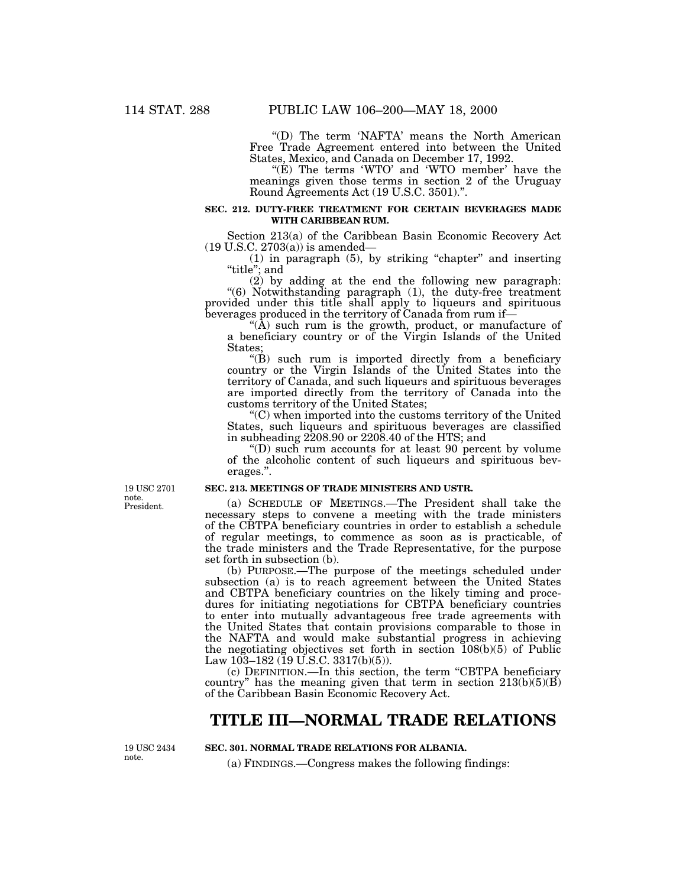''(D) The term 'NAFTA' means the North American Free Trade Agreement entered into between the United States, Mexico, and Canada on December 17, 1992.

" $(E)$  The terms 'WTO' and 'WTO member' have the meanings given those terms in section 2 of the Uruguay Round Agreements Act (19 U.S.C. 3501).''.

## **SEC. 212. DUTY-FREE TREATMENT FOR CERTAIN BEVERAGES MADE WITH CARIBBEAN RUM.**

Section 213(a) of the Caribbean Basin Economic Recovery Act  $(19$  U.S.C.  $2703(a)$  is amended—

(1) in paragraph (5), by striking ''chapter'' and inserting "title"; and

(2) by adding at the end the following new paragraph: ''(6) Notwithstanding paragraph (1), the duty-free treatment provided under this title shall apply to liqueurs and spirituous beverages produced in the territory of Canada from rum if-

"(A) such rum is the growth, product, or manufacture of a beneficiary country or of the Virgin Islands of the United States;

''(B) such rum is imported directly from a beneficiary country or the Virgin Islands of the United States into the territory of Canada, and such liqueurs and spirituous beverages are imported directly from the territory of Canada into the customs territory of the United States;

''(C) when imported into the customs territory of the United States, such liqueurs and spirituous beverages are classified in subheading 2208.90 or 2208.40 of the HTS; and

''(D) such rum accounts for at least 90 percent by volume of the alcoholic content of such liqueurs and spirituous beverages.''.

## **SEC. 213. MEETINGS OF TRADE MINISTERS AND USTR.**

(a) SCHEDULE OF MEETINGS.—The President shall take the necessary steps to convene a meeting with the trade ministers of the CBTPA beneficiary countries in order to establish a schedule of regular meetings, to commence as soon as is practicable, of the trade ministers and the Trade Representative, for the purpose set forth in subsection (b).

(b) PURPOSE.—The purpose of the meetings scheduled under subsection (a) is to reach agreement between the United States and CBTPA beneficiary countries on the likely timing and procedures for initiating negotiations for CBTPA beneficiary countries to enter into mutually advantageous free trade agreements with the United States that contain provisions comparable to those in the NAFTA and would make substantial progress in achieving the negotiating objectives set forth in section 108(b)(5) of Public Law  $103-182$  (19 U.S.C. 3317(b)(5)).

(c) DEFINITION.—In this section, the term ''CBTPA beneficiary country" has the meaning given that term in section  $213(b)(5)(B)$ of the Caribbean Basin Economic Recovery Act.

## **TITLE III—NORMAL TRADE RELATIONS**

19 USC 2434 note.

**SEC. 301. NORMAL TRADE RELATIONS FOR ALBANIA.**

(a) FINDINGS.—Congress makes the following findings:

President. 19 USC 2701 note.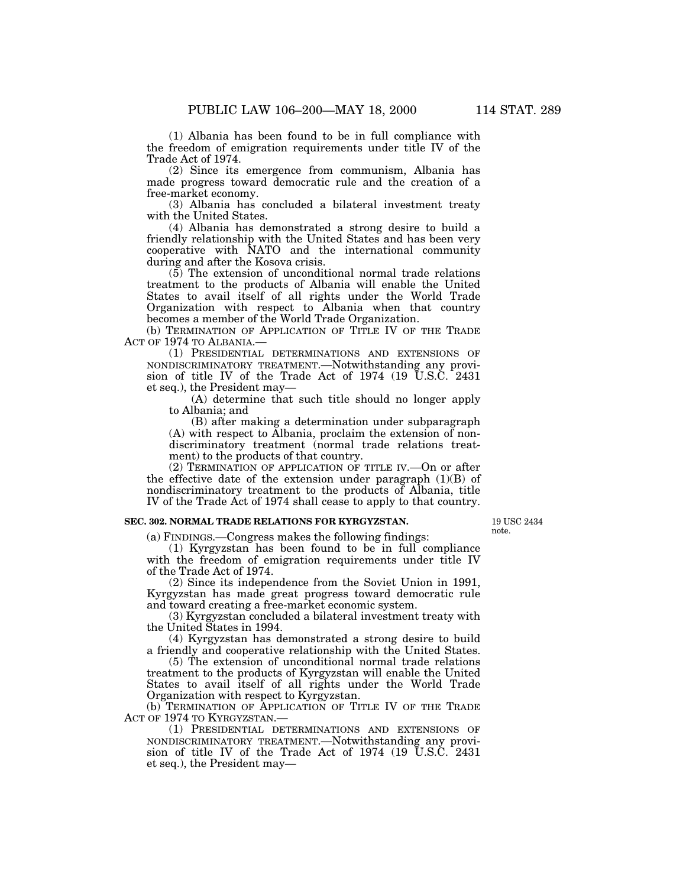(1) Albania has been found to be in full compliance with the freedom of emigration requirements under title IV of the Trade Act of 1974.

(2) Since its emergence from communism, Albania has made progress toward democratic rule and the creation of a free-market economy.

(3) Albania has concluded a bilateral investment treaty with the United States.

(4) Albania has demonstrated a strong desire to build a friendly relationship with the United States and has been very cooperative with NATO and the international community during and after the Kosova crisis.

(5) The extension of unconditional normal trade relations treatment to the products of Albania will enable the United States to avail itself of all rights under the World Trade Organization with respect to Albania when that country becomes a member of the World Trade Organization.

(b) TERMINATION OF APPLICATION OF TITLE IV OF THE TRADE ACT OF 1974 TO ALBANIA.

(1) PRESIDENTIAL DETERMINATIONS AND EXTENSIONS OF NONDISCRIMINATORY TREATMENT.—Notwithstanding any provision of title IV of the Trade Act of 1974 (19 U.S.C. 2431 et seq.), the President may—

(A) determine that such title should no longer apply to Albania; and

(B) after making a determination under subparagraph (A) with respect to Albania, proclaim the extension of nondiscriminatory treatment (normal trade relations treatment) to the products of that country.

(2) TERMINATION OF APPLICATION OF TITLE IV.—On or after the effective date of the extension under paragraph (1)(B) of nondiscriminatory treatment to the products of Albania, title IV of the Trade Act of 1974 shall cease to apply to that country.

### **SEC. 302. NORMAL TRADE RELATIONS FOR KYRGYZSTAN.**

19 USC 2434 note.

(a) FINDINGS.—Congress makes the following findings:

(1) Kyrgyzstan has been found to be in full compliance with the freedom of emigration requirements under title IV of the Trade Act of 1974.

(2) Since its independence from the Soviet Union in 1991, Kyrgyzstan has made great progress toward democratic rule and toward creating a free-market economic system.

(3) Kyrgyzstan concluded a bilateral investment treaty with the United States in 1994.

(4) Kyrgyzstan has demonstrated a strong desire to build a friendly and cooperative relationship with the United States.

(5) The extension of unconditional normal trade relations treatment to the products of Kyrgyzstan will enable the United States to avail itself of all rights under the World Trade Organization with respect to Kyrgyzstan.

(b) TERMINATION OF APPLICATION OF TITLE IV OF THE TRADE ACT OF 1974 TO KYRGYZSTAN.

(1) PRESIDENTIAL DETERMINATIONS AND EXTENSIONS OF NONDISCRIMINATORY TREATMENT.—Notwithstanding any provision of title IV of the Trade Act of 1974 (19 U.S.C. 2431 et seq.), the President may—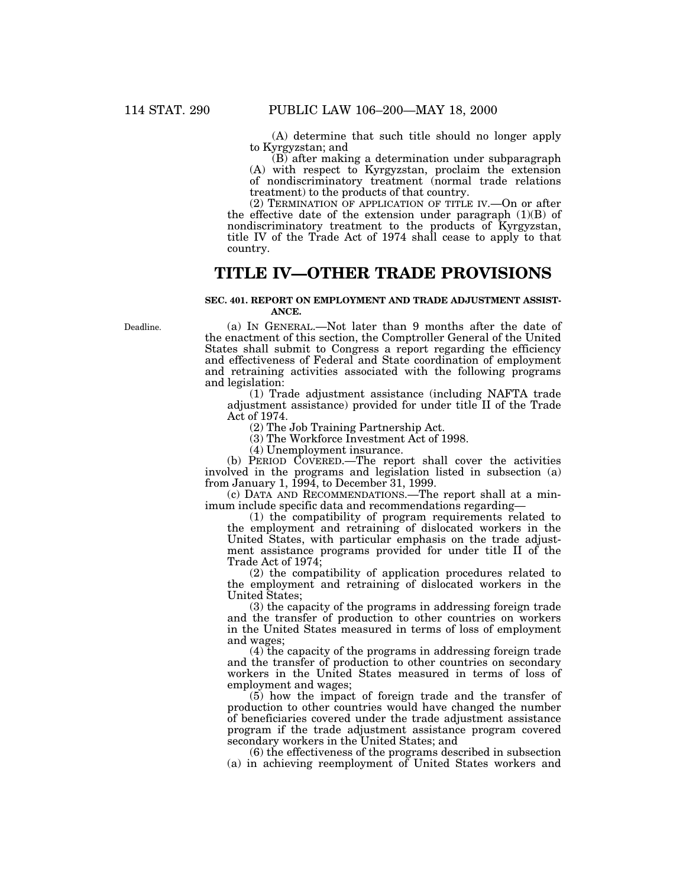(A) determine that such title should no longer apply to Kyrgyzstan; and

(B) after making a determination under subparagraph (A) with respect to Kyrgyzstan, proclaim the extension of nondiscriminatory treatment (normal trade relations treatment) to the products of that country.

(2) TERMINATION OF APPLICATION OF TITLE IV.—On or after the effective date of the extension under paragraph  $(1)(B)$  of nondiscriminatory treatment to the products of Kyrgyzstan, title IV of the Trade Act of 1974 shall cease to apply to that country.

# **TITLE IV—OTHER TRADE PROVISIONS**

### **SEC. 401. REPORT ON EMPLOYMENT AND TRADE ADJUSTMENT ASSIST-ANCE.**

Deadline.

(a) IN GENERAL.—Not later than 9 months after the date of the enactment of this section, the Comptroller General of the United States shall submit to Congress a report regarding the efficiency and effectiveness of Federal and State coordination of employment and retraining activities associated with the following programs and legislation:

(1) Trade adjustment assistance (including NAFTA trade adjustment assistance) provided for under title II of the Trade Act of 1974.

(2) The Job Training Partnership Act.

(3) The Workforce Investment Act of 1998.

(4) Unemployment insurance.

(b) PERIOD COVERED.—The report shall cover the activities involved in the programs and legislation listed in subsection (a) from January 1, 1994, to December 31, 1999.

(c) DATA AND RECOMMENDATIONS.—The report shall at a minimum include specific data and recommendations regarding—

(1) the compatibility of program requirements related to the employment and retraining of dislocated workers in the United States, with particular emphasis on the trade adjustment assistance programs provided for under title II of the Trade Act of 1974;

(2) the compatibility of application procedures related to the employment and retraining of dislocated workers in the United States;

(3) the capacity of the programs in addressing foreign trade and the transfer of production to other countries on workers in the United States measured in terms of loss of employment and wages;

(4) the capacity of the programs in addressing foreign trade and the transfer of production to other countries on secondary workers in the United States measured in terms of loss of employment and wages;

(5) how the impact of foreign trade and the transfer of production to other countries would have changed the number of beneficiaries covered under the trade adjustment assistance program if the trade adjustment assistance program covered secondary workers in the United States; and

(6) the effectiveness of the programs described in subsection (a) in achieving reemployment of United States workers and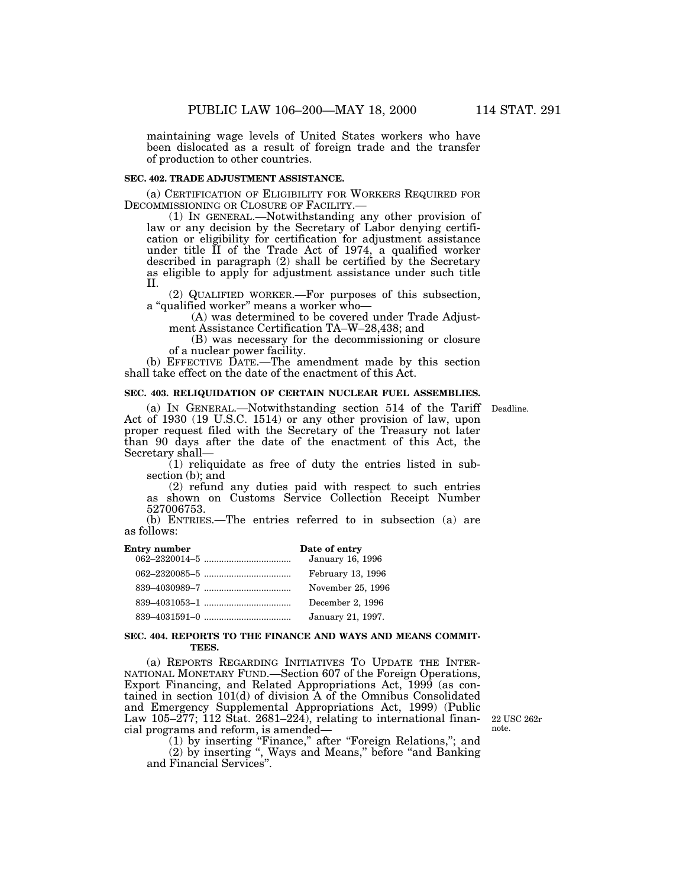maintaining wage levels of United States workers who have been dislocated as a result of foreign trade and the transfer of production to other countries.

#### **SEC. 402. TRADE ADJUSTMENT ASSISTANCE.**

(a) CERTIFICATION OF ELIGIBILITY FOR WORKERS REQUIRED FOR DECOMMISSIONING OR CLOSURE OF FACILITY.—

(1) IN GENERAL.—Notwithstanding any other provision of law or any decision by the Secretary of Labor denying certification or eligibility for certification for adjustment assistance under title II of the Trade Act of 1974, a qualified worker described in paragraph (2) shall be certified by the Secretary as eligible to apply for adjustment assistance under such title II.

(2) QUALIFIED WORKER.—For purposes of this subsection, a "qualified worker" means a worker who-

(A) was determined to be covered under Trade Adjustment Assistance Certification TA–W–28,438; and

(B) was necessary for the decommissioning or closure of a nuclear power facility.

(b) EFFECTIVE DATE.—The amendment made by this section shall take effect on the date of the enactment of this Act.

### **SEC. 403. RELIQUIDATION OF CERTAIN NUCLEAR FUEL ASSEMBLIES.**

Deadline.

(a) IN GENERAL.—Notwithstanding section 514 of the Tariff Act of 1930 (19 U.S.C. 1514) or any other provision of law, upon proper request filed with the Secretary of the Treasury not later than 90 days after the date of the enactment of this Act, the Secretary shall—

(1) reliquidate as free of duty the entries listed in subsection (b); and

(2) refund any duties paid with respect to such entries as shown on Customs Service Collection Receipt Number 527006753.

(b) ENTRIES.—The entries referred to in subsection (a) are as follows:

| Entry number | Date of entry     |
|--------------|-------------------|
|              | January 16, 1996  |
|              | February 13, 1996 |
|              | November 25, 1996 |
|              | December 2, 1996  |
|              | January 21, 1997. |
|              |                   |

### **SEC. 404. REPORTS TO THE FINANCE AND WAYS AND MEANS COMMIT-TEES.**

(a) REPORTS REGARDING INITIATIVES TO UPDATE THE INTER-NATIONAL MONETARY FUND.—Section 607 of the Foreign Operations, Export Financing, and Related Appropriations Act, 1999 (as contained in section 101(d) of division A of the Omnibus Consolidated and Emergency Supplemental Appropriations Act, 1999) (Public Law 105–277; 112 Stat. 2681–224), relating to international financial programs and reform, is amended—

22 USC 262r note.

(1) by inserting "Finance," after "Foreign Relations,"; and

(2) by inserting '', Ways and Means,'' before ''and Banking and Financial Services''.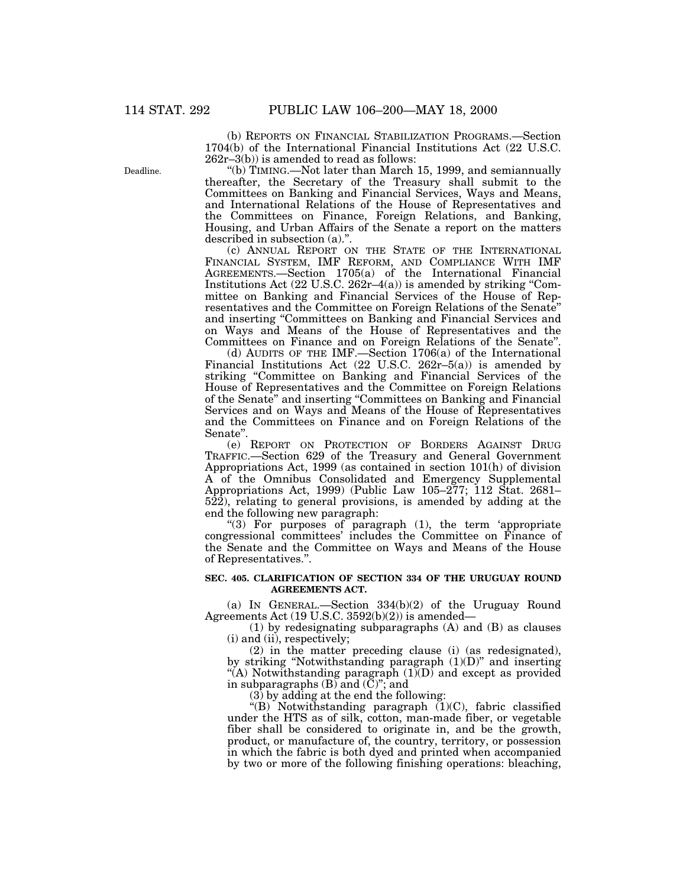(b) REPORTS ON FINANCIAL STABILIZATION PROGRAMS.—Section 1704(b) of the International Financial Institutions Act (22 U.S.C. 262r–3(b)) is amended to read as follows:

''(b) TIMING.—Not later than March 15, 1999, and semiannually thereafter, the Secretary of the Treasury shall submit to the Committees on Banking and Financial Services, Ways and Means, and International Relations of the House of Representatives and the Committees on Finance, Foreign Relations, and Banking, Housing, and Urban Affairs of the Senate a report on the matters described in subsection (a).''.

(c) ANNUAL REPORT ON THE STATE OF THE INTERNATIONAL FINANCIAL SYSTEM, IMF REFORM, AND COMPLIANCE WITH IMF AGREEMENTS.—Section 1705(a) of the International Financial Institutions Act  $(22 \text{ U.S.C. } 262r-4(a))$  is amended by striking "Committee on Banking and Financial Services of the House of Representatives and the Committee on Foreign Relations of the Senate'' and inserting ''Committees on Banking and Financial Services and on Ways and Means of the House of Representatives and the Committees on Finance and on Foreign Relations of the Senate''.

(d) AUDITS OF THE IMF.—Section 1706(a) of the International Financial Institutions Act (22 U.S.C. 262r–5(a)) is amended by striking "Committee on Banking and Financial Services of the House of Representatives and the Committee on Foreign Relations of the Senate'' and inserting ''Committees on Banking and Financial Services and on Ways and Means of the House of Representatives and the Committees on Finance and on Foreign Relations of the Senate''.

(e) REPORT ON PROTECTION OF BORDERS AGAINST DRUG TRAFFIC.—Section 629 of the Treasury and General Government Appropriations Act, 1999 (as contained in section 101(h) of division A of the Omnibus Consolidated and Emergency Supplemental Appropriations Act, 1999) (Public Law 105–277; 112 Stat. 2681– 522), relating to general provisions, is amended by adding at the end the following new paragraph:

"(3) For purposes of paragraph (1), the term 'appropriate congressional committees' includes the Committee on Finance of the Senate and the Committee on Ways and Means of the House of Representatives.''.

### **SEC. 405. CLARIFICATION OF SECTION 334 OF THE URUGUAY ROUND AGREEMENTS ACT.**

(a) IN GENERAL.—Section 334(b)(2) of the Uruguay Round Agreements Act (19 U.S.C. 3592(b)(2)) is amended—

(1) by redesignating subparagraphs (A) and (B) as clauses (i) and (ii), respectively;

(2) in the matter preceding clause (i) (as redesignated), by striking ''Notwithstanding paragraph (1)(D)'' and inserting "(A) Notwithstanding paragraph  $(1)(D)$  and except as provided in subparagraphs (B) and (C)''; and

(3) by adding at the end the following:

''(B) Notwithstanding paragraph (1)(C), fabric classified under the HTS as of silk, cotton, man-made fiber, or vegetable fiber shall be considered to originate in, and be the growth, product, or manufacture of, the country, territory, or possession in which the fabric is both dyed and printed when accompanied by two or more of the following finishing operations: bleaching,

Deadline.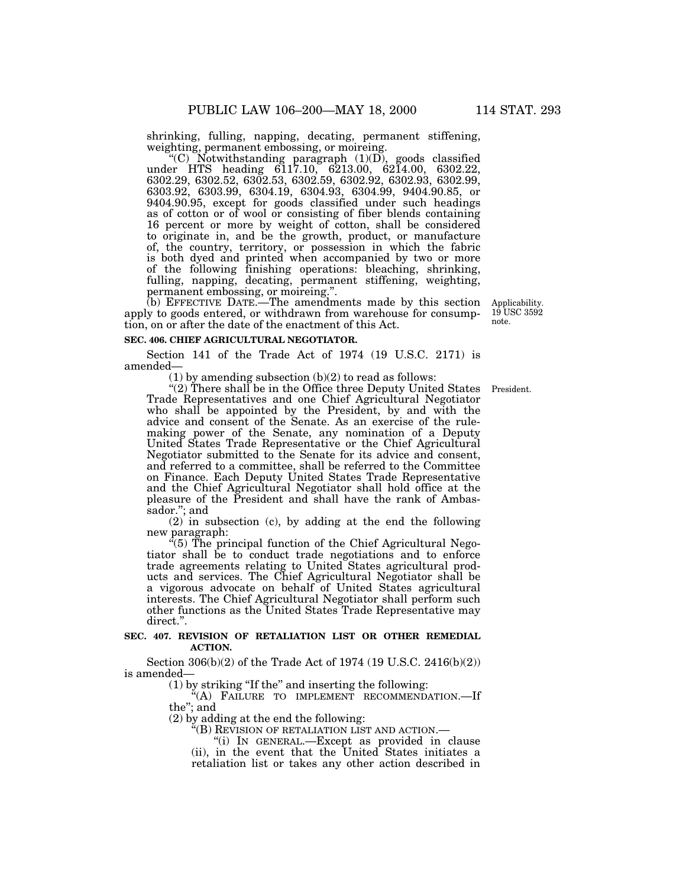shrinking, fulling, napping, decating, permanent stiffening, weighting, permanent embossing, or moireing.

''(C) Notwithstanding paragraph (1)(D), goods classified under HTS heading 6117.10, 6213.00, 6214.00, 6302.22, 6302.29, 6302.52, 6302.53, 6302.59, 6302.92, 6302.93, 6302.99, 6303.92, 6303.99, 6304.19, 6304.93, 6304.99, 9404.90.85, or 9404.90.95, except for goods classified under such headings as of cotton or of wool or consisting of fiber blends containing 16 percent or more by weight of cotton, shall be considered to originate in, and be the growth, product, or manufacture of, the country, territory, or possession in which the fabric is both dyed and printed when accompanied by two or more of the following finishing operations: bleaching, shrinking, fulling, napping, decating, permanent stiffening, weighting, permanent embossing, or moireing.''.

(b) EFFECTIVE DATE.—The amendments made by this section apply to goods entered, or withdrawn from warehouse for consumption, on or after the date of the enactment of this Act.

**SEC. 406. CHIEF AGRICULTURAL NEGOTIATOR.**

Section 141 of the Trade Act of 1974 (19 U.S.C. 2171) is amended—

 $(1)$  by amending subsection  $(b)(2)$  to read as follows:

"(2) There shall be in the Office three Deputy United States Trade Representatives and one Chief Agricultural Negotiator who shall be appointed by the President, by and with the advice and consent of the Senate. As an exercise of the rulemaking power of the Senate, any nomination of a Deputy United States Trade Representative or the Chief Agricultural Negotiator submitted to the Senate for its advice and consent, and referred to a committee, shall be referred to the Committee on Finance. Each Deputy United States Trade Representative and the Chief Agricultural Negotiator shall hold office at the pleasure of the President and shall have the rank of Ambassador.''; and

(2) in subsection (c), by adding at the end the following new paragraph:

''(5) The principal function of the Chief Agricultural Negotiator shall be to conduct trade negotiations and to enforce trade agreements relating to United States agricultural products and services. The Chief Agricultural Negotiator shall be a vigorous advocate on behalf of United States agricultural interests. The Chief Agricultural Negotiator shall perform such other functions as the United States Trade Representative may direct.".

### **SEC. 407. REVISION OF RETALIATION LIST OR OTHER REMEDIAL ACTION.**

Section 306(b)(2) of the Trade Act of 1974 (19 U.S.C. 2416(b)(2)) is amended—

(1) by striking ''If the'' and inserting the following:

''(A) FAILURE TO IMPLEMENT RECOMMENDATION.—If the''; and

(2) by adding at the end the following:

''(B) REVISION OF RETALIATION LIST AND ACTION.—

''(i) IN GENERAL.—Except as provided in clause (ii), in the event that the United States initiates a retaliation list or takes any other action described in

President.

Applicability. 19 USC 3592 note.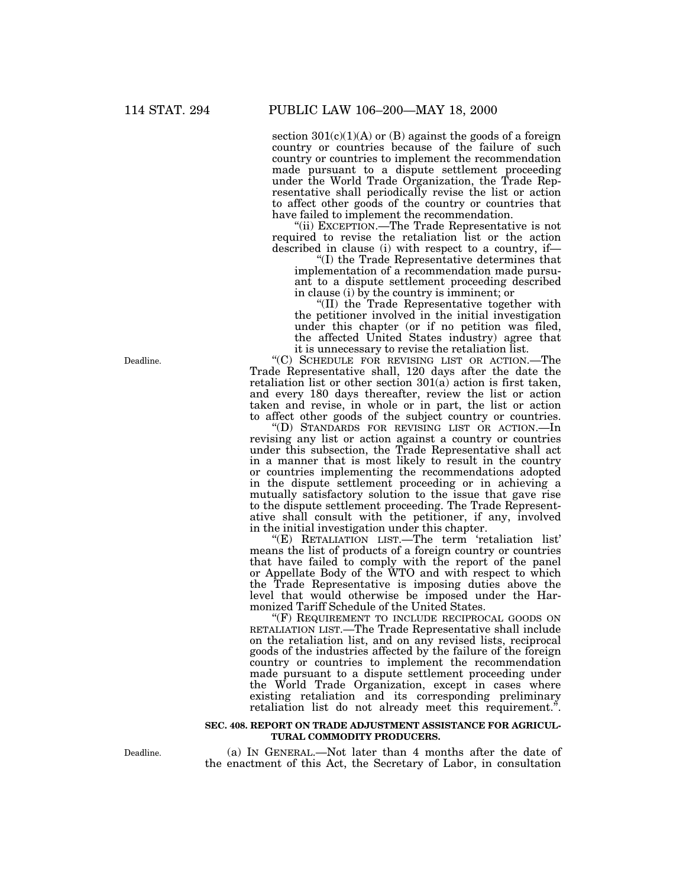section  $301(c)(1)(A)$  or (B) against the goods of a foreign country or countries because of the failure of such country or countries to implement the recommendation made pursuant to a dispute settlement proceeding under the World Trade Organization, the Trade Representative shall periodically revise the list or action to affect other goods of the country or countries that have failed to implement the recommendation.

''(ii) EXCEPTION.—The Trade Representative is not required to revise the retaliation list or the action described in clause (i) with respect to a country, if—

''(I) the Trade Representative determines that implementation of a recommendation made pursuant to a dispute settlement proceeding described in clause (i) by the country is imminent; or

''(II) the Trade Representative together with the petitioner involved in the initial investigation under this chapter (or if no petition was filed, the affected United States industry) agree that it is unnecessary to revise the retaliation list.

''(C) SCHEDULE FOR REVISING LIST OR ACTION.—The Trade Representative shall, 120 days after the date the retaliation list or other section 301(a) action is first taken, and every 180 days thereafter, review the list or action taken and revise, in whole or in part, the list or action to affect other goods of the subject country or countries.

''(D) STANDARDS FOR REVISING LIST OR ACTION.—In revising any list or action against a country or countries under this subsection, the Trade Representative shall act in a manner that is most likely to result in the country or countries implementing the recommendations adopted in the dispute settlement proceeding or in achieving a mutually satisfactory solution to the issue that gave rise to the dispute settlement proceeding. The Trade Representative shall consult with the petitioner, if any, involved in the initial investigation under this chapter.

''(E) RETALIATION LIST.—The term 'retaliation list' means the list of products of a foreign country or countries that have failed to comply with the report of the panel or Appellate Body of the WTO and with respect to which the Trade Representative is imposing duties above the level that would otherwise be imposed under the Harmonized Tariff Schedule of the United States.

"(F) REQUIREMENT TO INCLUDE RECIPROCAL GOODS ON RETALIATION LIST.—The Trade Representative shall include on the retaliation list, and on any revised lists, reciprocal goods of the industries affected by the failure of the foreign country or countries to implement the recommendation made pursuant to a dispute settlement proceeding under the World Trade Organization, except in cases where existing retaliation and its corresponding preliminary retaliation list do not already meet this requirement."

#### **SEC. 408. REPORT ON TRADE ADJUSTMENT ASSISTANCE FOR AGRICUL-TURAL COMMODITY PRODUCERS.**

(a) IN GENERAL.—Not later than 4 months after the date of the enactment of this Act, the Secretary of Labor, in consultation

Deadline.

Deadline.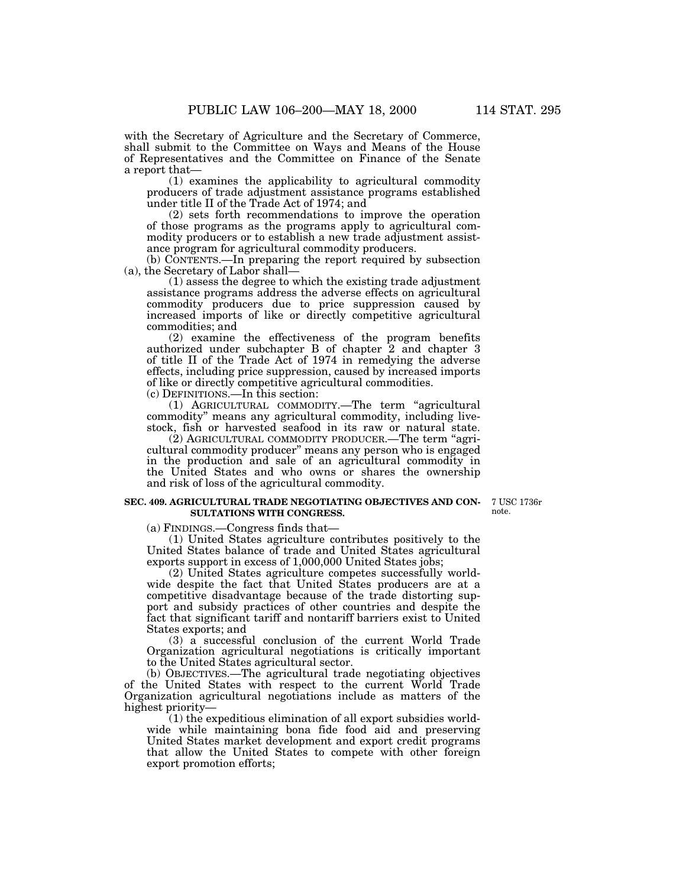with the Secretary of Agriculture and the Secretary of Commerce, shall submit to the Committee on Ways and Means of the House of Representatives and the Committee on Finance of the Senate a report that—

(1) examines the applicability to agricultural commodity producers of trade adjustment assistance programs established under title II of the Trade Act of 1974; and

(2) sets forth recommendations to improve the operation of those programs as the programs apply to agricultural commodity producers or to establish a new trade adjustment assistance program for agricultural commodity producers.

(b) CONTENTS.—In preparing the report required by subsection (a), the Secretary of Labor shall—

(1) assess the degree to which the existing trade adjustment assistance programs address the adverse effects on agricultural commodity producers due to price suppression caused by increased imports of like or directly competitive agricultural commodities; and

(2) examine the effectiveness of the program benefits authorized under subchapter B of chapter 2 and chapter 3 of title II of the Trade Act of 1974 in remedying the adverse effects, including price suppression, caused by increased imports of like or directly competitive agricultural commodities.

(c) DEFINITIONS.—In this section:

(1) AGRICULTURAL COMMODITY.—The term ''agricultural commodity'' means any agricultural commodity, including livestock, fish or harvested seafood in its raw or natural state.

(2) AGRICULTURAL COMMODITY PRODUCER.—The term ''agricultural commodity producer'' means any person who is engaged in the production and sale of an agricultural commodity in the United States and who owns or shares the ownership and risk of loss of the agricultural commodity.

#### **SEC. 409. AGRICULTURAL TRADE NEGOTIATING OBJECTIVES AND CON-**7 USC 1736r **SULTATIONS WITH CONGRESS.**

note.

(a) FINDINGS.—Congress finds that—

(1) United States agriculture contributes positively to the United States balance of trade and United States agricultural exports support in excess of 1,000,000 United States jobs;

(2) United States agriculture competes successfully worldwide despite the fact that United States producers are at a competitive disadvantage because of the trade distorting support and subsidy practices of other countries and despite the fact that significant tariff and nontariff barriers exist to United States exports; and

(3) a successful conclusion of the current World Trade Organization agricultural negotiations is critically important to the United States agricultural sector.

(b) OBJECTIVES.—The agricultural trade negotiating objectives of the United States with respect to the current World Trade Organization agricultural negotiations include as matters of the highest priority—

(1) the expeditious elimination of all export subsidies worldwide while maintaining bona fide food aid and preserving United States market development and export credit programs that allow the United States to compete with other foreign export promotion efforts;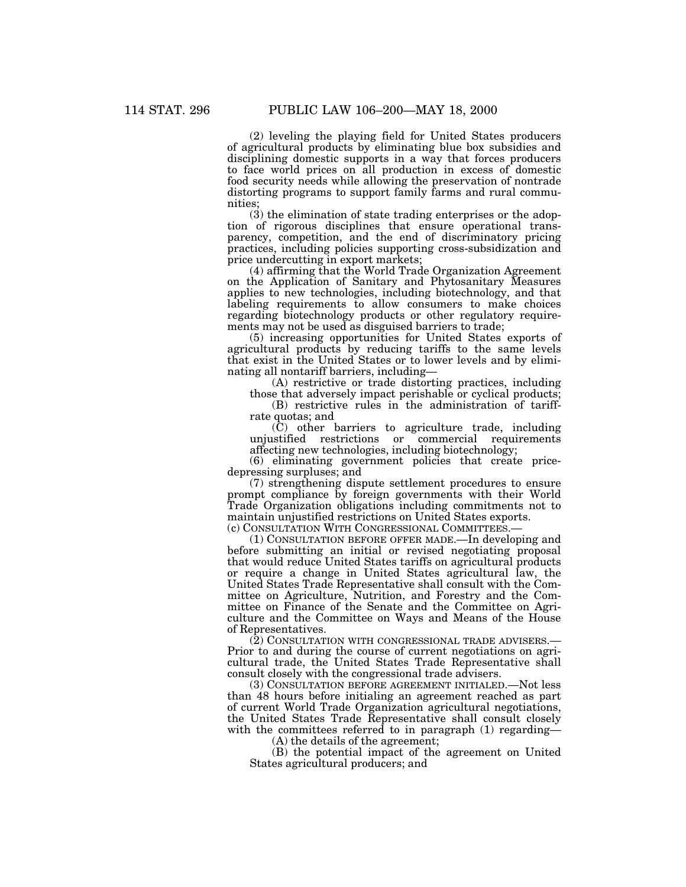(2) leveling the playing field for United States producers of agricultural products by eliminating blue box subsidies and disciplining domestic supports in a way that forces producers to face world prices on all production in excess of domestic food security needs while allowing the preservation of nontrade distorting programs to support family farms and rural communities;

(3) the elimination of state trading enterprises or the adoption of rigorous disciplines that ensure operational transparency, competition, and the end of discriminatory pricing practices, including policies supporting cross-subsidization and price undercutting in export markets;

(4) affirming that the World Trade Organization Agreement on the Application of Sanitary and Phytosanitary Measures applies to new technologies, including biotechnology, and that labeling requirements to allow consumers to make choices regarding biotechnology products or other regulatory requirements may not be used as disguised barriers to trade;

(5) increasing opportunities for United States exports of agricultural products by reducing tariffs to the same levels that exist in the United States or to lower levels and by eliminating all nontariff barriers, including—

(A) restrictive or trade distorting practices, including those that adversely impact perishable or cyclical products;

(B) restrictive rules in the administration of tariffrate quotas; and

(C) other barriers to agriculture trade, including unjustified restrictions or commercial requirements affecting new technologies, including biotechnology;

(6) eliminating government policies that create pricedepressing surpluses; and

(7) strengthening dispute settlement procedures to ensure prompt compliance by foreign governments with their World Trade Organization obligations including commitments not to maintain unjustified restrictions on United States exports. (c) CONSULTATION WITH CONGRESSIONAL COMMITTEES.—

(1) CONSULTATION BEFORE OFFER MADE.—In developing and before submitting an initial or revised negotiating proposal that would reduce United States tariffs on agricultural products or require a change in United States agricultural law, the United States Trade Representative shall consult with the Committee on Agriculture, Nutrition, and Forestry and the Committee on Finance of the Senate and the Committee on Agriculture and the Committee on Ways and Means of the House of Representatives.

(2) CONSULTATION WITH CONGRESSIONAL TRADE ADVISERS.— Prior to and during the course of current negotiations on agricultural trade, the United States Trade Representative shall consult closely with the congressional trade advisers.

(3) CONSULTATION BEFORE AGREEMENT INITIALED.—Not less than 48 hours before initialing an agreement reached as part of current World Trade Organization agricultural negotiations, the United States Trade Representative shall consult closely with the committees referred to in paragraph (1) regarding-

(A) the details of the agreement;

(B) the potential impact of the agreement on United States agricultural producers; and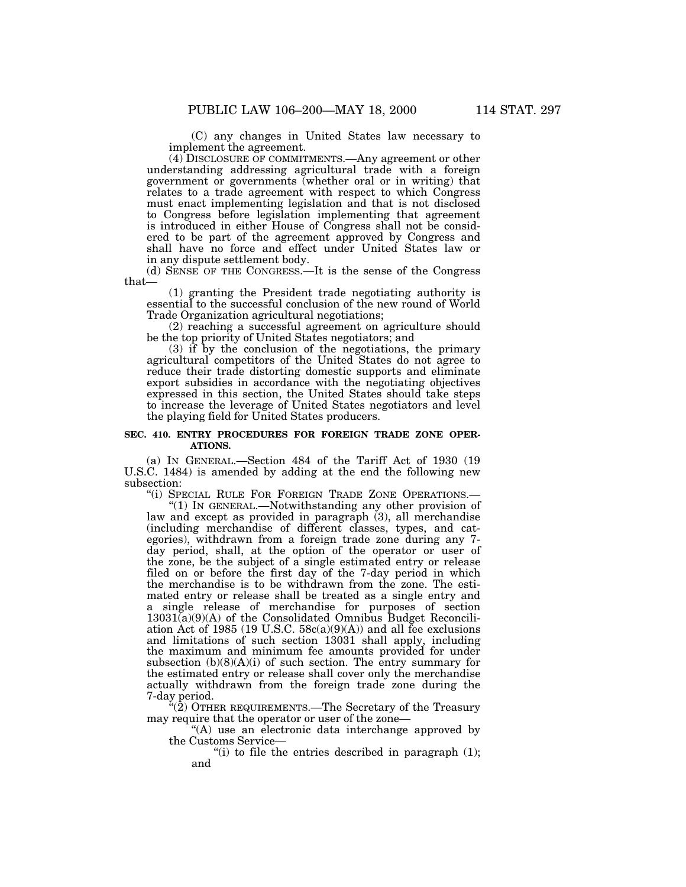(C) any changes in United States law necessary to implement the agreement.

(4) DISCLOSURE OF COMMITMENTS.—Any agreement or other understanding addressing agricultural trade with a foreign government or governments (whether oral or in writing) that relates to a trade agreement with respect to which Congress must enact implementing legislation and that is not disclosed to Congress before legislation implementing that agreement is introduced in either House of Congress shall not be considered to be part of the agreement approved by Congress and shall have no force and effect under United States law or in any dispute settlement body.

(d) SENSE OF THE CONGRESS.—It is the sense of the Congress that—

(1) granting the President trade negotiating authority is essential to the successful conclusion of the new round of World Trade Organization agricultural negotiations;

(2) reaching a successful agreement on agriculture should be the top priority of United States negotiators; and

(3) if by the conclusion of the negotiations, the primary agricultural competitors of the United States do not agree to reduce their trade distorting domestic supports and eliminate export subsidies in accordance with the negotiating objectives expressed in this section, the United States should take steps to increase the leverage of United States negotiators and level the playing field for United States producers.

#### **SEC. 410. ENTRY PROCEDURES FOR FOREIGN TRADE ZONE OPER-ATIONS.**

(a) IN GENERAL.—Section 484 of the Tariff Act of 1930 (19 U.S.C. 1484) is amended by adding at the end the following new subsection:

''(i) SPECIAL RULE FOR FOREIGN TRADE ZONE OPERATIONS.— ''(1) IN GENERAL.—Notwithstanding any other provision of law and except as provided in paragraph (3), all merchandise (including merchandise of different classes, types, and categories), withdrawn from a foreign trade zone during any 7 day period, shall, at the option of the operator or user of the zone, be the subject of a single estimated entry or release filed on or before the first day of the 7-day period in which the merchandise is to be withdrawn from the zone. The estimated entry or release shall be treated as a single entry and a single release of merchandise for purposes of section  $13031(a)(9)(A)$  of the Consolidated Omnibus Budget Reconciliation Act of 1985 (19 U.S.C.  $58c(a)(9)(A)$ ) and all fee exclusions and limitations of such section 13031 shall apply, including the maximum and minimum fee amounts provided for under subsection  $(b)(8)(A)(i)$  of such section. The entry summary for the estimated entry or release shall cover only the merchandise actually withdrawn from the foreign trade zone during the 7-day period.

 $\mathcal{L}^2(\hat{2})$  Other requirements.—The Secretary of the Treasury may require that the operator or user of the zone—

''(A) use an electronic data interchange approved by the Customs Service—

"(i) to file the entries described in paragraph  $(1)$ ; and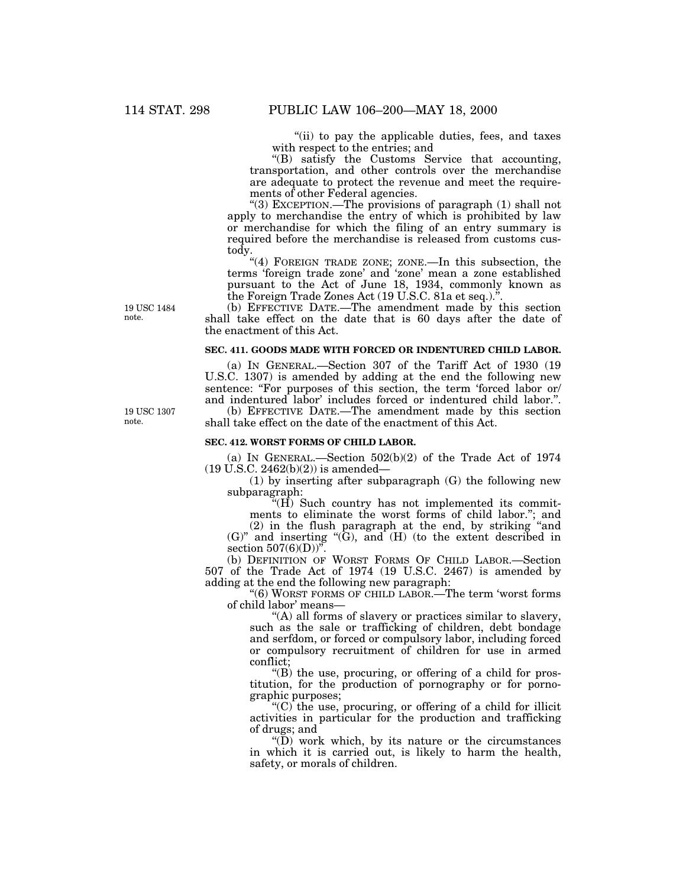''(ii) to pay the applicable duties, fees, and taxes with respect to the entries; and

''(B) satisfy the Customs Service that accounting, transportation, and other controls over the merchandise are adequate to protect the revenue and meet the requirements of other Federal agencies.

''(3) EXCEPTION.—The provisions of paragraph (1) shall not apply to merchandise the entry of which is prohibited by law or merchandise for which the filing of an entry summary is required before the merchandise is released from customs custody.

"(4) FOREIGN TRADE ZONE; ZONE.—In this subsection, the terms 'foreign trade zone' and 'zone' mean a zone established pursuant to the Act of June 18, 1934, commonly known as the Foreign Trade Zones Act (19 U.S.C. 81a et seq.).''.

(b) EFFECTIVE DATE.—The amendment made by this section shall take effect on the date that is 60 days after the date of the enactment of this Act.

## **SEC. 411. GOODS MADE WITH FORCED OR INDENTURED CHILD LABOR.**

(a) IN GENERAL.—Section 307 of the Tariff Act of 1930 (19 U.S.C. 1307) is amended by adding at the end the following new sentence: "For purposes of this section, the term 'forced labor or/ and indentured labor' includes forced or indentured child labor.''.

(b) EFFECTIVE DATE.—The amendment made by this section shall take effect on the date of the enactment of this Act.

## **SEC. 412. WORST FORMS OF CHILD LABOR.**

(a) IN GENERAL.—Section  $502(b)(2)$  of the Trade Act of 1974  $(19 \text{ U.S.C. } 2462(b)(2))$  is amended—

(1) by inserting after subparagraph (G) the following new subparagraph:

"(H) Such country has not implemented its commitments to eliminate the worst forms of child labor.''; and

(2) in the flush paragraph at the end, by striking ''and (G)'' and inserting ''(G), and (H) (to the extent described in section 507(6)(D))'

(b) DEFINITION OF WORST FORMS OF CHILD LABOR.—Section 507 of the Trade Act of 1974 (19 U.S.C. 2467) is amended by adding at the end the following new paragraph:

''(6) WORST FORMS OF CHILD LABOR.—The term 'worst forms of child labor' means—

''(A) all forms of slavery or practices similar to slavery, such as the sale or trafficking of children, debt bondage and serfdom, or forced or compulsory labor, including forced or compulsory recruitment of children for use in armed conflict;

 $'(B)$  the use, procuring, or offering of a child for prostitution, for the production of pornography or for pornographic purposes;

 $(C)$  the use, procuring, or offering of a child for illicit activities in particular for the production and trafficking of drugs; and

 $\mathrm{``(D)}$  work which, by its nature or the circumstances in which it is carried out, is likely to harm the health, safety, or morals of children.

19 USC 1484 note.

19 USC 1307 note.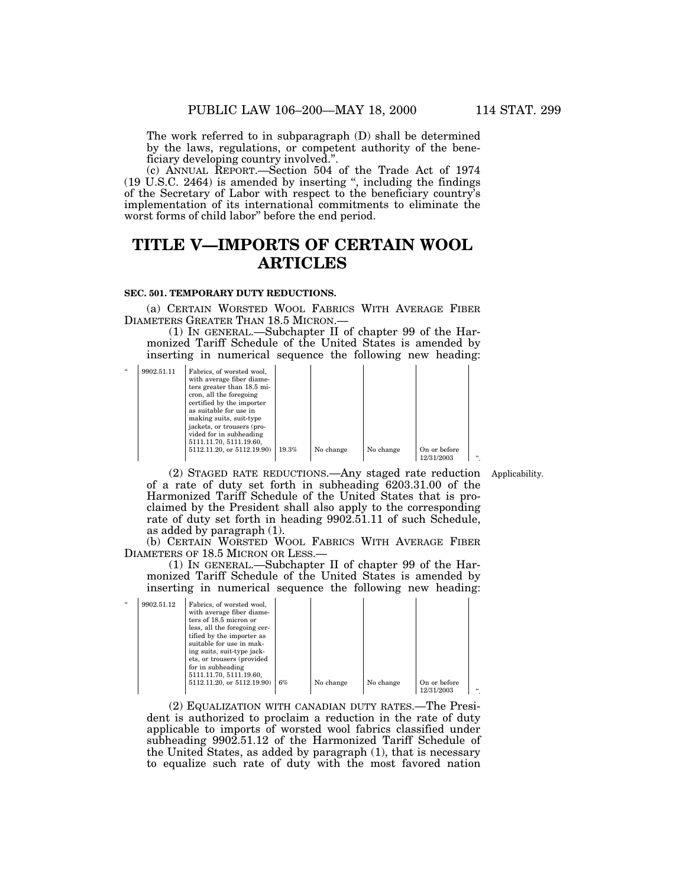The work referred to in subparagraph (D) shall be determined by the laws, regulations, or competent authority of the beneficiary developing country involved.''.

(c) ANNUAL REPORT.—Section 504 of the Trade Act of 1974 (19 U.S.C. 2464) is amended by inserting '', including the findings of the Secretary of Labor with respect to the beneficiary country's implementation of its international commitments to eliminate the worst forms of child labor'' before the end period.

# **TITLE V—IMPORTS OF CERTAIN WOOL ARTICLES**

### **SEC. 501. TEMPORARY DUTY REDUCTIONS.**

(a) CERTAIN WORSTED WOOL FABRICS WITH AVERAGE FIBER DIAMETERS GREATER THAN 18.5 MICRON.—

(1) IN GENERAL.—Subchapter II of chapter 99 of the Harmonized Tariff Schedule of the United States is amended by inserting in numerical sequence the following new heading:

| $\epsilon$ | 9902.51.11 | Fabrics, of worsted wool,<br>with average fiber diame-<br>ters greater than 18.5 mi-<br>cron, all the foregoing<br>certified by the importer<br>as suitable for use in<br>making suits, suit-type<br>jackets, or trousers (pro-<br>vided for in subheading<br>5111.11.70, 5111.19.60,<br>5112.11.20, or 5112.19.90) | 19.3% | No change | No change | On or before |   |
|------------|------------|---------------------------------------------------------------------------------------------------------------------------------------------------------------------------------------------------------------------------------------------------------------------------------------------------------------------|-------|-----------|-----------|--------------|---|
|            |            |                                                                                                                                                                                                                                                                                                                     |       |           |           | 12/31/2003   | " |

(2) STAGED RATE REDUCTIONS.—Any staged rate reduction Applicability. of a rate of duty set forth in subheading 6203.31.00 of the Harmonized Tariff Schedule of the United States that is proclaimed by the President shall also apply to the corresponding rate of duty set forth in heading 9902.51.11 of such Schedule, as added by paragraph (1).

(b) CERTAIN WORSTED WOOL FABRICS WITH AVERAGE FIBER DIAMETERS OF 18.5 MICRON OR LESS.—

(1) IN GENERAL.—Subchapter II of chapter 99 of the Harmonized Tariff Schedule of the United States is amended by inserting in numerical sequence the following new heading:

| $\epsilon$ | 9902.51.12 | Fabrics, of worsted wool,<br>with average fiber diame-<br>ters of 18.5 micron or<br>less, all the foregoing cer-<br>tified by the importer as<br>suitable for use in mak-<br>ing suits, suit-type jack-<br>ets, or trousers (provided<br>for in subheading<br>5111.11.70, 5111.19.60, |    |           |           |                            |  |
|------------|------------|---------------------------------------------------------------------------------------------------------------------------------------------------------------------------------------------------------------------------------------------------------------------------------------|----|-----------|-----------|----------------------------|--|
|            |            | 5112.11.20, or 5112.19.90)                                                                                                                                                                                                                                                            | 6% | No change | No change | On or before<br>12/31/2003 |  |

(2) EQUALIZATION WITH CANADIAN DUTY RATES.—The President is authorized to proclaim a reduction in the rate of duty applicable to imports of worsted wool fabrics classified under subheading 9902.51.12 of the Harmonized Tariff Schedule of the United States, as added by paragraph (1), that is necessary to equalize such rate of duty with the most favored nation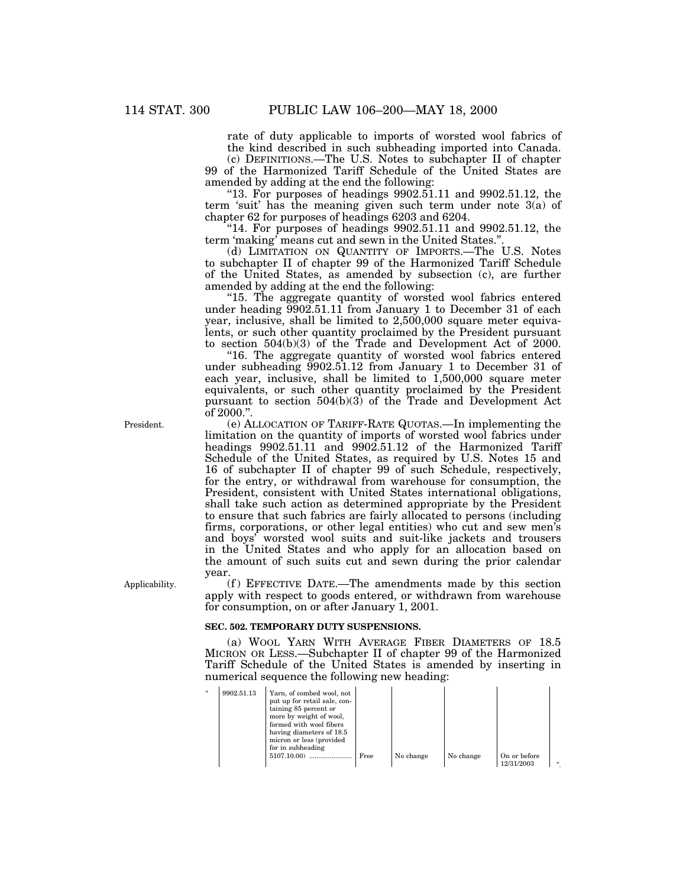rate of duty applicable to imports of worsted wool fabrics of the kind described in such subheading imported into Canada.

(c) DEFINITIONS.—The U.S. Notes to subchapter II of chapter 99 of the Harmonized Tariff Schedule of the United States are amended by adding at the end the following:

"13. For purposes of headings  $9902.51.11$  and  $9902.51.12$ , the term 'suit' has the meaning given such term under note 3(a) of chapter 62 for purposes of headings 6203 and 6204.

"14. For purposes of headings  $9902.51.11$  and  $9902.51.12$ , the term 'making' means cut and sewn in the United States."

(d) LIMITATION ON QUANTITY OF IMPORTS.—The U.S. Notes to subchapter II of chapter 99 of the Harmonized Tariff Schedule of the United States, as amended by subsection (c), are further amended by adding at the end the following:

''15. The aggregate quantity of worsted wool fabrics entered under heading 9902.51.11 from January 1 to December 31 of each year, inclusive, shall be limited to 2,500,000 square meter equivalents, or such other quantity proclaimed by the President pursuant to section 504(b)(3) of the Trade and Development Act of 2000.

"16. The aggregate quantity of worsted wool fabrics entered under subheading 9902.51.12 from January 1 to December 31 of each year, inclusive, shall be limited to  $1,500,000$  square meter equivalents, or such other quantity proclaimed by the President pursuant to section 504(b)(3) of the Trade and Development Act of 2000.''.

(e) ALLOCATION OF TARIFF-RATE QUOTAS.—In implementing the limitation on the quantity of imports of worsted wool fabrics under headings 9902.51.11 and 9902.51.12 of the Harmonized Tariff Schedule of the United States, as required by U.S. Notes 15 and 16 of subchapter II of chapter 99 of such Schedule, respectively, for the entry, or withdrawal from warehouse for consumption, the President, consistent with United States international obligations, shall take such action as determined appropriate by the President to ensure that such fabrics are fairly allocated to persons (including firms, corporations, or other legal entities) who cut and sew men's and boys' worsted wool suits and suit-like jackets and trousers in the United States and who apply for an allocation based on the amount of such suits cut and sewn during the prior calendar year.

(f) EFFECTIVE DATE.—The amendments made by this section apply with respect to goods entered, or withdrawn from warehouse for consumption, on or after January 1, 2001.

#### **SEC. 502. TEMPORARY DUTY SUSPENSIONS.**

(a) WOOL YARN WITH AVERAGE FIBER DIAMETERS OF 18.5 MICRON OR LESS.—Subchapter II of chapter 99 of the Harmonized Tariff Schedule of the United States is amended by inserting in numerical sequence the following new heading:<br> $\frac{1}{2}$   $\frac{1}{2}$   $\frac{1}{2}$   $\frac{1}{2}$   $\frac{1}{2}$   $\frac{1}{2}$   $\frac{1}{2}$   $\frac{1}{2}$   $\frac{1}{2}$   $\frac{1}{2}$ 

| $\epsilon$ | 9902.51.13 | Yarn, of combed wool, not<br>put up for retail sale, con-<br>taining 85 percent or<br>more by weight of wool,<br>formed with wool fibers<br>having diameters of 18.5<br>micron or less (provided |      |           |           |                            |   |
|------------|------------|--------------------------------------------------------------------------------------------------------------------------------------------------------------------------------------------------|------|-----------|-----------|----------------------------|---|
|            |            | for in subheading                                                                                                                                                                                | Free | No change | No change | On or before<br>12/31/2003 | " |

President.

Applicability.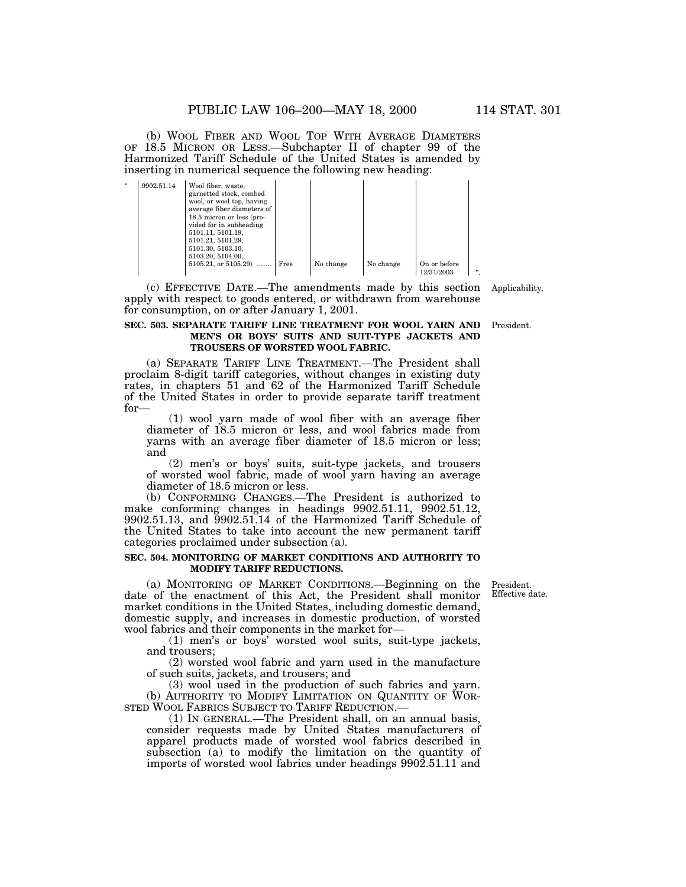(b) WOOL FIBER AND WOOL TOP WITH AVERAGE DIAMETERS OF 18.5 MICRON OR LESS.—Subchapter II of chapter 99 of the Harmonized Tariff Schedule of the United States is amended by inserting in numerical sequence the following new heading:

| $\epsilon$ | 9902.51.14 | Wool fiber, waste,         |      |           |           |              |   |
|------------|------------|----------------------------|------|-----------|-----------|--------------|---|
|            |            | garnetted stock, combed    |      |           |           |              |   |
|            |            | wool, or wool top, having  |      |           |           |              |   |
|            |            | average fiber diameters of |      |           |           |              |   |
|            |            | 18.5 micron or less (pro-  |      |           |           |              |   |
|            |            | vided for in subheading    |      |           |           |              |   |
|            |            | 5101.11, 5101.19,          |      |           |           |              |   |
|            |            | 5101.21, 5101.29,          |      |           |           |              |   |
|            |            | 5101.30, 5103.10,          |      |           |           |              |   |
|            |            | 5103.20, 5104.00,          |      |           |           |              |   |
|            |            | $5105.21$ , or $5105.29$   | Free | No change | No change | On or before |   |
|            |            |                            |      |           |           | 12/31/2003   | " |

(c) EFFECTIVE DATE.—The amendments made by this section Applicability. apply with respect to goods entered, or withdrawn from warehouse for consumption, on or after January 1, 2001.

#### **SEC. 503. SEPARATE TARIFF LINE TREATMENT FOR WOOL YARN AND** President. **MEN'S OR BOYS' SUITS AND SUIT-TYPE JACKETS AND TROUSERS OF WORSTED WOOL FABRIC.**

(a) SEPARATE TARIFF LINE TREATMENT.—The President shall proclaim 8-digit tariff categories, without changes in existing duty rates, in chapters 51 and 62 of the Harmonized Tariff Schedule of the United States in order to provide separate tariff treatment for—

(1) wool yarn made of wool fiber with an average fiber diameter of 18.5 micron or less, and wool fabrics made from yarns with an average fiber diameter of 18.5 micron or less; and

(2) men's or boys' suits, suit-type jackets, and trousers of worsted wool fabric, made of wool yarn having an average diameter of 18.5 micron or less.

(b) CONFORMING CHANGES.—The President is authorized to make conforming changes in headings 9902.51.11, 9902.51.12, 9902.51.13, and 9902.51.14 of the Harmonized Tariff Schedule of the United States to take into account the new permanent tariff categories proclaimed under subsection (a).

#### **SEC. 504. MONITORING OF MARKET CONDITIONS AND AUTHORITY TO MODIFY TARIFF REDUCTIONS.**

(a) MONITORING OF MARKET CONDITIONS.—Beginning on the date of the enactment of this Act, the President shall monitor market conditions in the United States, including domestic demand, domestic supply, and increases in domestic production, of worsted wool fabrics and their components in the market for—

(1) men's or boys' worsted wool suits, suit-type jackets, and trousers;

(2) worsted wool fabric and yarn used in the manufacture of such suits, jackets, and trousers; and

(3) wool used in the production of such fabrics and yarn. (b) AUTHORITY TO MODIFY LIMITATION ON QUANTITY OF WOR-STED WOOL FABRICS SUBJECT TO TARIFF REDUCTION.-

(1) IN GENERAL.—The President shall, on an annual basis, consider requests made by United States manufacturers of apparel products made of worsted wool fabrics described in subsection (a) to modify the limitation on the quantity of imports of worsted wool fabrics under headings 9902.51.11 and

President. Effective date.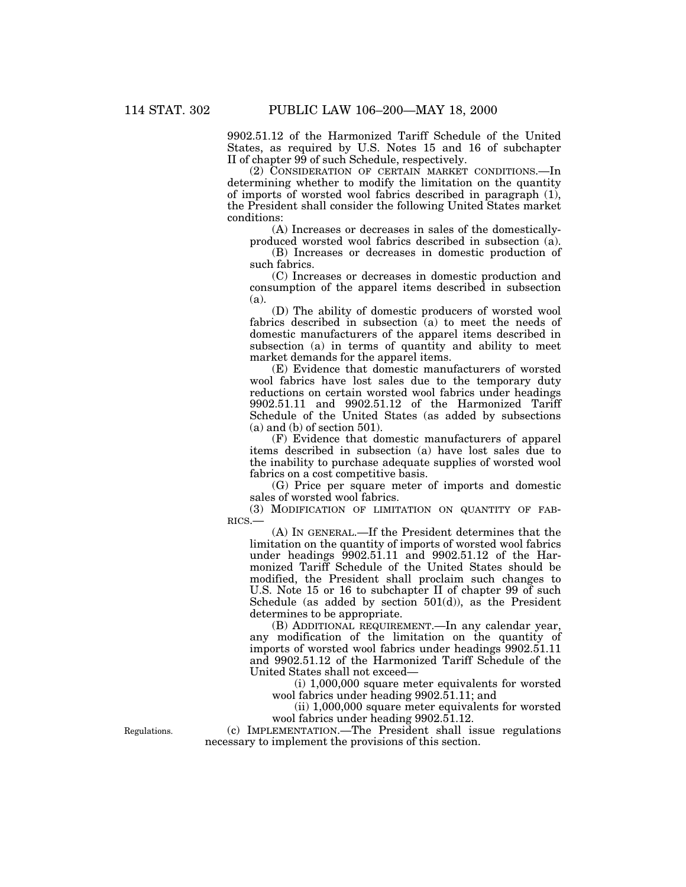9902.51.12 of the Harmonized Tariff Schedule of the United States, as required by U.S. Notes 15 and 16 of subchapter II of chapter 99 of such Schedule, respectively.

(2) CONSIDERATION OF CERTAIN MARKET CONDITIONS.—In determining whether to modify the limitation on the quantity of imports of worsted wool fabrics described in paragraph (1), the President shall consider the following United States market conditions:

(A) Increases or decreases in sales of the domesticallyproduced worsted wool fabrics described in subsection (a).

(B) Increases or decreases in domestic production of such fabrics.

(C) Increases or decreases in domestic production and consumption of the apparel items described in subsection (a).

(D) The ability of domestic producers of worsted wool fabrics described in subsection (a) to meet the needs of domestic manufacturers of the apparel items described in subsection (a) in terms of quantity and ability to meet market demands for the apparel items.

(E) Evidence that domestic manufacturers of worsted wool fabrics have lost sales due to the temporary duty reductions on certain worsted wool fabrics under headings 9902.51.11 and 9902.51.12 of the Harmonized Tariff Schedule of the United States (as added by subsections  $(a)$  and  $(b)$  of section 501).

(F) Evidence that domestic manufacturers of apparel items described in subsection (a) have lost sales due to the inability to purchase adequate supplies of worsted wool fabrics on a cost competitive basis.

(G) Price per square meter of imports and domestic sales of worsted wool fabrics.

(3) MODIFICATION OF LIMITATION ON QUANTITY OF FAB-RICS.—

(A) IN GENERAL.—If the President determines that the limitation on the quantity of imports of worsted wool fabrics under headings 9902.51.11 and 9902.51.12 of the Harmonized Tariff Schedule of the United States should be modified, the President shall proclaim such changes to U.S. Note 15 or 16 to subchapter II of chapter 99 of such Schedule (as added by section 501(d)), as the President determines to be appropriate.

(B) ADDITIONAL REQUIREMENT.—In any calendar year, any modification of the limitation on the quantity of imports of worsted wool fabrics under headings 9902.51.11 and 9902.51.12 of the Harmonized Tariff Schedule of the United States shall not exceed—

(i) 1,000,000 square meter equivalents for worsted wool fabrics under heading 9902.51.11; and

(ii) 1,000,000 square meter equivalents for worsted wool fabrics under heading 9902.51.12.

Regulations.

(c) IMPLEMENTATION.—The President shall issue regulations necessary to implement the provisions of this section.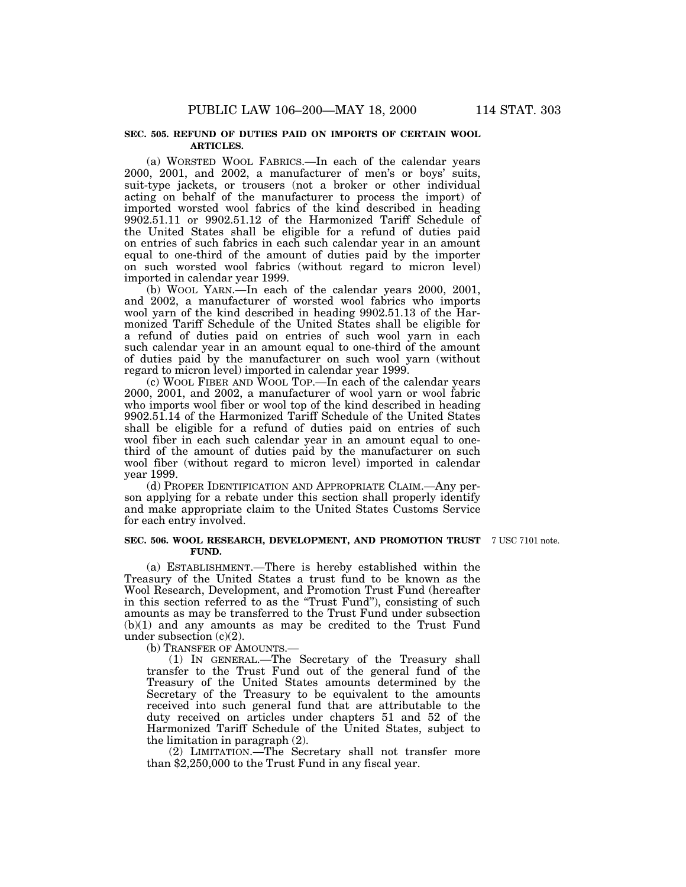### **SEC. 505. REFUND OF DUTIES PAID ON IMPORTS OF CERTAIN WOOL ARTICLES.**

(a) WORSTED WOOL FABRICS.—In each of the calendar years 2000, 2001, and 2002, a manufacturer of men's or boys' suits, suit-type jackets, or trousers (not a broker or other individual acting on behalf of the manufacturer to process the import) of imported worsted wool fabrics of the kind described in heading 9902.51.11 or 9902.51.12 of the Harmonized Tariff Schedule of the United States shall be eligible for a refund of duties paid on entries of such fabrics in each such calendar year in an amount equal to one-third of the amount of duties paid by the importer on such worsted wool fabrics (without regard to micron level) imported in calendar year 1999.

(b) WOOL YARN.—In each of the calendar years 2000, 2001, and 2002, a manufacturer of worsted wool fabrics who imports wool yarn of the kind described in heading 9902.51.13 of the Harmonized Tariff Schedule of the United States shall be eligible for a refund of duties paid on entries of such wool yarn in each such calendar year in an amount equal to one-third of the amount of duties paid by the manufacturer on such wool yarn (without regard to micron level) imported in calendar year 1999.

(c) WOOL FIBER AND WOOL TOP.—In each of the calendar years 2000, 2001, and 2002, a manufacturer of wool yarn or wool fabric who imports wool fiber or wool top of the kind described in heading 9902.51.14 of the Harmonized Tariff Schedule of the United States shall be eligible for a refund of duties paid on entries of such wool fiber in each such calendar year in an amount equal to onethird of the amount of duties paid by the manufacturer on such wool fiber (without regard to micron level) imported in calendar year 1999.

(d) PROPER IDENTIFICATION AND APPROPRIATE CLAIM.—Any person applying for a rebate under this section shall properly identify and make appropriate claim to the United States Customs Service for each entry involved.

#### **SEC. 506. WOOL RESEARCH, DEVELOPMENT, AND PROMOTION TRUST** 7 USC 7101 note. **FUND.**

(a) ESTABLISHMENT.—There is hereby established within the Treasury of the United States a trust fund to be known as the Wool Research, Development, and Promotion Trust Fund (hereafter in this section referred to as the "Trust Fund"), consisting of such amounts as may be transferred to the Trust Fund under subsection (b)(1) and any amounts as may be credited to the Trust Fund under subsection (c)(2).

(b) TRANSFER OF AMOUNTS.—

(1) IN GENERAL.—The Secretary of the Treasury shall transfer to the Trust Fund out of the general fund of the Treasury of the United States amounts determined by the Secretary of the Treasury to be equivalent to the amounts received into such general fund that are attributable to the duty received on articles under chapters 51 and 52 of the Harmonized Tariff Schedule of the United States, subject to the limitation in paragraph (2).

(2) LIMITATION.—The Secretary shall not transfer more than \$2,250,000 to the Trust Fund in any fiscal year.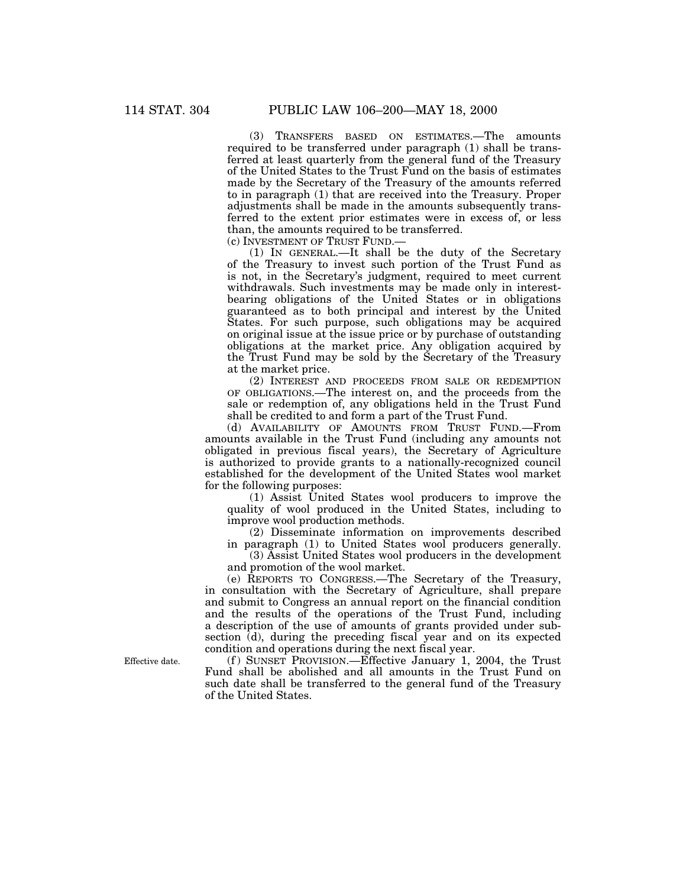(3) TRANSFERS BASED ON ESTIMATES.—The amounts required to be transferred under paragraph (1) shall be transferred at least quarterly from the general fund of the Treasury of the United States to the Trust Fund on the basis of estimates made by the Secretary of the Treasury of the amounts referred to in paragraph (1) that are received into the Treasury. Proper adjustments shall be made in the amounts subsequently transferred to the extent prior estimates were in excess of, or less than, the amounts required to be transferred.

(c) INVESTMENT OF TRUST FUND.—

(1) IN GENERAL.—It shall be the duty of the Secretary of the Treasury to invest such portion of the Trust Fund as is not, in the Secretary's judgment, required to meet current withdrawals. Such investments may be made only in interestbearing obligations of the United States or in obligations guaranteed as to both principal and interest by the United States. For such purpose, such obligations may be acquired on original issue at the issue price or by purchase of outstanding obligations at the market price. Any obligation acquired by the Trust Fund may be sold by the Secretary of the Treasury at the market price.

(2) INTEREST AND PROCEEDS FROM SALE OR REDEMPTION OF OBLIGATIONS.—The interest on, and the proceeds from the sale or redemption of, any obligations held in the Trust Fund shall be credited to and form a part of the Trust Fund.

(d) AVAILABILITY OF AMOUNTS FROM TRUST FUND.—From amounts available in the Trust Fund (including any amounts not obligated in previous fiscal years), the Secretary of Agriculture is authorized to provide grants to a nationally-recognized council established for the development of the United States wool market for the following purposes:

(1) Assist United States wool producers to improve the quality of wool produced in the United States, including to improve wool production methods.

(2) Disseminate information on improvements described in paragraph (1) to United States wool producers generally.

(3) Assist United States wool producers in the development and promotion of the wool market.

(e) REPORTS TO CONGRESS.—The Secretary of the Treasury, in consultation with the Secretary of Agriculture, shall prepare and submit to Congress an annual report on the financial condition and the results of the operations of the Trust Fund, including a description of the use of amounts of grants provided under subsection (d), during the preceding fiscal year and on its expected condition and operations during the next fiscal year.

 $(f)$  SUNSET PROVISION.—Effective January 1, 2004, the Trust Fund shall be abolished and all amounts in the Trust Fund on such date shall be transferred to the general fund of the Treasury of the United States.

Effective date.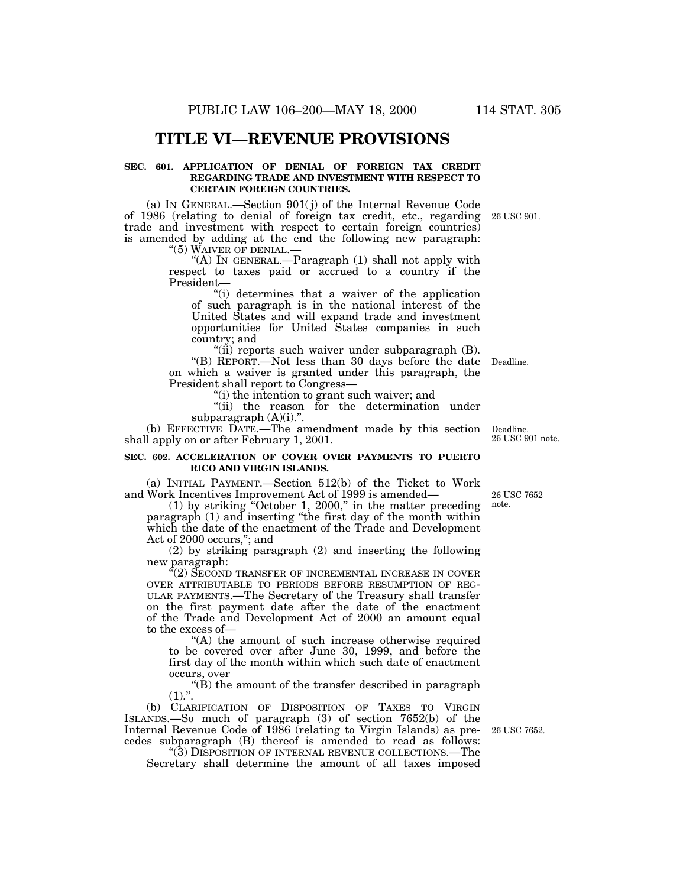## **TITLE VI—REVENUE PROVISIONS**

### **SEC. 601. APPLICATION OF DENIAL OF FOREIGN TAX CREDIT REGARDING TRADE AND INVESTMENT WITH RESPECT TO CERTAIN FOREIGN COUNTRIES.**

(a) IN GENERAL.—Section  $901(j)$  of the Internal Revenue Code of 1986 (relating to denial of foreign tax credit, etc., regarding 26 USC 901. trade and investment with respect to certain foreign countries) is amended by adding at the end the following new paragraph: "(5) WAIVER OF DENIAL.—

"(A) In GENERAL.—Paragraph (1) shall not apply with respect to taxes paid or accrued to a country if the President—

"(i) determines that a waiver of the application of such paragraph is in the national interest of the United States and will expand trade and investment opportunities for United States companies in such country; and

" $(i)$  reports such waiver under subparagraph  $(B)$ . ''(B) REPORT.—Not less than 30 days before the date Deadline. on which a waiver is granted under this paragraph, the President shall report to Congress—

''(i) the intention to grant such waiver; and

"(ii) the reason for the determination under subparagraph  $(A)(i)$ .".

(b) EFFECTIVE DATE.—The amendment made by this section shall apply on or after February 1, 2001.

### **SEC. 602. ACCELERATION OF COVER OVER PAYMENTS TO PUERTO RICO AND VIRGIN ISLANDS.**

(a) INITIAL PAYMENT.—Section 512(b) of the Ticket to Work and Work Incentives Improvement Act of 1999 is amended—

(1) by striking ''October 1, 2000,'' in the matter preceding paragraph (1) and inserting ''the first day of the month within which the date of the enactment of the Trade and Development Act of 2000 occurs,''; and note.

(2) by striking paragraph (2) and inserting the following new paragraph:

 $C^2(2)$  SECOND TRANSFER OF INCREMENTAL INCREASE IN COVER OVER ATTRIBUTABLE TO PERIODS BEFORE RESUMPTION OF REG-ULAR PAYMENTS.—The Secretary of the Treasury shall transfer on the first payment date after the date of the enactment of the Trade and Development Act of 2000 an amount equal to the excess of—

"(A) the amount of such increase otherwise required to be covered over after June 30, 1999, and before the first day of the month within which such date of enactment occurs, over

''(B) the amount of the transfer described in paragraph  $(1).$ ".

(b) CLARIFICATION OF DISPOSITION OF TAXES TO VIRGIN ISLANDS.—So much of paragraph (3) of section 7652(b) of the Internal Revenue Code of 1986 (relating to Virgin Islands) as precedes subparagraph (B) thereof is amended to read as follows:

''(3) DISPOSITION OF INTERNAL REVENUE COLLECTIONS.—The Secretary shall determine the amount of all taxes imposed

26 USC 7652.

26 USC 7652

Deadline. 26 USC 901 note.